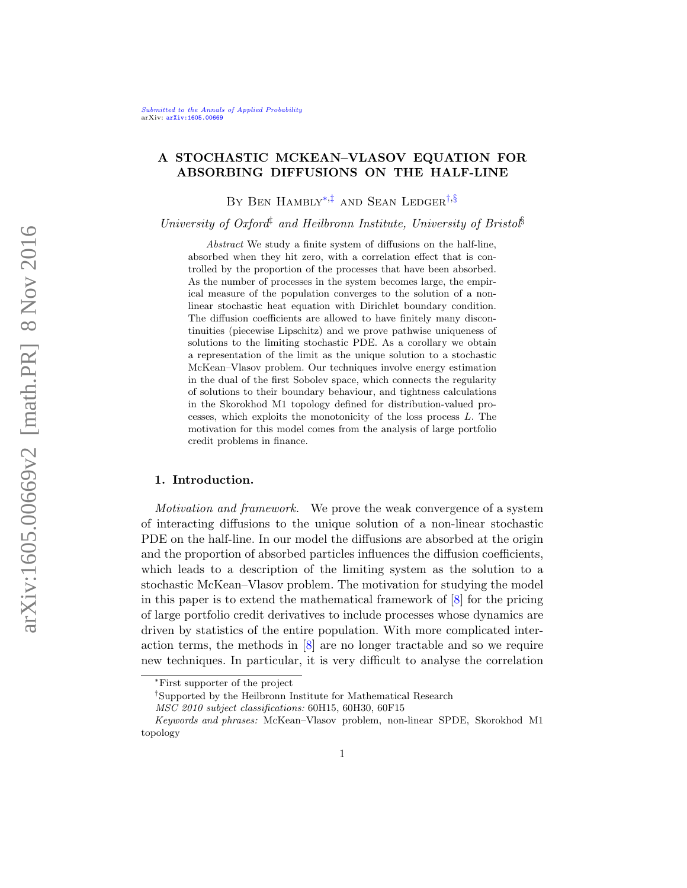## A STOCHASTIC MCKEAN–VLASOV EQUATION FOR ABSORBING DIFFUSIONS ON THE HALF-LINE

<span id="page-0-3"></span><span id="page-0-1"></span>BY BEN HAMBLY<sup>\*,[‡](#page-0-1)</sup> AND SEAN LEDGER<sup>[†](#page-0-2),[§](#page-0-3)</sup>

University of Oxford<sup>‡</sup> and Heilbronn Institute, University of Bristol<sup>§</sup>

Abstract We study a finite system of diffusions on the half-line, absorbed when they hit zero, with a correlation effect that is controlled by the proportion of the processes that have been absorbed. As the number of processes in the system becomes large, the empirical measure of the population converges to the solution of a nonlinear stochastic heat equation with Dirichlet boundary condition. The diffusion coefficients are allowed to have finitely many discontinuities (piecewise Lipschitz) and we prove pathwise uniqueness of solutions to the limiting stochastic PDE. As a corollary we obtain a representation of the limit as the unique solution to a stochastic McKean–Vlasov problem. Our techniques involve energy estimation in the dual of the first Sobolev space, which connects the regularity of solutions to their boundary behaviour, and tightness calculations in the Skorokhod M1 topology defined for distribution-valued processes, which exploits the monotonicity of the loss process L. The motivation for this model comes from the analysis of large portfolio credit problems in finance.

## <span id="page-0-4"></span>1. Introduction.

Motivation and framework. We prove the weak convergence of a system of interacting diffusions to the unique solution of a non-linear stochastic PDE on the half-line. In our model the diffusions are absorbed at the origin and the proportion of absorbed particles influences the diffusion coefficients, which leads to a description of the limiting system as the solution to a stochastic McKean–Vlasov problem. The motivation for studying the model in this paper is to extend the mathematical framework of [\[8\]](#page-57-0) for the pricing of large portfolio credit derivatives to include processes whose dynamics are driven by statistics of the entire population. With more complicated interaction terms, the methods in [\[8\]](#page-57-0) are no longer tractable and so we require new techniques. In particular, it is very difficult to analyse the correlation

<span id="page-0-0"></span><sup>∗</sup>First supporter of the project

<span id="page-0-2"></span><sup>†</sup>Supported by the Heilbronn Institute for Mathematical Research

MSC 2010 subject classifications: 60H15, 60H30, 60F15

Keywords and phrases: McKean–Vlasov problem, non-linear SPDE, Skorokhod M1 topology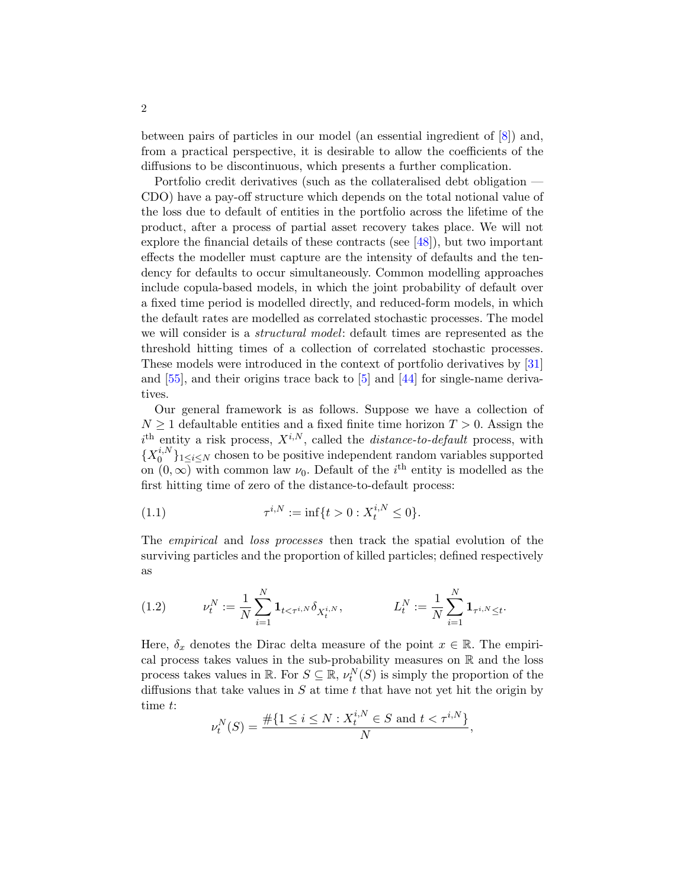between pairs of particles in our model (an essential ingredient of [\[8\]](#page-57-0)) and, from a practical perspective, it is desirable to allow the coefficients of the diffusions to be discontinuous, which presents a further complication.

Portfolio credit derivatives (such as the collateralised debt obligation — CDO) have a pay-off structure which depends on the total notional value of the loss due to default of entities in the portfolio across the lifetime of the product, after a process of partial asset recovery takes place. We will not explore the financial details of these contracts (see [\[48\]](#page-58-0)), but two important effects the modeller must capture are the intensity of defaults and the tendency for defaults to occur simultaneously. Common modelling approaches include copula-based models, in which the joint probability of default over a fixed time period is modelled directly, and reduced-form models, in which the default rates are modelled as correlated stochastic processes. The model we will consider is a *structural model*: default times are represented as the threshold hitting times of a collection of correlated stochastic processes. These models were introduced in the context of portfolio derivatives by [\[31\]](#page-58-1) and [\[55\]](#page-59-0), and their origins trace back to [\[5\]](#page-57-1) and [\[44\]](#page-58-2) for single-name derivatives.

Our general framework is as follows. Suppose we have a collection of  $N \geq 1$  defaultable entities and a fixed finite time horizon  $T > 0$ . Assign the  $i<sup>th</sup>$  entity a risk process,  $X^{i,N}$ , called the *distance-to-default* process, with  ${X_0^{i,N}}$  $\{a_i^{i,N}\}_{1 \leq i \leq N}$  chosen to be positive independent random variables supported on  $(0, \infty)$  with common law  $\nu_0$ . Default of the *i*<sup>th</sup> entity is modelled as the first hitting time of zero of the distance-to-default process:

<span id="page-1-0"></span>(1.1) 
$$
\tau^{i,N} := \inf\{t > 0 : X_t^{i,N} \le 0\}.
$$

The empirical and loss processes then track the spatial evolution of the surviving particles and the proportion of killed particles; defined respectively as

(1.2) 
$$
\nu_t^N := \frac{1}{N} \sum_{i=1}^N \mathbf{1}_{t < \tau^{i,N}} \delta_{X_t^{i,N}}, \qquad L_t^N := \frac{1}{N} \sum_{i=1}^N \mathbf{1}_{\tau^{i,N} \le t}.
$$

Here,  $\delta_x$  denotes the Dirac delta measure of the point  $x \in \mathbb{R}$ . The empirical process takes values in the sub-probability measures on  $\mathbb R$  and the loss process takes values in  $\mathbb{R}$ . For  $S \subseteq \mathbb{R}$ ,  $\nu_t^N(S)$  is simply the proportion of the diffusions that take values in  $S$  at time  $t$  that have not yet hit the origin by time t:

$$
\nu_t^N(S) = \frac{\#\{1 \le i \le N : X_t^{i,N} \in S \text{ and } t < \tau^{i,N}\}}{N},
$$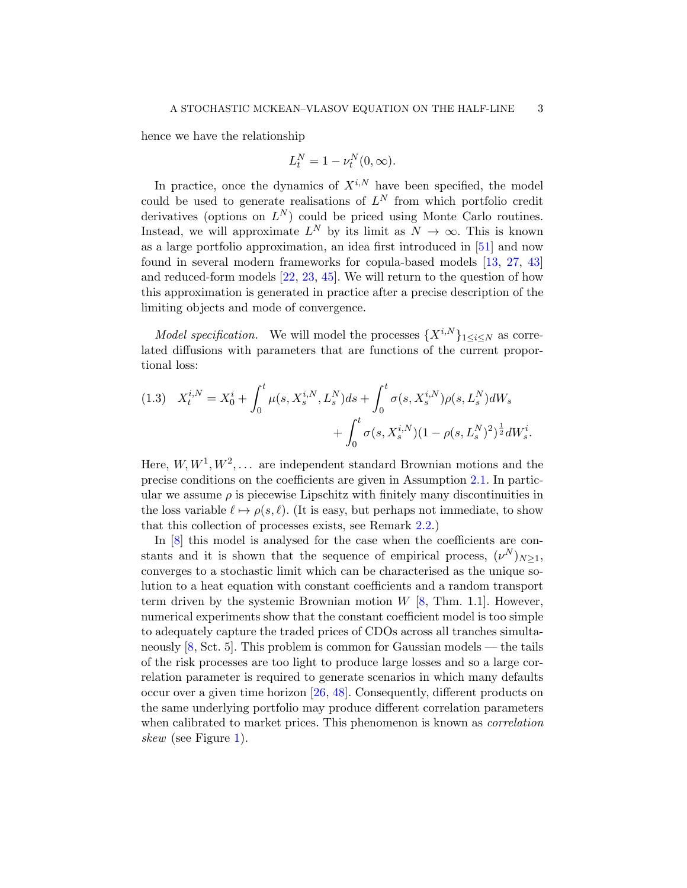hence we have the relationship

$$
L_t^N = 1 - \nu_t^N(0, \infty).
$$

In practice, once the dynamics of  $X^{i,N}$  have been specified, the model could be used to generate realisations of  $L^N$  from which portfolio credit derivatives (options on  $L^N$ ) could be priced using Monte Carlo routines. Instead, we will approximate  $L^N$  by its limit as  $N \to \infty$ . This is known as a large portfolio approximation, an idea first introduced in [\[51\]](#page-59-1) and now found in several modern frameworks for copula-based models [\[13,](#page-57-2) [27,](#page-58-3) [43\]](#page-58-4) and reduced-form models [\[22,](#page-57-3) [23,](#page-57-4) [45\]](#page-58-5). We will return to the question of how this approximation is generated in practice after a precise description of the limiting objects and mode of convergence.

*Model specification.* We will model the processes  $\{X^{i,N}\}_{1\leq i\leq N}$  as correlated diffusions with parameters that are functions of the current proportional loss:

<span id="page-2-0"></span>
$$
(1.3) \quad X_t^{i,N} = X_0^i + \int_0^t \mu(s, X_s^{i,N}, L_s^N) ds + \int_0^t \sigma(s, X_s^{i,N}) \rho(s, L_s^N) dW_s + \int_0^t \sigma(s, X_s^{i,N}) (1 - \rho(s, L_s^N))^2 \frac{1}{2} dW_s^i.
$$

Here,  $W, W^1, W^2, \ldots$  are independent standard Brownian motions and the precise conditions on the coefficients are given in Assumption [2.1.](#page-10-0) In particular we assume  $\rho$  is piecewise Lipschitz with finitely many discontinuities in the loss variable  $\ell \mapsto \rho(s, \ell)$ . (It is easy, but perhaps not immediate, to show that this collection of processes exists, see Remark [2.2.](#page-10-1))

In [\[8\]](#page-57-0) this model is analysed for the case when the coefficients are constants and it is shown that the sequence of empirical process,  $(\nu^N)_{N\geq 1}$ , converges to a stochastic limit which can be characterised as the unique solution to a heat equation with constant coefficients and a random transport term driven by the systemic Brownian motion  $W$  [\[8,](#page-57-0) Thm. 1.1]. However, numerical experiments show that the constant coefficient model is too simple to adequately capture the traded prices of CDOs across all tranches simultaneously  $[8, Sct. 5]$  $[8, Sct. 5]$ . This problem is common for Gaussian models — the tails of the risk processes are too light to produce large losses and so a large correlation parameter is required to generate scenarios in which many defaults occur over a given time horizon [\[26,](#page-58-6) [48\]](#page-58-0). Consequently, different products on the same underlying portfolio may produce different correlation parameters when calibrated to market prices. This phenomenon is known as *correlation* skew (see Figure [1\)](#page-3-0).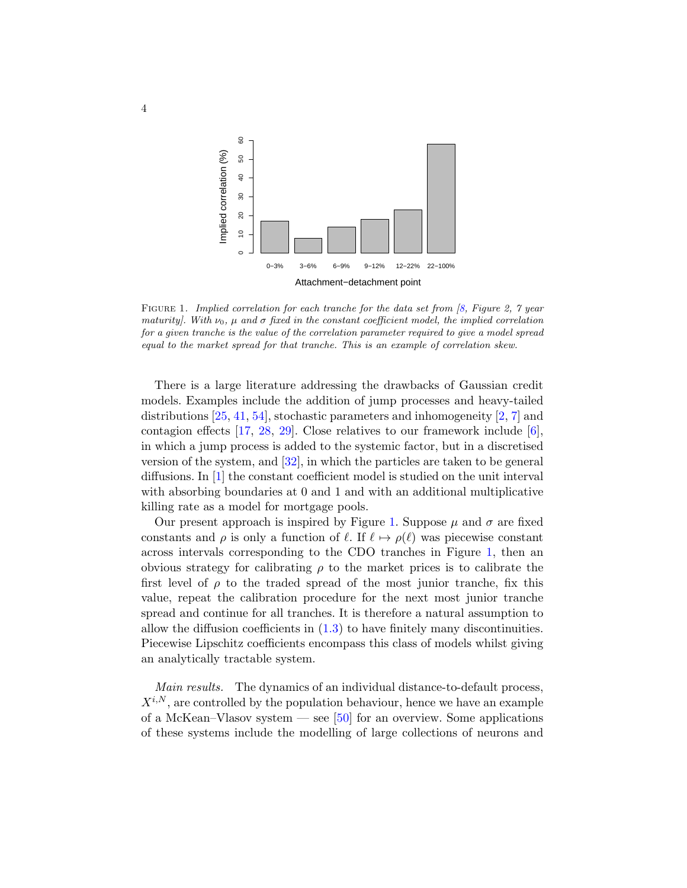

<span id="page-3-0"></span>FIGURE 1. Implied correlation for each tranche for the data set from  $\beta$ , Figure 2, 7 year maturity]. With  $\nu_0$ ,  $\mu$  and  $\sigma$  fixed in the constant coefficient model, the implied correlation for a given tranche is the value of the correlation parameter required to give a model spread equal to the market spread for that tranche. This is an example of correlation skew.

There is a large literature addressing the drawbacks of Gaussian credit models. Examples include the addition of jump processes and heavy-tailed distributions  $[25, 41, 54]$  $[25, 41, 54]$  $[25, 41, 54]$  $[25, 41, 54]$  $[25, 41, 54]$ , stochastic parameters and inhomogeneity  $[2, 7]$  $[2, 7]$  $[2, 7]$  and contagion effects [\[17,](#page-57-6) [28,](#page-58-9) [29\]](#page-58-10). Close relatives to our framework include [\[6\]](#page-57-7), in which a jump process is added to the systemic factor, but in a discretised version of the system, and [\[32\]](#page-58-11), in which the particles are taken to be general diffusions. In [\[1\]](#page-56-1) the constant coefficient model is studied on the unit interval with absorbing boundaries at 0 and 1 and with an additional multiplicative killing rate as a model for mortgage pools.

Our present approach is inspired by Figure [1.](#page-3-0) Suppose  $\mu$  and  $\sigma$  are fixed constants and  $\rho$  is only a function of  $\ell$ . If  $\ell \mapsto \rho(\ell)$  was piecewise constant across intervals corresponding to the CDO tranches in Figure [1,](#page-3-0) then an obvious strategy for calibrating  $\rho$  to the market prices is to calibrate the first level of  $\rho$  to the traded spread of the most junior tranche, fix this value, repeat the calibration procedure for the next most junior tranche spread and continue for all tranches. It is therefore a natural assumption to allow the diffusion coefficients in  $(1.3)$  to have finitely many discontinuities. Piecewise Lipschitz coefficients encompass this class of models whilst giving an analytically tractable system.

Main results. The dynamics of an individual distance-to-default process,  $X^{i,N}$ , are controlled by the population behaviour, hence we have an example of a McKean–Vlasov system — see [\[50\]](#page-59-3) for an overview. Some applications of these systems include the modelling of large collections of neurons and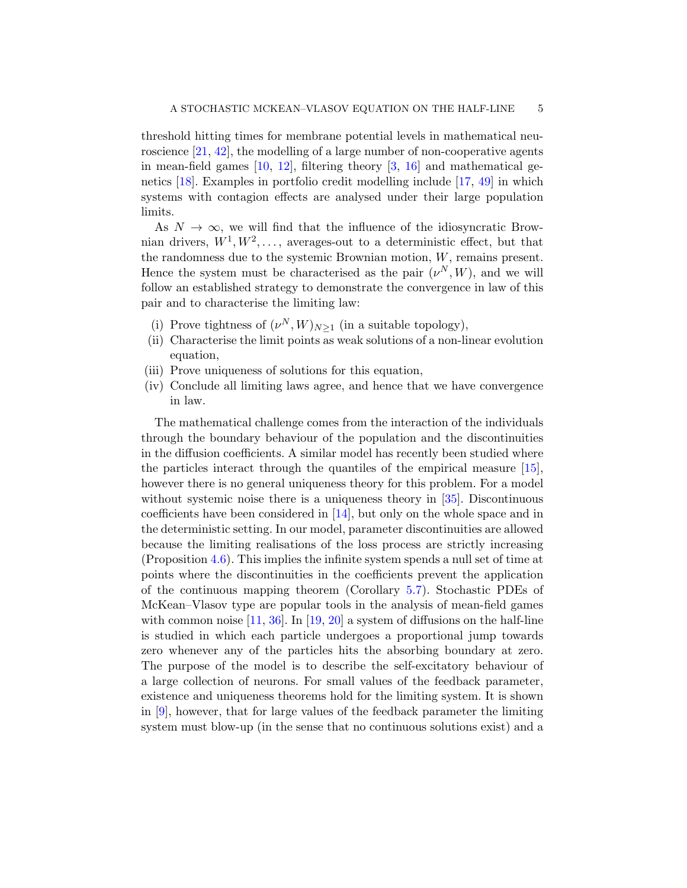threshold hitting times for membrane potential levels in mathematical neu-roscience [\[21,](#page-57-8) [42\]](#page-58-12), the modelling of a large number of non-cooperative agents in mean-field games  $[10, 12]$  $[10, 12]$  $[10, 12]$ , filtering theory  $[3, 16]$  $[3, 16]$  $[3, 16]$  and mathematical genetics [\[18\]](#page-57-13). Examples in portfolio credit modelling include [\[17,](#page-57-6) [49\]](#page-59-4) in which systems with contagion effects are analysed under their large population limits.

As  $N \to \infty$ , we will find that the influence of the idiosyncratic Brownian drivers,  $W^1, W^2, \ldots$ , averages-out to a deterministic effect, but that the randomness due to the systemic Brownian motion,  $W$ , remains present. Hence the system must be characterised as the pair  $(\nu^N, W)$ , and we will follow an established strategy to demonstrate the convergence in law of this pair and to characterise the limiting law:

- (i) Prove tightness of  $(\nu^N, W)_{N \geq 1}$  (in a suitable topology),
- (ii) Characterise the limit points as weak solutions of a non-linear evolution equation,
- (iii) Prove uniqueness of solutions for this equation,
- (iv) Conclude all limiting laws agree, and hence that we have convergence in law.

The mathematical challenge comes from the interaction of the individuals through the boundary behaviour of the population and the discontinuities in the diffusion coefficients. A similar model has recently been studied where the particles interact through the quantiles of the empirical measure [\[15\]](#page-57-14), however there is no general uniqueness theory for this problem. For a model without systemic noise there is a uniqueness theory in [\[35\]](#page-58-13). Discontinuous coefficients have been considered in [\[14\]](#page-57-15), but only on the whole space and in the deterministic setting. In our model, parameter discontinuities are allowed because the limiting realisations of the loss process are strictly increasing (Proposition [4.6\)](#page-19-0). This implies the infinite system spends a null set of time at points where the discontinuities in the coefficients prevent the application of the continuous mapping theorem (Corollary [5.7\)](#page-30-0). Stochastic PDEs of McKean–Vlasov type are popular tools in the analysis of mean-field games with common noise  $[11, 36]$  $[11, 36]$  $[11, 36]$ . In  $[19, 20]$  $[19, 20]$  $[19, 20]$  a system of diffusions on the half-line is studied in which each particle undergoes a proportional jump towards zero whenever any of the particles hits the absorbing boundary at zero. The purpose of the model is to describe the self-excitatory behaviour of a large collection of neurons. For small values of the feedback parameter, existence and uniqueness theorems hold for the limiting system. It is shown in [\[9\]](#page-57-19), however, that for large values of the feedback parameter the limiting system must blow-up (in the sense that no continuous solutions exist) and a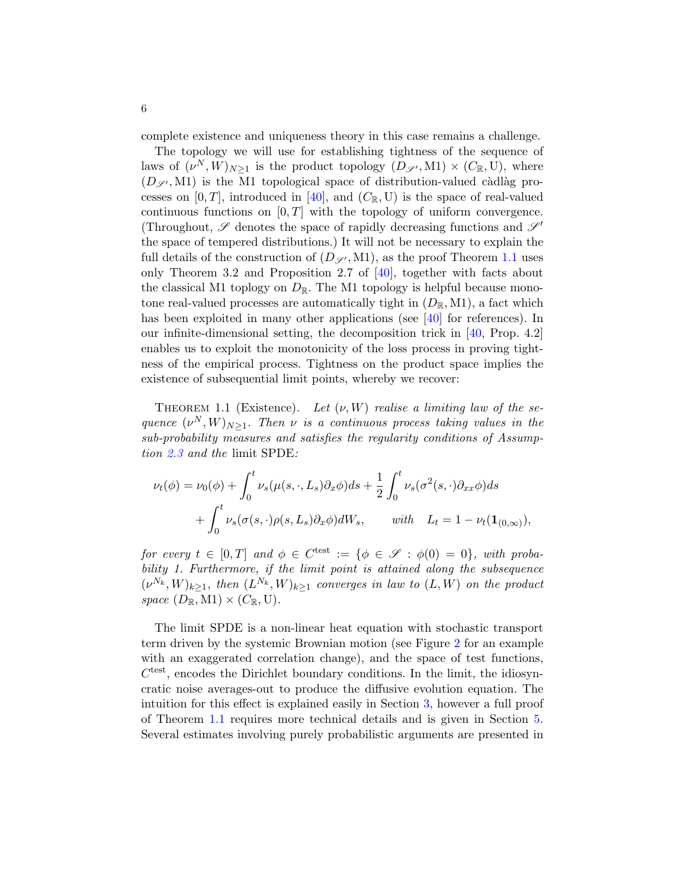complete existence and uniqueness theory in this case remains a challenge.

The topology we will use for establishing tightness of the sequence of laws of  $(\nu^N, W)_{N \geq 1}$  is the product topology  $(D_{\mathscr{S}'}, M1) \times (C_{\mathbb{R}}, U)$ , where  $(D_{\mathscr{S}'}, M1)$  is the M1 topological space of distribution-valued càdlàg processes on  $[0, T]$ , introduced in [\[40\]](#page-58-15), and  $(C_{\mathbb{R}}, U)$  is the space of real-valued continuous functions on  $[0, T]$  with the topology of uniform convergence. (Throughout,  $\mathscr S$  denotes the space of rapidly decreasing functions and  $\mathscr S'$ the space of tempered distributions.) It will not be necessary to explain the full details of the construction of  $(D_{\mathscr{S}'}, M1)$ , as the proof Theorem [1.1](#page-5-0) uses only Theorem 3.2 and Proposition 2.7 of [\[40\]](#page-58-15), together with facts about the classical M1 toplogy on  $D_{\mathbb{R}}$ . The M1 topology is helpful because monotone real-valued processes are automatically tight in  $(D_{\mathbb{R}}, M_1)$ , a fact which has been exploited in many other applications (see [\[40\]](#page-58-15) for references). In our infinite-dimensional setting, the decomposition trick in [\[40,](#page-58-15) Prop. 4.2] enables us to exploit the monotonicity of the loss process in proving tightness of the empirical process. Tightness on the product space implies the existence of subsequential limit points, whereby we recover:

<span id="page-5-0"></span>THEOREM 1.1 (Existence). Let  $(\nu, W)$  realise a limiting law of the sequence  $(\nu^N, W)_{N \geq 1}$ . Then  $\nu$  is a continuous process taking values in the sub-probability measures and satisfies the regularity conditions of Assumption [2.3](#page-11-0) and the limit SPDE:

$$
\nu_t(\phi) = \nu_0(\phi) + \int_0^t \nu_s(\mu(s,\cdot,L_s)\partial_x\phi)ds + \frac{1}{2}\int_0^t \nu_s(\sigma^2(s,\cdot)\partial_{xx}\phi)ds
$$
  
+ 
$$
\int_0^t \nu_s(\sigma(s,\cdot)\rho(s,L_s)\partial_x\phi)dW_s, \quad \text{with} \quad L_t = 1 - \nu_t(\mathbf{1}_{(0,\infty)}),
$$

for every  $t \in [0,T]$  and  $\phi \in C^{\text{test}} := \{ \phi \in \mathscr{S} : \phi(0) = 0 \}$ , with probability 1. Furthermore, if the limit point is attained along the subsequence  $(\nu^{N_k}, W)_{k \geq 1}$ , then  $(L^{N_k}, W)_{k \geq 1}$  converges in law to  $(L, W)$  on the product space  $(D_{\mathbb{R}}, M1) \times (C_{\mathbb{R}}, U)$ .

The limit SPDE is a non-linear heat equation with stochastic transport term driven by the systemic Brownian motion (see Figure [2](#page-6-0) for an example with an exaggerated correlation change), and the space of test functions,  $C<sup>test</sup>$ , encodes the Dirichlet boundary conditions. In the limit, the idiosyncratic noise averages-out to produce the diffusive evolution equation. The intuition for this effect is explained easily in Section [3,](#page-12-0) however a full proof of Theorem [1.1](#page-5-0) requires more technical details and is given in Section [5.](#page-24-0) Several estimates involving purely probabilistic arguments are presented in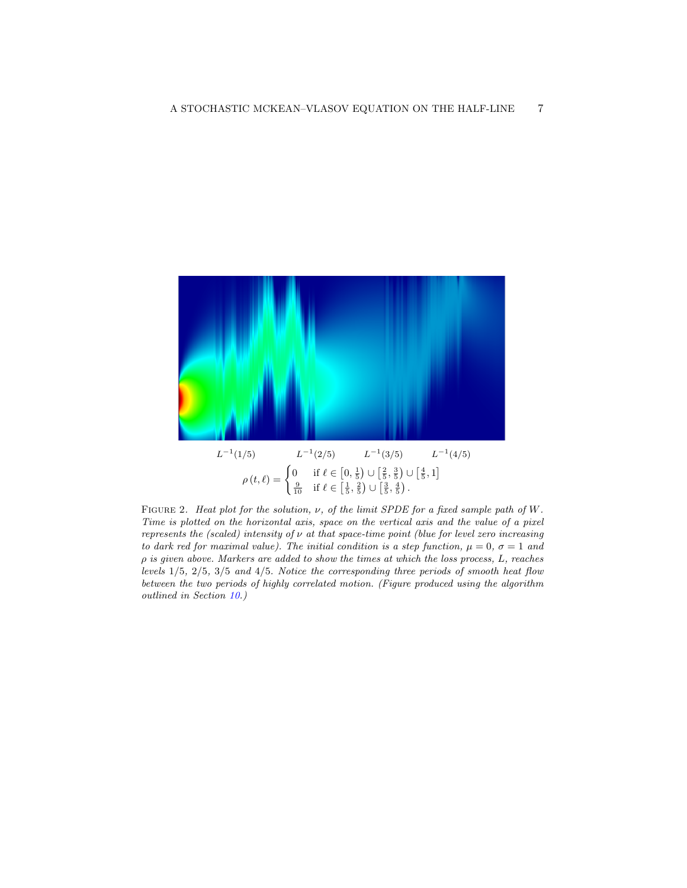

<span id="page-6-0"></span>FIGURE 2. Heat plot for the solution,  $\nu$ , of the limit SPDE for a fixed sample path of W. Time is plotted on the horizontal axis, space on the vertical axis and the value of a pixel represents the (scaled) intensity of  $\nu$  at that space-time point (blue for level zero increasing to dark red for maximal value). The initial condition is a step function,  $\mu = 0$ ,  $\sigma = 1$  and  $\rho$  is given above. Markers are added to show the times at which the loss process,  $L$ , reaches levels 1/5, 2/5, 3/5 and 4/5. Notice the corresponding three periods of smooth heat flow between the two periods of highly correlated motion. (Figure produced using the algorithm outlined in Section [10.](#page-54-0))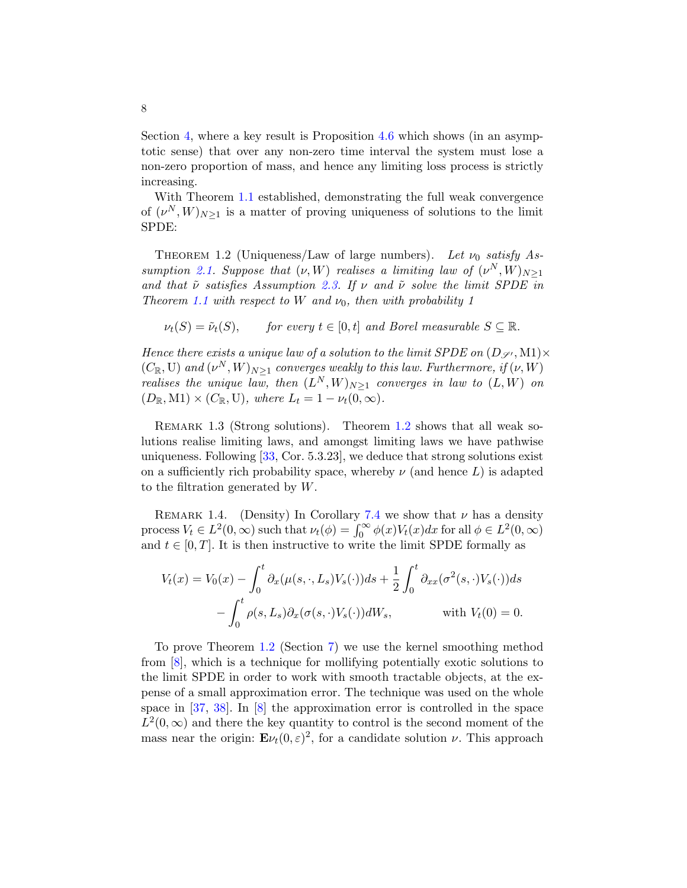Section [4,](#page-15-0) where a key result is Proposition [4.6](#page-19-0) which shows (in an asymptotic sense) that over any non-zero time interval the system must lose a non-zero proportion of mass, and hence any limiting loss process is strictly increasing.

With Theorem [1.1](#page-5-0) established, demonstrating the full weak convergence of  $(\nu^N, W)_{N \geq 1}$  is a matter of proving uniqueness of solutions to the limit SPDE:

<span id="page-7-0"></span>THEOREM 1.2 (Uniqueness/Law of large numbers). Let  $\nu_0$  satisfy As-sumption [2.1.](#page-10-0) Suppose that  $(\nu, W)$  realises a limiting law of  $(\nu^N, W)_{N \geq 1}$ and that  $\tilde{\nu}$  satisfies Assumption [2.3.](#page-11-0) If  $\nu$  and  $\tilde{\nu}$  solve the limit SPDE in Theorem [1.1](#page-5-0) with respect to W and  $\nu_0$ , then with probability 1

$$
\nu_t(S) = \tilde{\nu}_t(S)
$$
, for every  $t \in [0, t]$  and Borel measurable  $S \subseteq \mathbb{R}$ .

Hence there exists a unique law of a solution to the limit SPDE on  $(D_{\mathscr{S}'}, M1) \times$  $(C_{\mathbb{R}}, \mathbb{U})$  and  $(\nu^N, W)_{N \geq 1}$  converges weakly to this law. Furthermore, if  $(\nu, W)$ realises the unique law, then  $(L^N, W)_{N \geq 1}$  converges in law to  $(L, W)$  on  $(D_{\mathbb{R}}, \mathbf{M}1) \times (C_{\mathbb{R}}, \mathbf{U}),$  where  $L_t = 1 - \nu_t(0, \infty).$ 

<span id="page-7-1"></span>REMARK 1.3 (Strong solutions). Theorem [1.2](#page-7-0) shows that all weak solutions realise limiting laws, and amongst limiting laws we have pathwise uniqueness. Following  $[33, \text{Cor. } 5.3.23]$  $[33, \text{Cor. } 5.3.23]$ , we deduce that strong solutions exist on a sufficiently rich probability space, whereby  $\nu$  (and hence L) is adapted to the filtration generated by W.

REMARK 1.4. (Density) In Corollary [7.4](#page-39-0) we show that  $\nu$  has a density process  $V_t \in L^2(0, \infty)$  such that  $\nu_t(\phi) = \int_0^\infty \phi(x) V_t(x) dx$  for all  $\phi \in L^2(0, \infty)$ and  $t \in [0, T]$ . It is then instructive to write the limit SPDE formally as

$$
V_t(x) = V_0(x) - \int_0^t \partial_x(\mu(s,\cdot,L_s)V_s(\cdot))ds + \frac{1}{2}\int_0^t \partial_{xx}(\sigma^2(s,\cdot)V_s(\cdot))ds - \int_0^t \rho(s,L_s)\partial_x(\sigma(s,\cdot)V_s(\cdot))dW_s, \quad \text{with } V_t(0) = 0.
$$

To prove Theorem [1.2](#page-7-0) (Section [7\)](#page-37-0) we use the kernel smoothing method from [\[8\]](#page-57-0), which is a technique for mollifying potentially exotic solutions to the limit SPDE in order to work with smooth tractable objects, at the expense of a small approximation error. The technique was used on the whole space in [\[37,](#page-58-17) [38\]](#page-58-18). In [\[8\]](#page-57-0) the approximation error is controlled in the space  $L^2(0,\infty)$  and there the key quantity to control is the second moment of the mass near the origin:  $\mathbf{E}\nu_t(0,\varepsilon)^2$ , for a candidate solution  $\nu$ . This approach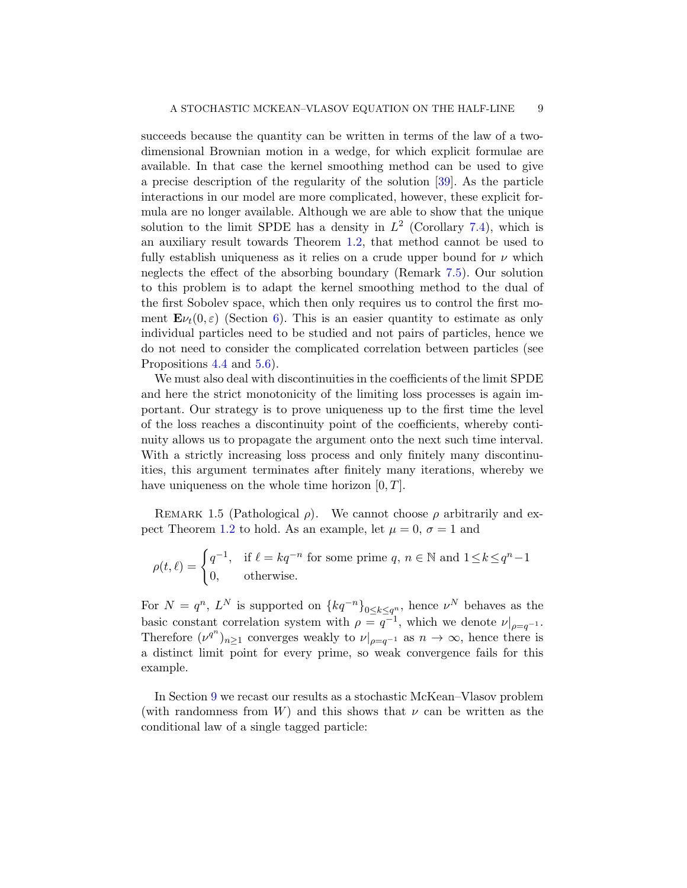succeeds because the quantity can be written in terms of the law of a twodimensional Brownian motion in a wedge, for which explicit formulae are available. In that case the kernel smoothing method can be used to give a precise description of the regularity of the solution [\[39\]](#page-58-19). As the particle interactions in our model are more complicated, however, these explicit formula are no longer available. Although we are able to show that the unique solution to the limit SPDE has a density in  $L^2$  (Corollary [7.4\)](#page-39-0), which is an auxiliary result towards Theorem [1.2,](#page-7-0) that method cannot be used to fully establish uniqueness as it relies on a crude upper bound for  $\nu$  which neglects the effect of the absorbing boundary (Remark [7.5\)](#page-40-0). Our solution to this problem is to adapt the kernel smoothing method to the dual of the first Sobolev space, which then only requires us to control the first moment  $\mathbf{E}\nu_t(0,\varepsilon)$  (Section [6\)](#page-33-0). This is an easier quantity to estimate as only individual particles need to be studied and not pairs of particles, hence we do not need to consider the complicated correlation between particles (see Propositions [4.4](#page-17-0) and [5.6\)](#page-28-0).

We must also deal with discontinuities in the coefficients of the limit SPDE and here the strict monotonicity of the limiting loss processes is again important. Our strategy is to prove uniqueness up to the first time the level of the loss reaches a discontinuity point of the coefficients, whereby continuity allows us to propagate the argument onto the next such time interval. With a strictly increasing loss process and only finitely many discontinuities, this argument terminates after finitely many iterations, whereby we have uniqueness on the whole time horizon  $[0, T]$ .

REMARK 1.5 (Pathological  $\rho$ ). We cannot choose  $\rho$  arbitrarily and ex-pect Theorem [1.2](#page-7-0) to hold. As an example, let  $\mu = 0$ ,  $\sigma = 1$  and

$$
\rho(t,\ell) = \begin{cases} q^{-1}, & \text{if } \ell = kq^{-n} \text{ for some prime } q, n \in \mathbb{N} \text{ and } 1 \le k \le q^n - 1 \\ 0, & \text{otherwise.} \end{cases}
$$

For  $N = q^n$ ,  $L^N$  is supported on  $\{kq^{-n}\}_{0 \leq k \leq q^n}$ , hence  $\nu^N$  behaves as the basic constant correlation system with  $\rho = \overline{q^{-1}}$ , which we denote  $\nu|_{\rho=q^{-1}}$ . Therefore  $(\nu^{q^n})_{n\geq 1}$  converges weakly to  $\nu|_{\rho=q^{-1}}$  as  $n\to\infty$ , hence there is a distinct limit point for every prime, so weak convergence fails for this example.

In Section [9](#page-53-0) we recast our results as a stochastic McKean–Vlasov problem (with randomness from W) and this shows that  $\nu$  can be written as the conditional law of a single tagged particle: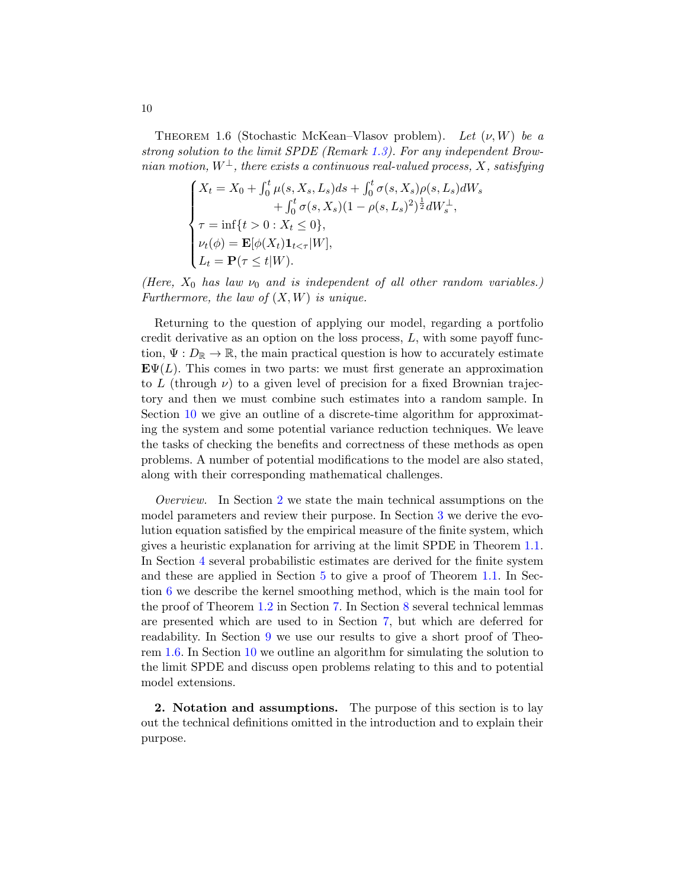<span id="page-9-1"></span>THEOREM 1.6 (Stochastic McKean–Vlasov problem). Let  $(\nu, W)$  be a strong solution to the limit SPDE (Remark [1.3\)](#page-7-1). For any independent Brownian motion,  $W^{\perp}$ , there exists a continuous real-valued process, X, satisfying

$$
\begin{cases}\nX_t = X_0 + \int_0^t \mu(s, X_s, L_s) ds + \int_0^t \sigma(s, X_s) \rho(s, L_s) dW_s \\
+ \int_0^t \sigma(s, X_s) (1 - \rho(s, L_s)^2)^{\frac{1}{2}} dW_s^{\perp}, \\
\tau = \inf\{t > 0 : X_t \le 0\}, \\
\nu_t(\phi) = \mathbf{E}[\phi(X_t) \mathbf{1}_{t < \tau} | W], \\
L_t = \mathbf{P}(\tau \le t | W).\n\end{cases}
$$

(Here,  $X_0$  has law  $\nu_0$  and is independent of all other random variables.) Furthermore, the law of  $(X, W)$  is unique.

Returning to the question of applying our model, regarding a portfolio credit derivative as an option on the loss process, L, with some payoff function,  $\Psi: D_{\mathbb{R}} \to \mathbb{R}$ , the main practical question is how to accurately estimate **. This comes in two parts: we must first generate an approximation** to L (through  $\nu$ ) to a given level of precision for a fixed Brownian trajectory and then we must combine such estimates into a random sample. In Section [10](#page-54-0) we give an outline of a discrete-time algorithm for approximating the system and some potential variance reduction techniques. We leave the tasks of checking the benefits and correctness of these methods as open problems. A number of potential modifications to the model are also stated, along with their corresponding mathematical challenges.

Overview. In Section [2](#page-9-0) we state the main technical assumptions on the model parameters and review their purpose. In Section [3](#page-12-0) we derive the evolution equation satisfied by the empirical measure of the finite system, which gives a heuristic explanation for arriving at the limit SPDE in Theorem [1.1.](#page-5-0) In Section [4](#page-15-0) several probabilistic estimates are derived for the finite system and these are applied in Section [5](#page-24-0) to give a proof of Theorem [1.1.](#page-5-0) In Section [6](#page-33-0) we describe the kernel smoothing method, which is the main tool for the proof of Theorem [1.2](#page-7-0) in Section [7.](#page-37-0) In Section [8](#page-47-0) several technical lemmas are presented which are used to in Section [7,](#page-37-0) but which are deferred for readability. In Section [9](#page-53-0) we use our results to give a short proof of Theorem [1.6.](#page-9-1) In Section [10](#page-54-0) we outline an algorithm for simulating the solution to the limit SPDE and discuss open problems relating to this and to potential model extensions.

<span id="page-9-0"></span>2. Notation and assumptions. The purpose of this section is to lay out the technical definitions omitted in the introduction and to explain their purpose.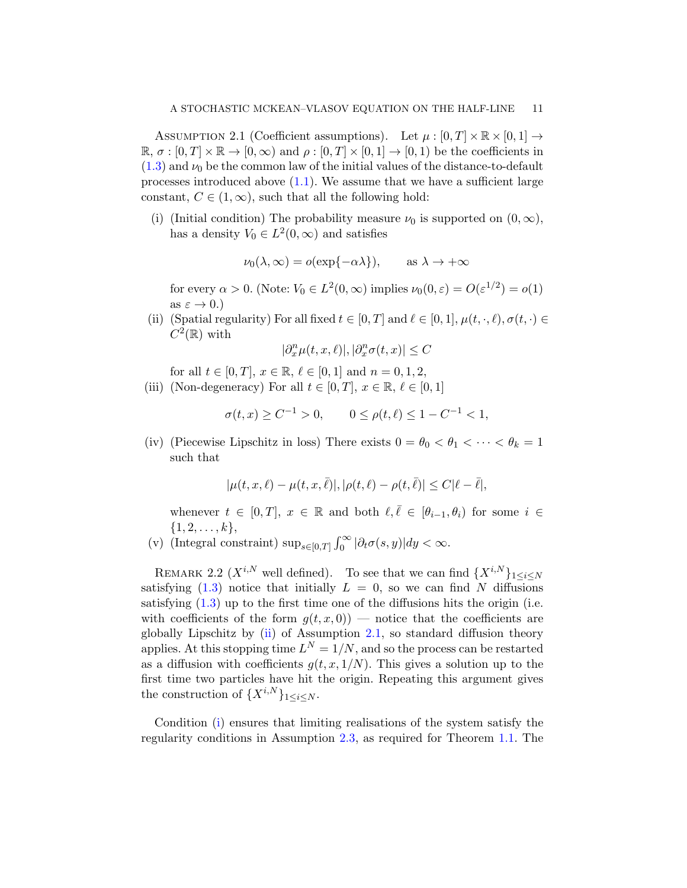<span id="page-10-0"></span>ASSUMPTION 2.1 (Coefficient assumptions). Let  $\mu : [0, T] \times \mathbb{R} \times [0, 1] \rightarrow$  $\mathbb{R}, \sigma : [0, T] \times \mathbb{R} \to [0, \infty)$  and  $\rho : [0, T] \times [0, 1] \to [0, 1)$  be the coefficients in  $(1.3)$  and  $\nu_0$  be the common law of the initial values of the distance-to-default processes introduced above  $(1.1)$ . We assume that we have a sufficient large constant,  $C \in (1,\infty)$ , such that all the following hold:

<span id="page-10-3"></span>(i) (Initial condition) The probability measure  $\nu_0$  is supported on  $(0, \infty)$ , has a density  $V_0 \in L^2(0, \infty)$  and satisfies

$$
\nu_0(\lambda, \infty) = o(\exp\{-\alpha\lambda\}), \quad \text{as } \lambda \to +\infty
$$

for every  $\alpha > 0$ . (Note:  $V_0 \in L^2(0, \infty)$  implies  $\nu_0(0, \varepsilon) = O(\varepsilon^{1/2}) = o(1)$ as  $\varepsilon \to 0$ .)

<span id="page-10-2"></span>(ii) (Spatial regularity) For all fixed  $t \in [0, T]$  and  $\ell \in [0, 1]$ ,  $\mu(t, \cdot, \ell), \sigma(t, \cdot) \in$  $C^2(\mathbb{R})$  with

$$
|\partial^n_x\mu(t,x,\ell)|,|\partial^n_x\sigma(t,x)|\leq C
$$

for all  $t \in [0, T]$ ,  $x \in \mathbb{R}$ ,  $\ell \in [0, 1]$  and  $n = 0, 1, 2$ ,

<span id="page-10-4"></span>(iii) (Non-degeneracy) For all  $t \in [0, T]$ ,  $x \in \mathbb{R}$ ,  $\ell \in [0, 1]$ 

$$
\sigma(t, x) \ge C^{-1} > 0, \qquad 0 \le \rho(t, \ell) \le 1 - C^{-1} < 1,
$$

<span id="page-10-5"></span>(iv) (Piecewise Lipschitz in loss) There exists  $0 = \theta_0 < \theta_1 < \cdots < \theta_k = 1$ such that

$$
|\mu(t,x,\ell)-\mu(t,x,\bar{\ell})|,|\rho(t,\ell)-\rho(t,\bar{\ell})|\leq C|\ell-\bar{\ell}|,
$$

whenever  $t \in [0, T]$ ,  $x \in \mathbb{R}$  and both  $\ell, \overline{\ell} \in [\theta_{i-1}, \theta_i)$  for some  $i \in$  $\{1, 2, \ldots, k\},\$ 

<span id="page-10-6"></span>(v) (Integral constraint)  $\sup_{s\in[0,T]}\int_0^\infty|\partial_t\sigma(s,y)|dy<\infty$ .

<span id="page-10-1"></span>REMARK 2.2 ( $X^{i,N}$  well defined). To see that we can find  $\{X^{i,N}\}_{1\leq i\leq N}$ satisfying  $(1.3)$  notice that initially  $L = 0$ , so we can find N diffusions satisfying [\(1.3\)](#page-2-0) up to the first time one of the diffusions hits the origin (i.e. with coefficients of the form  $q(t, x, 0)$  — notice that the coefficients are globally Lipschitz by [\(ii\)](#page-10-2) of Assumption [2.1,](#page-10-0) so standard diffusion theory applies. At this stopping time  $L^N = 1/N$ , and so the process can be restarted as a diffusion with coefficients  $g(t, x, 1/N)$ . This gives a solution up to the first time two particles have hit the origin. Repeating this argument gives the construction of  $\{X^{i,N}\}_{1\leq i\leq N}$ .

Condition [\(i\)](#page-10-3) ensures that limiting realisations of the system satisfy the regularity conditions in Assumption [2.3,](#page-11-0) as required for Theorem [1.1.](#page-5-0) The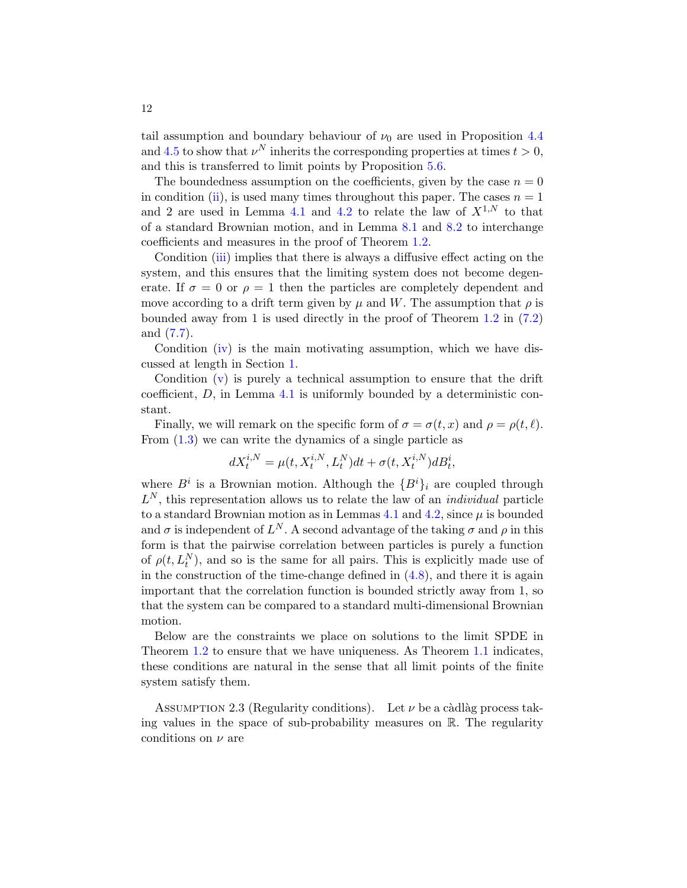tail assumption and boundary behaviour of  $\nu_0$  are used in Proposition [4.4](#page-17-0) and [4.5](#page-18-0) to show that  $\nu^N$  inherits the corresponding properties at times  $t > 0$ , and this is transferred to limit points by Proposition [5.6.](#page-28-0)

The boundedness assumption on the coefficients, given by the case  $n = 0$ in condition [\(ii\)](#page-10-2), is used many times throughout this paper. The cases  $n = 1$ and 2 are used in Lemma [4.1](#page-15-1) and [4.2](#page-16-0) to relate the law of  $X^{1,N}$  to that of a standard Brownian motion, and in Lemma [8.1](#page-47-1) and [8.2](#page-48-0) to interchange coefficients and measures in the proof of Theorem [1.2.](#page-7-0)

Condition [\(iii\)](#page-10-4) implies that there is always a diffusive effect acting on the system, and this ensures that the limiting system does not become degenerate. If  $\sigma = 0$  or  $\rho = 1$  then the particles are completely dependent and move according to a drift term given by  $\mu$  and W. The assumption that  $\rho$  is bounded away from 1 is used directly in the proof of Theorem [1.2](#page-7-0) in [\(7.2\)](#page-41-0) and [\(7.7\)](#page-44-0).

Condition [\(iv\)](#page-10-5) is the main motivating assumption, which we have discussed at length in Section [1.](#page-0-4)

Condition  $(v)$  is purely a technical assumption to ensure that the drift coefficient, D, in Lemma [4.1](#page-15-1) is uniformly bounded by a deterministic constant.

Finally, we will remark on the specific form of  $\sigma = \sigma(t, x)$  and  $\rho = \rho(t, \ell)$ . From [\(1.3\)](#page-2-0) we can write the dynamics of a single particle as

$$
dX_t^{i,N} = \mu(t, X_t^{i,N}, L_t^N)dt + \sigma(t, X_t^{i,N})dB_t^i,
$$

where  $B^i$  is a Brownian motion. Although the  $\{B^i\}_i$  are coupled through  $L^N$ , this representation allows us to relate the law of an *individual* particle to a standard Brownian motion as in Lemmas [4.1](#page-15-1) and [4.2,](#page-16-0) since  $\mu$  is bounded and  $\sigma$  is independent of  $L^N$ . A second advantage of the taking  $\sigma$  and  $\rho$  in this form is that the pairwise correlation between particles is purely a function of  $\rho(t, L_t^N)$ , and so is the same for all pairs. This is explicitly made use of in the construction of the time-change defined in  $(4.8)$ , and there it is again important that the correlation function is bounded strictly away from 1, so that the system can be compared to a standard multi-dimensional Brownian motion.

Below are the constraints we place on solutions to the limit SPDE in Theorem [1.2](#page-7-0) to ensure that we have uniqueness. As Theorem [1.1](#page-5-0) indicates, these conditions are natural in the sense that all limit points of the finite system satisfy them.

<span id="page-11-0"></span>ASSUMPTION 2.3 (Regularity conditions). Let  $\nu$  be a càdlàg process taking values in the space of sub-probability measures on R. The regularity conditions on  $\nu$  are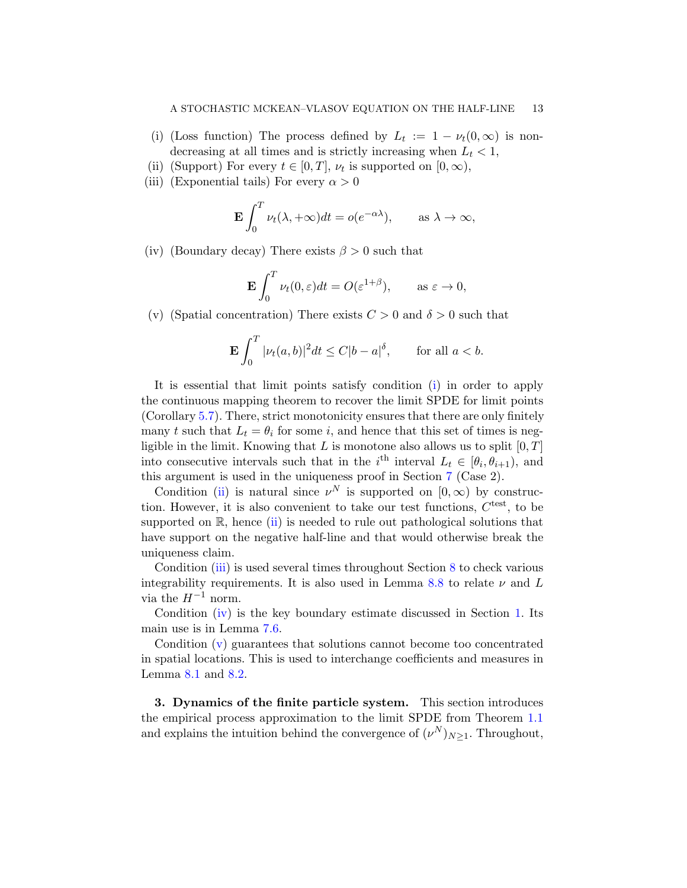- <span id="page-12-1"></span>(i) (Loss function) The process defined by  $L_t := 1 - \nu_t(0, \infty)$  is nondecreasing at all times and is strictly increasing when  $L_t < 1$ ,
- <span id="page-12-2"></span>(ii) (Support) For every  $t \in [0, T]$ ,  $\nu_t$  is supported on  $[0, \infty)$ ,
- <span id="page-12-3"></span>(iii) (Exponential tails) For every  $\alpha > 0$

$$
\mathbf{E} \int_0^T \nu_t(\lambda, +\infty) dt = o(e^{-\alpha \lambda}), \quad \text{as } \lambda \to \infty,
$$

<span id="page-12-4"></span>(iv) (Boundary decay) There exists  $\beta > 0$  such that

$$
\mathbf{E} \int_0^T \nu_t(0,\varepsilon) dt = O(\varepsilon^{1+\beta}), \qquad \text{as } \varepsilon \to 0,
$$

<span id="page-12-5"></span>(v) (Spatial concentration) There exists  $C > 0$  and  $\delta > 0$  such that

$$
\mathbf{E} \int_0^T |\nu_t(a, b)|^2 dt \le C|b - a|^\delta, \quad \text{for all } a < b.
$$

It is essential that limit points satisfy condition [\(i\)](#page-12-1) in order to apply the continuous mapping theorem to recover the limit SPDE for limit points (Corollary [5.7\)](#page-30-0). There, strict monotonicity ensures that there are only finitely many t such that  $L_t = \theta_i$  for some i, and hence that this set of times is negligible in the limit. Knowing that  $L$  is monotone also allows us to split  $[0, T]$ into consecutive intervals such that in the  $i^{\text{th}}$  interval  $L_t \in [\theta_i, \theta_{i+1}),$  and this argument is used in the uniqueness proof in Section [7](#page-37-0) (Case 2).

Condition [\(ii\)](#page-12-2) is natural since  $\nu^N$  is supported on  $[0,\infty)$  by construction. However, it is also convenient to take our test functions,  $C^{\text{test}}$ , to be supported on  $\mathbb{R}$ , hence [\(ii\)](#page-12-2) is needed to rule out pathological solutions that have support on the negative half-line and that would otherwise break the uniqueness claim.

Condition [\(iii\)](#page-12-3) is used several times throughout Section [8](#page-47-0) to check various integrability requirements. It is also used in Lemma [8.8](#page-51-0) to relate  $\nu$  and L via the  $H^{-1}$  norm.

Condition [\(iv\)](#page-12-4) is the key boundary estimate discussed in Section [1.](#page-0-4) Its main use is in Lemma [7.6.](#page-43-0)

Condition [\(v\)](#page-12-5) guarantees that solutions cannot become too concentrated in spatial locations. This is used to interchange coefficients and measures in Lemma [8.1](#page-47-1) and [8.2.](#page-48-0)

<span id="page-12-0"></span>3. Dynamics of the finite particle system. This section introduces the empirical process approximation to the limit SPDE from Theorem [1.1](#page-5-0) and explains the intuition behind the convergence of  $(\nu^N)_{N\geq 1}$ . Throughout,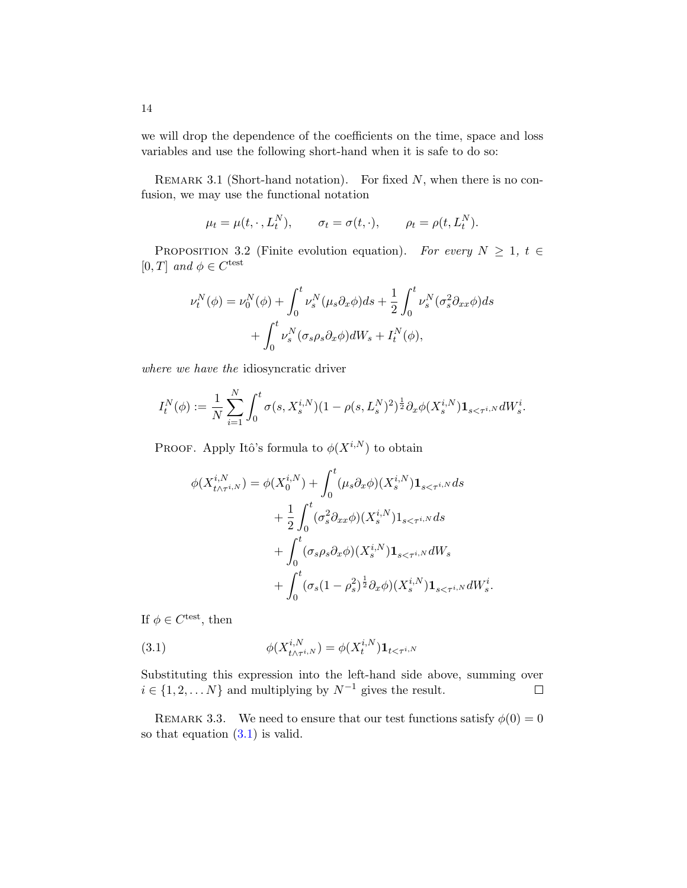we will drop the dependence of the coefficients on the time, space and loss variables and use the following short-hand when it is safe to do so:

<span id="page-13-2"></span>REMARK 3.1 (Short-hand notation). For fixed  $N$ , when there is no confusion, we may use the functional notation

$$
\mu_t = \mu(t, \cdot, L_t^N), \qquad \sigma_t = \sigma(t, \cdot), \qquad \rho_t = \rho(t, L_t^N).
$$

<span id="page-13-1"></span>PROPOSITION 3.2 (Finite evolution equation). For every  $N \geq 1$ ,  $t \in$ [0, T] and  $\phi \in C^{\text{test}}$ 

$$
\nu_t^N(\phi) = \nu_0^N(\phi) + \int_0^t \nu_s^N(\mu_s \partial_x \phi) ds + \frac{1}{2} \int_0^t \nu_s^N(\sigma_s^2 \partial_{xx} \phi) ds + \int_0^t \nu_s^N(\sigma_s \rho_s \partial_x \phi) dW_s + I_t^N(\phi),
$$

where we have the idiosyncratic driver

$$
I_t^N(\phi) := \frac{1}{N} \sum_{i=1}^N \int_0^t \sigma(s, X_s^{i,N}) (1 - \rho(s, L_s^N))^2 \, \frac{1}{2} \partial_x \phi(X_s^{i,N}) \mathbf{1}_{s < \tau^{i,N}} dW_s^i.
$$

PROOF. Apply Itô's formula to  $\phi(X^{i,N})$  to obtain

$$
\phi(X_{t \wedge \tau^{i,N}}^{i,N}) = \phi(X_0^{i,N}) + \int_0^t (\mu_s \partial_x \phi)(X_s^{i,N}) \mathbf{1}_{s < \tau^{i,N}} ds + \frac{1}{2} \int_0^t (\sigma_s^2 \partial_{xx} \phi)(X_s^{i,N}) \mathbf{1}_{s < \tau^{i,N}} ds + \int_0^t (\sigma_s \rho_s \partial_x \phi)(X_s^{i,N}) \mathbf{1}_{s < \tau^{i,N}} dW_s + \int_0^t (\sigma_s (1 - \rho_s^2)^{\frac{1}{2}} \partial_x \phi)(X_s^{i,N}) \mathbf{1}_{s < \tau^{i,N}} dW_s^i.
$$

If  $\phi \in C^{\text{test}}$ , then

<span id="page-13-0"></span>(3.1) 
$$
\phi(X_{t \wedge \tau^{i,N}}^{i,N}) = \phi(X_t^{i,N}) \mathbf{1}_{t < \tau^{i,N}}
$$

Substituting this expression into the left-hand side above, summing over  $i \in \{1, 2, \dots N\}$  and multiplying by  $N^{-1}$  gives the result.  $\Box$ 

REMARK 3.3. We need to ensure that our test functions satisfy  $\phi(0) = 0$ so that equation [\(3.1\)](#page-13-0) is valid.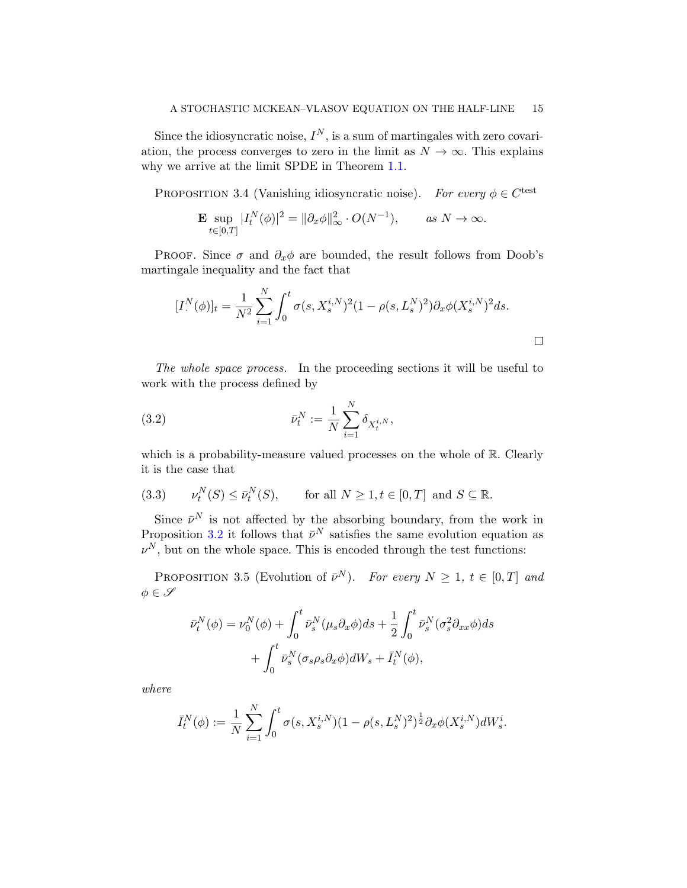Since the idiosyncratic noise,  $I^N$ , is a sum of martingales with zero covariation, the process converges to zero in the limit as  $N \to \infty$ . This explains why we arrive at the limit SPDE in Theorem [1.1.](#page-5-0)

<span id="page-14-1"></span>PROPOSITION 3.4 (Vanishing idiosyncratic noise). For every  $\phi \in C^{\text{test}}$ 

$$
\mathbf{E} \sup_{t \in [0,T]} |I_t^N(\phi)|^2 = \|\partial_x \phi\|_{\infty}^2 \cdot O(N^{-1}), \quad \text{as } N \to \infty.
$$

PROOF. Since  $\sigma$  and  $\partial_x \phi$  are bounded, the result follows from Doob's martingale inequality and the fact that

$$
[I^{N}(\phi)]_{t} = \frac{1}{N^{2}} \sum_{i=1}^{N} \int_{0}^{t} \sigma(s, X_{s}^{i,N})^{2} (1 - \rho(s, L_{s}^{N})^{2}) \partial_{x} \phi(X_{s}^{i,N})^{2} ds.
$$

The whole space process. In the proceeding sections it will be useful to work with the process defined by

<span id="page-14-0"></span>(3.2) 
$$
\bar{\nu}_t^N := \frac{1}{N} \sum_{i=1}^N \delta_{X_t^{i,N}},
$$

which is a probability-measure valued processes on the whole of  $\mathbb{R}$ . Clearly it is the case that

(3.3) 
$$
\nu_t^N(S) \le \bar{\nu}_t^N(S), \quad \text{for all } N \ge 1, t \in [0, T] \text{ and } S \subseteq \mathbb{R}.
$$

Since  $\bar{\nu}^N$  is not affected by the absorbing boundary, from the work in Proposition [3.2](#page-13-1) it follows that  $\bar{\nu}^N$  satisfies the same evolution equation as  $\nu^N$ , but on the whole space. This is encoded through the test functions:

<span id="page-14-2"></span>PROPOSITION 3.5 (Evolution of  $\bar{\nu}^N$ ). For every  $N \geq 1$ ,  $t \in [0, T]$  and  $\phi \in \mathscr{S}$ 

$$
\bar{\nu}_t^N(\phi) = \nu_0^N(\phi) + \int_0^t \bar{\nu}_s^N(\mu_s \partial_x \phi) ds + \frac{1}{2} \int_0^t \bar{\nu}_s^N(\sigma_s^2 \partial_{xx} \phi) ds + \int_0^t \bar{\nu}_s^N(\sigma_s \rho_s \partial_x \phi) dW_s + \bar{I}_t^N(\phi),
$$

where

$$
\bar{I}_t^N(\phi) := \frac{1}{N} \sum_{i=1}^N \int_0^t \sigma(s, X_s^{i,N})(1 - \rho(s, L_s^N)^2)^{\frac{1}{2}} \partial_x \phi(X_s^{i,N}) dW_s^i.
$$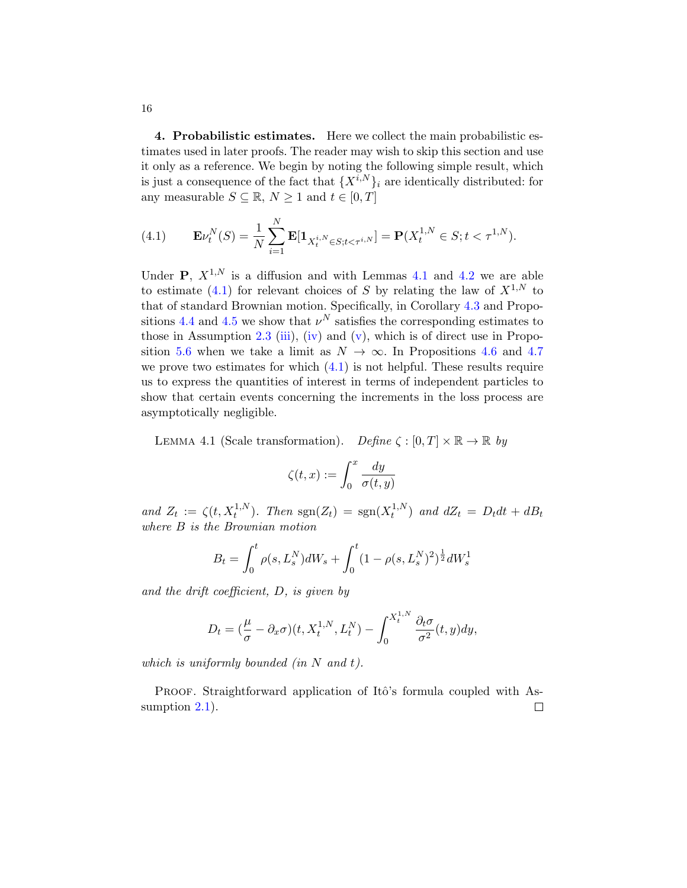<span id="page-15-0"></span>4. Probabilistic estimates. Here we collect the main probabilistic estimates used in later proofs. The reader may wish to skip this section and use it only as a reference. We begin by noting the following simple result, which is just a consequence of the fact that  ${X^{i,N}}_i$  are identically distributed: for any measurable  $S \subseteq \mathbb{R}$ ,  $N \geq 1$  and  $t \in [0, T]$ 

<span id="page-15-2"></span>(4.1) 
$$
\mathbf{E}\nu_t^N(S) = \frac{1}{N} \sum_{i=1}^N \mathbf{E}[\mathbf{1}_{X_t^{i,N} \in S; t < \tau^{i,N}}] = \mathbf{P}(X_t^{1,N} \in S; t < \tau^{1,N}).
$$

Under **P**,  $X^{1,N}$  is a diffusion and with Lemmas [4.1](#page-15-1) and [4.2](#page-16-0) we are able to estimate [\(4.1\)](#page-15-2) for relevant choices of S by relating the law of  $X^{1,N}$  to that of standard Brownian motion. Specifically, in Corollary [4.3](#page-16-1) and Propo-sitions [4.4](#page-17-0) and [4.5](#page-18-0) we show that  $\nu^N$  satisfies the corresponding estimates to those in Assumption [2.3](#page-11-0) [\(iii\)](#page-12-3), [\(iv\)](#page-12-4) and [\(v\)](#page-12-5), which is of direct use in Propo-sition [5.6](#page-28-0) when we take a limit as  $N \to \infty$ . In Propositions [4.6](#page-19-0) and [4.7](#page-22-0) we prove two estimates for which  $(4.1)$  is not helpful. These results require us to express the quantities of interest in terms of independent particles to show that certain events concerning the increments in the loss process are asymptotically negligible.

<span id="page-15-1"></span>LEMMA 4.1 (Scale transformation). Define  $\zeta : [0, T] \times \mathbb{R} \to \mathbb{R}$  by

$$
\zeta(t,x):=\int_0^x\frac{dy}{\sigma(t,y)}
$$

and  $Z_t := \zeta(t, X_t^{1,N})$ . Then  $sgn(Z_t) = sgn(X_t^{1,N})$  $(t_t^{(1,N)})$  and  $dZ_t = D_t dt + dB_t$ where B is the Brownian motion

$$
B_t = \int_0^t \rho(s, L_s^N) dW_s + \int_0^t (1 - \rho(s, L_s^N))^2 \frac{1}{2} dW_s^1
$$

and the drift coefficient, D, is given by

$$
D_t = \left(\frac{\mu}{\sigma} - \partial_x \sigma\right)(t, X_t^{1,N}, L_t^N) - \int_0^{X_t^{1,N}} \frac{\partial_t \sigma}{\sigma^2}(t, y) dy,
$$

which is uniformly bounded (in  $N$  and  $t$ ).

PROOF. Straightforward application of Itô's formula coupled with Assumption  $2.1$ ).  $\Box$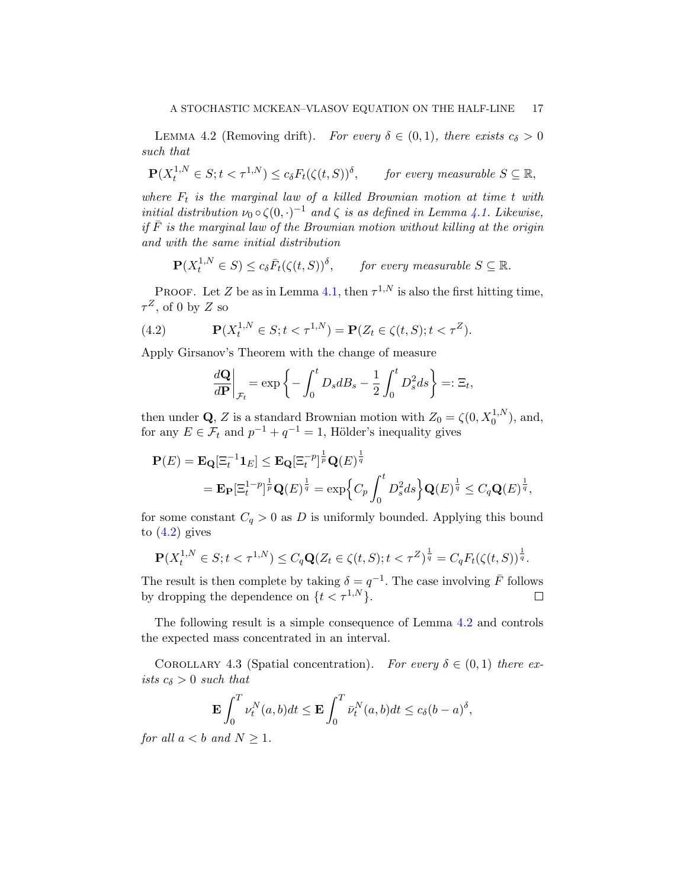<span id="page-16-0"></span>LEMMA 4.2 (Removing drift). For every  $\delta \in (0,1)$ , there exists  $c_{\delta} > 0$ such that

$$
\mathbf{P}(X_t^{1,N} \in S; t < \tau^{1,N}) \le c_\delta F_t(\zeta(t,S))^\delta, \qquad \text{for every measurable } S \subseteq \mathbb{R},
$$

where  $F_t$  is the marginal law of a killed Brownian motion at time t with initial distribution  $\nu_0 \circ \zeta(0, \cdot)^{-1}$  and  $\zeta$  is as defined in Lemma [4.1.](#page-15-1) Likewise, if  $\overline{F}$  is the marginal law of the Brownian motion without killing at the origin and with the same initial distribution

$$
\mathbf{P}(X_t^{1,N} \in S) \le c_\delta \bar{F}_t(\zeta(t,S))^\delta, \quad \text{for every measurable } S \subseteq \mathbb{R}.
$$

PROOF. Let Z be as in Lemma [4.1,](#page-15-1) then  $\tau^{1,N}$  is also the first hitting time,  $\tau^Z$ , of 0 by Z so

(4.2) 
$$
\mathbf{P}(X_t^{1,N} \in S; t < \tau^{1,N}) = \mathbf{P}(Z_t \in \zeta(t,S); t < \tau^Z).
$$

Apply Girsanov's Theorem with the change of measure

<span id="page-16-2"></span>
$$
\left. \frac{d\mathbf{Q}}{d\mathbf{P}} \right|_{\mathcal{F}_t} = \exp\left\{-\int_0^t D_s dB_s - \frac{1}{2} \int_0^t D_s^2 ds \right\} =: \Xi_t,
$$

then under **Q**, Z is a standard Brownian motion with  $Z_0 = \zeta(0, X_0^{1,N})$ , and, for any  $E \in \mathcal{F}_t$  and  $p^{-1} + q^{-1} = 1$ , Hölder's inequality gives

$$
\mathbf{P}(E) = \mathbf{E}_{\mathbf{Q}}[\Xi_t^{-1}\mathbf{1}_E] \le \mathbf{E}_{\mathbf{Q}}[\Xi_t^{-p}]^{\frac{1}{p}} \mathbf{Q}(E)^{\frac{1}{q}}
$$
  
= 
$$
\mathbf{E}_{\mathbf{P}}[\Xi_t^{1-p}]^{\frac{1}{p}} \mathbf{Q}(E)^{\frac{1}{q}} = \exp\Big\{C_p \int_0^t D_s^2 ds\Big\} \mathbf{Q}(E)^{\frac{1}{q}} \le C_q \mathbf{Q}(E)^{\frac{1}{q}},
$$

for some constant  $C_q > 0$  as D is uniformly bounded. Applying this bound to  $(4.2)$  gives

$$
\mathbf{P}(X_t^{1,N} \in S; t < \tau^{1,N}) \le C_q \mathbf{Q}(Z_t \in \zeta(t,S); t < \tau^Z)^{\frac{1}{q}} = C_q F_t(\zeta(t,S))^{\frac{1}{q}}.
$$

The result is then complete by taking  $\delta = q^{-1}$ . The case involving  $\bar{F}$  follows by dropping the dependence on  $\{t < \tau^{1,N}\}.$  $\Box$ 

The following result is a simple consequence of Lemma [4.2](#page-16-0) and controls the expected mass concentrated in an interval.

<span id="page-16-1"></span>COROLLARY 4.3 (Spatial concentration). For every  $\delta \in (0,1)$  there exists  $c_{\delta} > 0$  such that

$$
\mathbf{E} \int_0^T \nu_t^N(a,b)dt \le \mathbf{E} \int_0^T \bar{\nu}_t^N(a,b)dt \le c_\delta (b-a)^\delta,
$$

for all  $a < b$  and  $N \geq 1$ .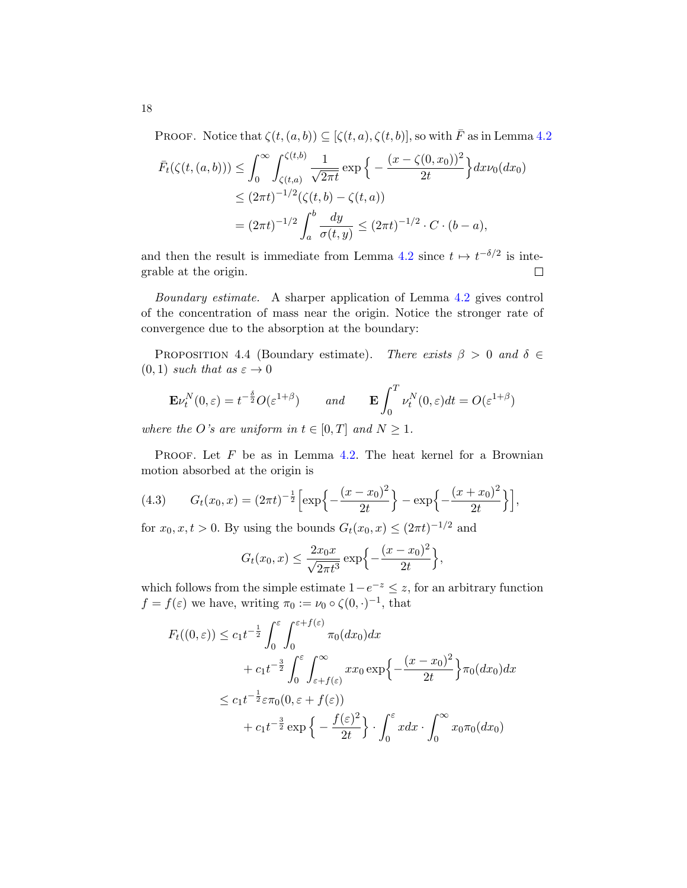PROOF. Notice that  $\zeta(t,(a, b)) \subseteq [\zeta(t, a), \zeta(t, b)]$ , so with  $\overline{F}$  as in Lemma [4.2](#page-16-0)

$$
\bar{F}_t(\zeta(t,(a,b))) \leq \int_0^\infty \int_{\zeta(t,a)}^{\zeta(t,b)} \frac{1}{\sqrt{2\pi t}} \exp\left\{-\frac{(x-\zeta(0,x_0))^2}{2t}\right\} dx \nu_0(dx_0)
$$
\n
$$
\leq (2\pi t)^{-1/2} (\zeta(t,b) - \zeta(t,a))
$$
\n
$$
= (2\pi t)^{-1/2} \int_a^b \frac{dy}{\sigma(t,y)} \leq (2\pi t)^{-1/2} \cdot C \cdot (b-a),
$$

and then the result is immediate from Lemma [4.2](#page-16-0) since  $t \mapsto t^{-\delta/2}$  is integrable at the origin.  $\Box$ 

Boundary estimate. A sharper application of Lemma [4.2](#page-16-0) gives control of the concentration of mass near the origin. Notice the stronger rate of convergence due to the absorption at the boundary:

<span id="page-17-0"></span>PROPOSITION 4.4 (Boundary estimate). There exists  $\beta > 0$  and  $\delta \in$  $(0, 1)$  such that as  $\varepsilon \to 0$ 

$$
\mathbf{E} \nu_t^N(0,\varepsilon) = t^{-\frac{\delta}{2}} O(\varepsilon^{1+\beta}) \qquad and \qquad \mathbf{E} \int_0^T \nu_t^N(0,\varepsilon) dt = O(\varepsilon^{1+\beta})
$$

where the O's are uniform in  $t \in [0, T]$  and  $N \geq 1$ .

PROOF. Let  $F$  be as in Lemma [4.2.](#page-16-0) The heat kernel for a Brownian motion absorbed at the origin is

(4.3) 
$$
G_t(x_0, x) = (2\pi t)^{-\frac{1}{2}} \left[ \exp\left\{-\frac{(x-x_0)^2}{2t}\right\} - \exp\left\{-\frac{(x+x_0)^2}{2t}\right\} \right],
$$

for  $x_0, x, t > 0$ . By using the bounds  $G_t(x_0, x) \leq (2\pi t)^{-1/2}$  and

$$
G_t(x_0, x) \le \frac{2x_0 x}{\sqrt{2\pi t^3}} \exp\left\{-\frac{(x-x_0)^2}{2t}\right\},\,
$$

which follows from the simple estimate  $1-e^{-z} \leq z$ , for an arbitrary function  $f = f(\varepsilon)$  we have, writing  $\pi_0 := \nu_0 \circ \zeta(0, \cdot)^{-1}$ , that

$$
F_t((0,\varepsilon)) \le c_1 t^{-\frac{1}{2}} \int_0^{\varepsilon} \int_0^{\varepsilon+f(\varepsilon)} \pi_0(dx_0) dx
$$
  
+  $c_1 t^{-\frac{3}{2}} \int_0^{\varepsilon} \int_{\varepsilon+f(\varepsilon)}^{\infty} x x_0 \exp\left\{-\frac{(x-x_0)^2}{2t}\right\} \pi_0(dx_0) dx$   
 $\le c_1 t^{-\frac{1}{2}} \varepsilon \pi_0(0, \varepsilon+f(\varepsilon))$   
+  $c_1 t^{-\frac{3}{2}} \exp\left\{-\frac{f(\varepsilon)^2}{2t}\right\} \cdot \int_0^{\varepsilon} x dx \cdot \int_0^{\infty} x_0 \pi_0(dx_0)$ 

18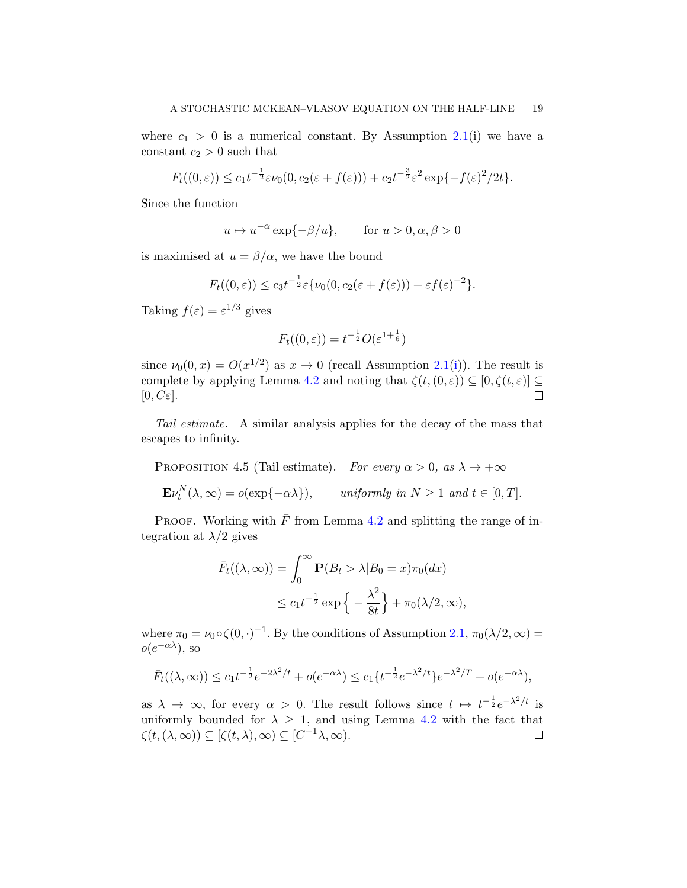where  $c_1 > 0$  is a numerical constant. By Assumption [2.1\(](#page-10-0)i) we have a constant  $c_2 > 0$  such that

$$
F_t((0,\varepsilon)) \le c_1 t^{-\frac{1}{2}} \varepsilon \nu_0(0, c_2(\varepsilon + f(\varepsilon))) + c_2 t^{-\frac{3}{2}} \varepsilon^2 \exp\{-f(\varepsilon)^2/2t\}.
$$

Since the function

 $u \mapsto u^{-\alpha} \exp\{-\beta/u\}, \quad \text{for } u > 0, \alpha, \beta > 0$ 

is maximised at  $u = \beta/\alpha$ , we have the bound

$$
F_t((0,\varepsilon)) \le c_3 t^{-\frac{1}{2}} \varepsilon {\{\nu_0(0, c_2(\varepsilon + f(\varepsilon))) + \varepsilon f(\varepsilon)^{-2}\}}.
$$

Taking  $f(\varepsilon) = \varepsilon^{1/3}$  gives

$$
F_t((0,\varepsilon)) = t^{-\frac{1}{2}}O(\varepsilon^{1+\frac{1}{6}})
$$

since  $\nu_0(0, x) = O(x^{1/2})$  as  $x \to 0$  (recall Assumption [2.1\(](#page-10-0)[i\)](#page-10-3)). The result is complete by applying Lemma [4.2](#page-16-0) and noting that  $\zeta(t,(0,\varepsilon)) \subseteq [0,\zeta(t,\varepsilon)] \subseteq$  $[0, C \varepsilon].$  $\Box$ 

Tail estimate. A similar analysis applies for the decay of the mass that escapes to infinity.

<span id="page-18-0"></span>PROPOSITION 4.5 (Tail estimate). For every  $\alpha > 0$ , as  $\lambda \to +\infty$  $\mathbf{E} \nu_t^N(\lambda, \infty) = o(\exp\{-\alpha \lambda\}), \quad \text{uniformly in } N \ge 1 \text{ and } t \in [0, T].$ 

PROOF. Working with  $\bar{F}$  from Lemma [4.2](#page-16-0) and splitting the range of integration at  $\lambda/2$  gives

$$
\bar{F}_t((\lambda, \infty)) = \int_0^\infty \mathbf{P}(B_t > \lambda | B_0 = x)\pi_0(dx)
$$
  

$$
\leq c_1 t^{-\frac{1}{2}} \exp\left\{-\frac{\lambda^2}{8t}\right\} + \pi_0(\lambda/2, \infty),
$$

where  $\pi_0 = \nu_0 \circ \zeta(0, \cdot)^{-1}$ . By the conditions of Assumption [2.1,](#page-10-0)  $\pi_0(\lambda/2, \infty) =$  $o(e^{-\alpha\lambda}),$  so

$$
\bar{F}_t((\lambda,\infty)) \le c_1 t^{-\frac{1}{2}} e^{-2\lambda^2/t} + o(e^{-\alpha\lambda}) \le c_1 \{t^{-\frac{1}{2}} e^{-\lambda^2/t}\} e^{-\lambda^2/T} + o(e^{-\alpha\lambda}),
$$

as  $\lambda \to \infty$ , for every  $\alpha > 0$ . The result follows since  $t \mapsto t^{-\frac{1}{2}}e^{-\lambda^2/t}$  is uniformly bounded for  $\lambda \geq 1$ , and using Lemma [4.2](#page-16-0) with the fact that  $\zeta(t,(\lambda,\infty))\subseteq [\zeta(t,\lambda),\infty)\subseteq [C^{-1}\lambda,\infty).$  $\Box$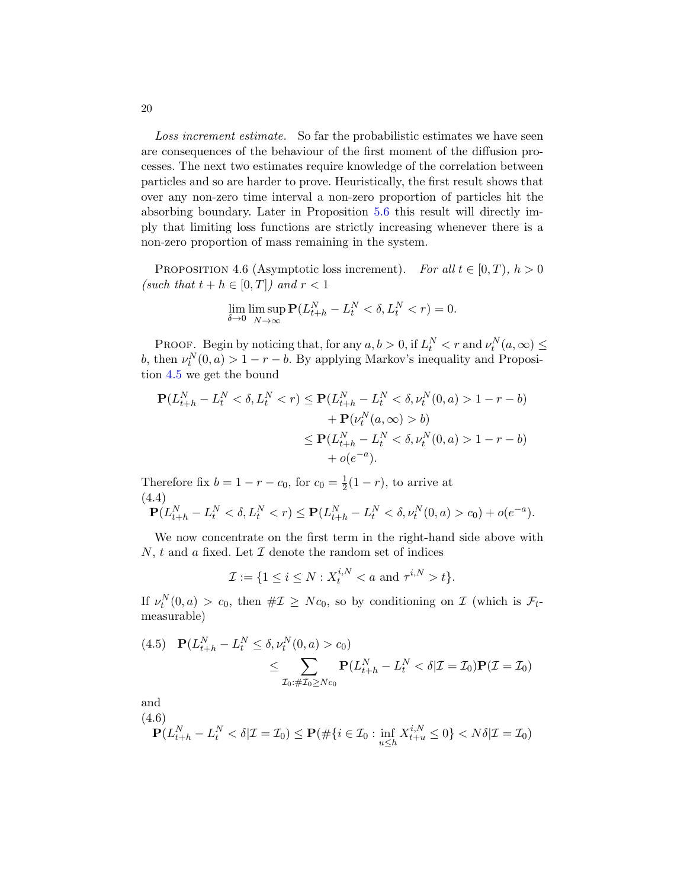Loss increment estimate. So far the probabilistic estimates we have seen are consequences of the behaviour of the first moment of the diffusion processes. The next two estimates require knowledge of the correlation between particles and so are harder to prove. Heuristically, the first result shows that over any non-zero time interval a non-zero proportion of particles hit the absorbing boundary. Later in Proposition [5.6](#page-28-0) this result will directly imply that limiting loss functions are strictly increasing whenever there is a non-zero proportion of mass remaining in the system.

<span id="page-19-0"></span>PROPOSITION 4.6 (Asymptotic loss increment). For all  $t \in [0, T)$ ,  $h > 0$ (such that  $t + h \in [0, T]$ ) and  $r < 1$ 

$$
\lim_{\delta \to 0} \limsup_{N \to \infty} \mathbf{P}(L_{t+h}^N - L_t^N < \delta, L_t^N < r) = 0.
$$

PROOF. Begin by noticing that, for any  $a, b > 0$ , if  $L_t^N < r$  and  $\nu_t^N(a, \infty) \le$ b, then  $\nu_t^N(0, a) > 1 - r - b$ . By applying Markov's inequality and Proposition [4.5](#page-18-0) we get the bound

$$
\mathbf{P}(L_{t+h}^{N} - L_{t}^{N} < \delta, L_{t}^{N} < r) \le \mathbf{P}(L_{t+h}^{N} - L_{t}^{N} < \delta, \nu_{t}^{N}(0, a) > 1 - r - b) \\
+ \mathbf{P}(\nu_{t}^{N}(a, \infty) > b) \\
\le \mathbf{P}(L_{t+h}^{N} - L_{t}^{N} < \delta, \nu_{t}^{N}(0, a) > 1 - r - b) \\
+ o(e^{-a}).
$$

<span id="page-19-3"></span>Therefore fix  $b = 1 - r - c_0$ , for  $c_0 = \frac{1}{2}$  $\frac{1}{2}(1-r)$ , to arrive at (4.4)  $\mathbf{P}(L_{t+h}^N - L_t^N < \delta, L_t^N < r) \leq \mathbf{P}(L_{t+h}^N - L_t^N < \delta, \nu_t^N(0, a) > c_0) + o(e^{-a}).$ 

We now concentrate on the first term in the right-hand side above with N, t and a fixed. Let  $\mathcal I$  denote the random set of indices

$$
\mathcal{I} := \{ 1 \le i \le N : X_t^{i,N} < a \text{ and } \tau^{i,N} > t \}.
$$

If  $\nu_t^N(0, a) > c_0$ , then  $\#\mathcal{I} \ge Nc_0$ , so by conditioning on  $\mathcal{I}$  (which is  $\mathcal{F}_t$ measurable)

<span id="page-19-2"></span>(4.5) 
$$
\mathbf{P}(L_{t+h}^{N} - L_{t}^{N} \leq \delta, \nu_{t}^{N}(0, a) > c_{0})
$$
  
 
$$
\leq \sum_{\mathcal{I}_{0}:\# \mathcal{I}_{0} \geq Nc_{0}} \mathbf{P}(L_{t+h}^{N} - L_{t}^{N} < \delta | \mathcal{I} = \mathcal{I}_{0}) \mathbf{P}(\mathcal{I} = \mathcal{I}_{0})
$$

and

<span id="page-19-1"></span>
$$
\mathbf{(4.6)} \mathbf{P}(L_{t+h}^N-L_t^N<\delta|\mathcal{I}=\mathcal{I}_0)\leq \mathbf{P}(\#\{i\in\mathcal{I}_0:\inf_{u\leq h}X_{t+u}^{i,N}\leq 0\}
$$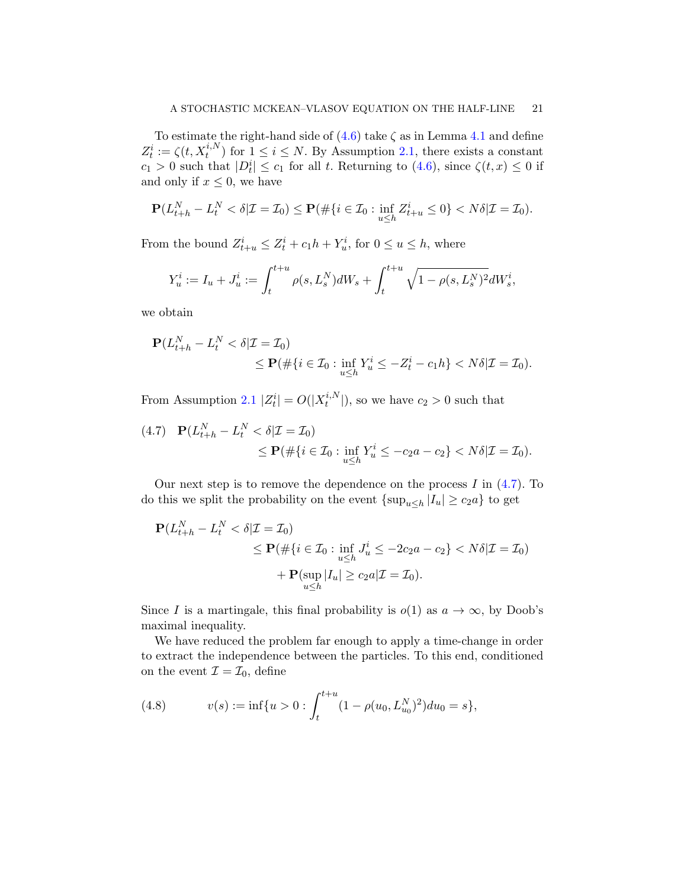To estimate the right-hand side of  $(4.6)$  take  $\zeta$  as in Lemma [4.1](#page-15-1) and define  $Z_t^i := \zeta(t, X_t^{i,N})$  for  $1 \leq i \leq N$ . By Assumption [2.1,](#page-10-0) there exists a constant  $c_1 > 0$  such that  $|D_t^i| \leq c_1$  for all t. Returning to [\(4.6\)](#page-19-1), since  $\zeta(t,x) \leq 0$  if and only if  $x \leq 0$ , we have

$$
\mathbf{P}(L_{t+h}^N - L_t^N < \delta | \mathcal{I} = \mathcal{I}_0) \le \mathbf{P}(\#\{i \in \mathcal{I}_0 : \inf_{u \le h} Z_{t+u}^i \le 0\} < N\delta | \mathcal{I} = \mathcal{I}_0).
$$

From the bound  $Z_{t+u}^i \leq Z_t^i + c_1 h + Y_u^i$ , for  $0 \leq u \leq h$ , where

$$
Y_u^i := I_u + J_u^i := \int_t^{t+u} \rho(s, L_s^N) dW_s + \int_t^{t+u} \sqrt{1 - \rho(s, L_s^N)^2} dW_s^i,
$$

we obtain

$$
\mathbf{P}(L_{t+h}^N - L_t^N < \delta | \mathcal{I} = \mathcal{I}_0) \\
 \leq \mathbf{P}(\# \{ i \in \mathcal{I}_0 : \inf_{u \leq h} Y_u^i \leq -Z_t^i - c_1 h \} < N\delta | \mathcal{I} = \mathcal{I}_0).
$$

From Assumption [2.1](#page-10-0)  $|Z_t^i| = O(|X_t^{i,N}|)$  $\binom{n!}{t}$ , so we have  $c_2 > 0$  such that

<span id="page-20-1"></span>
$$
(4.7) \quad \mathbf{P}(L_{t+h}^N - L_t^N < \delta | \mathcal{I} = \mathcal{I}_0) \\ \leq \mathbf{P}(\# \{ i \in \mathcal{I}_0 : \inf_{u \leq h} Y_u^i \leq -c_2 a - c_2 \} < N \delta | \mathcal{I} = \mathcal{I}_0).
$$

Our next step is to remove the dependence on the process  $I$  in  $(4.7)$ . To do this we split the probability on the event  $\{\sup_{u\leq h}|I_u|\geq c_2a\}$  to get

$$
\mathbf{P}(L_{t+h}^N - L_t^N < \delta | \mathcal{I} = \mathcal{I}_0) \\
 \leq \mathbf{P}(\#\{i \in \mathcal{I}_0 : \inf_{u \leq h} J_u^i \leq -2c_2 a - c_2\} < N\delta | \mathcal{I} = \mathcal{I}_0) \\
 + \mathbf{P}(\sup_{u \leq h} |I_u| \geq c_2 a | \mathcal{I} = \mathcal{I}_0).
$$

Since I is a martingale, this final probability is  $o(1)$  as  $a \to \infty$ , by Doob's maximal inequality.

We have reduced the problem far enough to apply a time-change in order to extract the independence between the particles. To this end, conditioned on the event  $\mathcal{I} = \mathcal{I}_0$ , define

<span id="page-20-0"></span>(4.8) 
$$
v(s) := \inf\{u > 0 : \int_{t}^{t+u} (1 - \rho(u_0, L_{u_0}^N)^2) du_0 = s\},
$$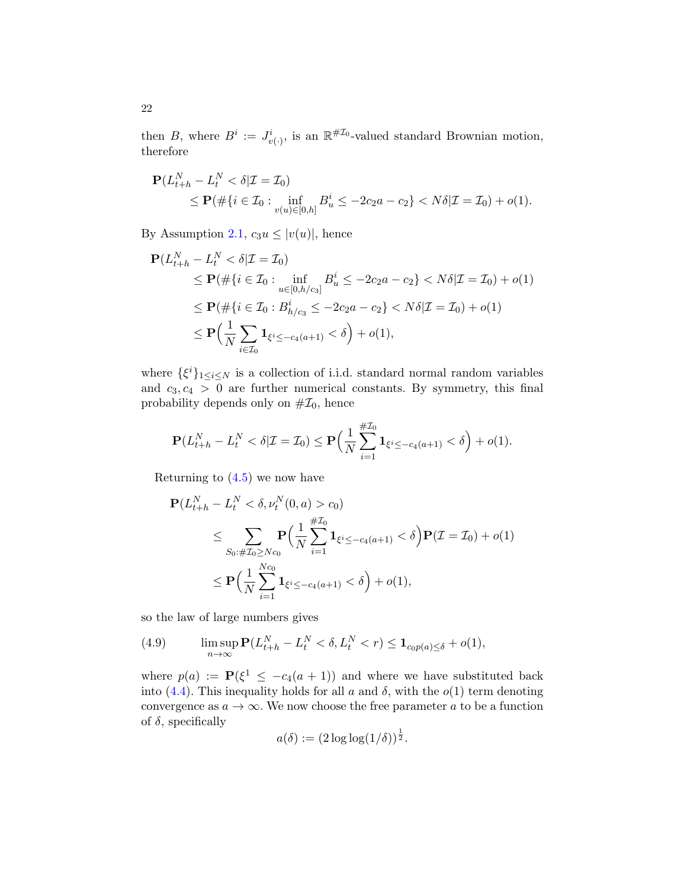then B, where  $B^i := J^i_{v(\cdot)},$  is an  $\mathbb{R}^{\# \mathcal{I}_0}$ -valued standard Brownian motion, therefore

$$
\mathbf{P}(L_{t+h}^N - L_t^N < \delta | \mathcal{I} = \mathcal{I}_0) \\
 \leq \mathbf{P}(\#\{i \in \mathcal{I}_0 : \inf_{v(u) \in [0,h]} B_u^i \leq -2c_2 a - c_2\} < N\delta | \mathcal{I} = \mathcal{I}_0) + o(1).
$$

By Assumption [2.1,](#page-10-0)  $c_3u \leq |v(u)|$ , hence

N

$$
\mathbf{P}(L_{t+h}^N - L_t^N < \delta | \mathcal{I} = \mathcal{I}_0) \n\leq \mathbf{P}(\#\{i \in \mathcal{I}_0 : \inf_{u \in [0,h/c_3]} B_u^i \leq -2c_2a - c_2\} < N\delta | \mathcal{I} = \mathcal{I}_0) + o(1) \n\leq \mathbf{P}(\#\{i \in \mathcal{I}_0 : B_{h/c_3}^i \leq -2c_2a - c_2\} < N\delta | \mathcal{I} = \mathcal{I}_0) + o(1) \n\leq \mathbf{P}\Big(\frac{1}{N} \sum_{i \in \mathcal{I}_0} \mathbf{1}_{\xi^i \leq -c_4(a+1)} < \delta\Big) + o(1),
$$

where  $\{\xi^i\}_{1\leq i\leq N}$  is a collection of i.i.d. standard normal random variables and  $c_3, c_4 > 0$  are further numerical constants. By symmetry, this final probability depends only on  $\#Z_0$ , hence

$$
\mathbf{P}(L_{t+h}^N - L_t^N < \delta | \mathcal{I} = \mathcal{I}_0) \le \mathbf{P}\left(\frac{1}{N} \sum_{i=1}^{\#\mathcal{I}_0} \mathbf{1}_{\xi^i \le -c_4(a+1)} < \delta\right) + o(1).
$$

Returning to  $(4.5)$  we now have

$$
\mathbf{P}(L_{t+h}^{N} - L_{t}^{N} < \delta, \nu_{t}^{N}(0, a) > c_{0})
$$
\n
$$
\leq \sum_{S_{0}:\#T_{0} \geq Nc_{0}} \mathbf{P}\Big(\frac{1}{N} \sum_{i=1}^{\#T_{0}} \mathbf{1}_{\xi^{i} \leq -c_{4}(a+1)} < \delta\Big) \mathbf{P}(T = T_{0}) + o(1)
$$
\n
$$
\leq \mathbf{P}\Big(\frac{1}{N} \sum_{i=1}^{Nc_{0}} \mathbf{1}_{\xi^{i} \leq -c_{4}(a+1)} < \delta\Big) + o(1),
$$

so the law of large numbers gives

<span id="page-21-0"></span>(4.9) 
$$
\limsup_{n\to\infty} \mathbf{P}(L_{t+h}^N - L_t^N < \delta, L_t^N < r) \leq \mathbf{1}_{c_0 p(a) \leq \delta} + o(1),
$$

where  $p(a) := \mathbf{P}(\xi^1 \le -c_4(a+1))$  and where we have substituted back into [\(4.4\)](#page-19-3). This inequality holds for all a and  $\delta$ , with the  $o(1)$  term denoting convergence as  $a \to \infty$ . We now choose the free parameter a to be a function of  $\delta$ , specifically

$$
a(\delta) := (2\log\log(1/\delta))^{\frac{1}{2}}.
$$

22

N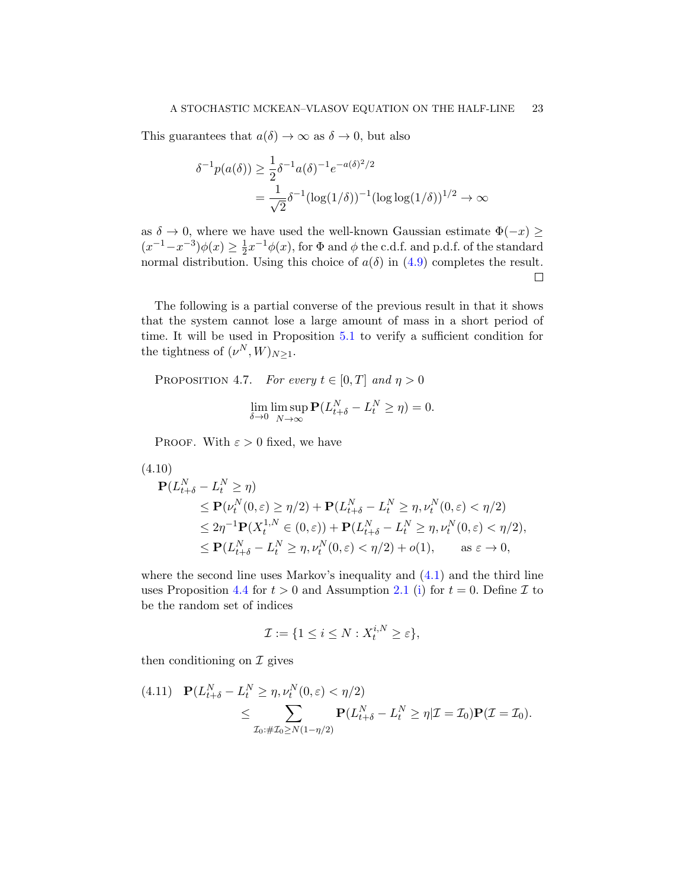This guarantees that  $a(\delta) \to \infty$  as  $\delta \to 0$ , but also

$$
\delta^{-1}p(a(\delta)) \ge \frac{1}{2}\delta^{-1}a(\delta)^{-1}e^{-a(\delta)^2/2}
$$
  
= 
$$
\frac{1}{\sqrt{2}}\delta^{-1}(\log(1/\delta))^{-1}(\log \log(1/\delta))^{1/2} \to \infty
$$

as  $\delta \to 0$ , where we have used the well-known Gaussian estimate  $\Phi(-x) \geq$  $(x^{-1}-x^{-3})\phi(x) \geq \frac{1}{2}$  $\frac{1}{2}x^{-1}\phi(x)$ , for  $\Phi$  and  $\phi$  the c.d.f. and p.d.f. of the standard normal distribution. Using this choice of  $a(\delta)$  in [\(4.9\)](#page-21-0) completes the result.  $\Box$ 

The following is a partial converse of the previous result in that it shows that the system cannot lose a large amount of mass in a short period of time. It will be used in Proposition [5.1](#page-24-1) to verify a sufficient condition for the tightness of  $(\nu^N, W)_{N \geq 1}$ .

<span id="page-22-0"></span>PROPOSITION 4.7. For every  $t \in [0, T]$  and  $\eta > 0$ 

$$
\lim_{\delta \to 0} \limsup_{N \to \infty} \mathbf{P}(L_{t+\delta}^N - L_t^N \ge \eta) = 0.
$$

PROOF. With  $\varepsilon > 0$  fixed, we have

<span id="page-22-2"></span>
$$
(4.10)
$$
  
\n
$$
\mathbf{P}(L_{t+\delta}^{N} - L_{t}^{N} \geq \eta)
$$
  
\n
$$
\leq \mathbf{P}(\nu_{t}^{N}(0, \varepsilon) \geq \eta/2) + \mathbf{P}(L_{t+\delta}^{N} - L_{t}^{N} \geq \eta, \nu_{t}^{N}(0, \varepsilon) < \eta/2)
$$
  
\n
$$
\leq 2\eta^{-1} \mathbf{P}(X_{t}^{1,N} \in (0, \varepsilon)) + \mathbf{P}(L_{t+\delta}^{N} - L_{t}^{N} \geq \eta, \nu_{t}^{N}(0, \varepsilon) < \eta/2),
$$
  
\n
$$
\leq \mathbf{P}(L_{t+\delta}^{N} - L_{t}^{N} \geq \eta, \nu_{t}^{N}(0, \varepsilon) < \eta/2) + o(1), \quad \text{as } \varepsilon \to 0,
$$

where the second line uses Markov's inequality and  $(4.1)$  and the third line uses Proposition [4.4](#page-17-0) for  $t > 0$  and Assumption [2.1](#page-10-0) [\(i\)](#page-10-3) for  $t = 0$ . Define  $\mathcal I$  to be the random set of indices

$$
\mathcal{I} := \{ 1 \le i \le N : X_t^{i,N} \ge \varepsilon \},\
$$

then conditioning on  $\mathcal I$  gives

<span id="page-22-1"></span>
$$
(4.11) \quad \mathbf{P}(L_{t+\delta}^N - L_t^N \ge \eta, \nu_t^N(0, \varepsilon) < \eta/2) \n\le \sum_{\mathcal{I}_0: \# \mathcal{I}_0 \ge N(1-\eta/2)} \mathbf{P}(L_{t+\delta}^N - L_t^N \ge \eta | \mathcal{I} = \mathcal{I}_0) \mathbf{P}(\mathcal{I} = \mathcal{I}_0).
$$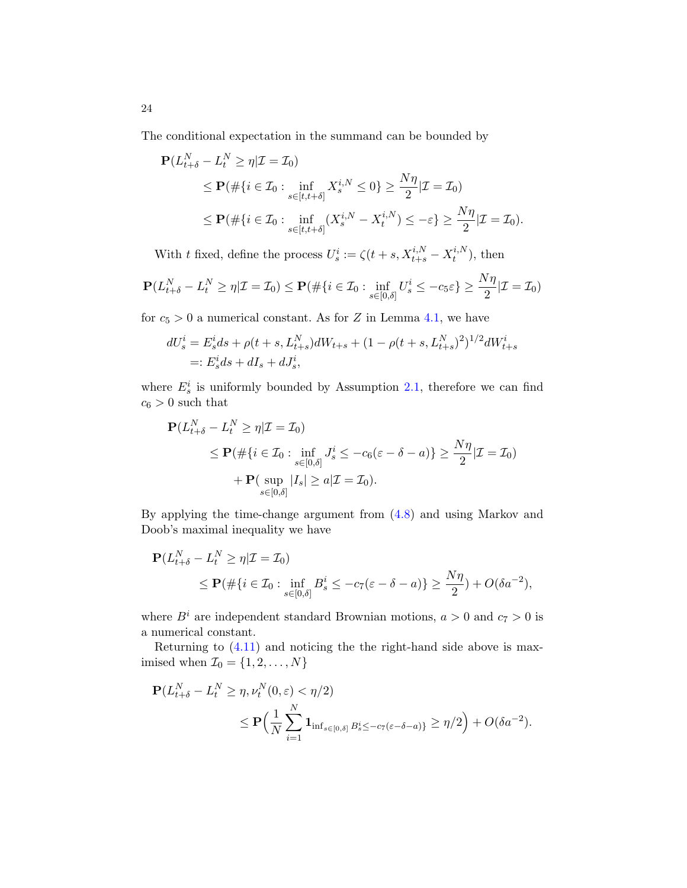The conditional expectation in the summand can be bounded by

$$
\mathbf{P}(L_{t+\delta}^N - L_t^N \ge \eta | \mathcal{I} = \mathcal{I}_0)
$$
\n
$$
\le \mathbf{P}(\# \{ i \in \mathcal{I}_0 : \inf_{s \in [t, t+\delta]} X_s^{i,N} \le 0 \} \ge \frac{N\eta}{2} | \mathcal{I} = \mathcal{I}_0)
$$
\n
$$
\le \mathbf{P}(\# \{ i \in \mathcal{I}_0 : \inf_{s \in [t, t+\delta]} (X_s^{i,N} - X_t^{i,N}) \le -\varepsilon \} \ge \frac{N\eta}{2} | \mathcal{I} = \mathcal{I}_0).
$$

With t fixed, define the process  $U_s^i := \zeta(t + s, X_{t+s}^{i,N} - X_t^{i,N})$  $t^{i,N}$ , then

$$
\mathbf{P}(L_{t+\delta}^N - L_t^N \ge \eta | \mathcal{I} = \mathcal{I}_0) \le \mathbf{P}(\#\{i \in \mathcal{I}_0 : \inf_{s \in [0,\delta]} U_s^i \le -c_5 \varepsilon\} \ge \frac{N\eta}{2} | \mathcal{I} = \mathcal{I}_0)
$$

for  $c_5 > 0$  a numerical constant. As for Z in Lemma [4.1,](#page-15-1) we have

$$
dU_s^i = E_s^i ds + \rho(t + s, L_{t+s}^N) dW_{t+s} + (1 - \rho(t + s, L_{t+s}^N)^2)^{1/2} dW_{t+s}^i
$$
  
=:  $E_s^i ds + dI_s + dJ_s^i$ ,

where  $E_s^i$  is uniformly bounded by Assumption [2.1,](#page-10-0) therefore we can find  $c_6 > 0$  such that

$$
\mathbf{P}(L_{t+\delta}^N - L_t^N \ge \eta | \mathcal{I} = \mathcal{I}_0)
$$
\n
$$
\le \mathbf{P}(\# \{ i \in \mathcal{I}_0 : \inf_{s \in [0,\delta]} J_s^i \le -c_6(\varepsilon - \delta - a) \} \ge \frac{N\eta}{2} | \mathcal{I} = \mathcal{I}_0)
$$
\n
$$
+ \mathbf{P}(\sup_{s \in [0,\delta]} |I_s| \ge a | \mathcal{I} = \mathcal{I}_0).
$$

By applying the time-change argument from [\(4.8\)](#page-20-0) and using Markov and Doob's maximal inequality we have

$$
\mathbf{P}(L_{t+\delta}^N - L_t^N \ge \eta | \mathcal{I} = \mathcal{I}_0)
$$
  
\$\leq\$  $\mathbf{P}(\# \{i \in \mathcal{I}_0 : \inf_{s \in [0,\delta]} B_s^i \le -c_7(\varepsilon - \delta - a)\} \ge \frac{N\eta}{2}) + O(\delta a^{-2}),$$ 

where  $B^i$  are independent standard Brownian motions,  $a > 0$  and  $c_7 > 0$  is a numerical constant.

Returning to [\(4.11\)](#page-22-1) and noticing the the right-hand side above is maximised when  $\mathcal{I}_0 = \{1,2,\ldots,N\}$ 

$$
\mathbf{P}(L_{t+\delta}^N - L_t^N \ge \eta, \nu_t^N(0, \varepsilon) < \eta/2)
$$
  
\$\leq\$  $\mathbf{P}\Big(\frac{1}{N} \sum_{i=1}^N \mathbf{1}_{\inf_{s \in [0, \delta]} B_s^i \le -c_7(\varepsilon - \delta - a)}\Big) \ge \eta/2$  } + O(\delta a^{-2}).

24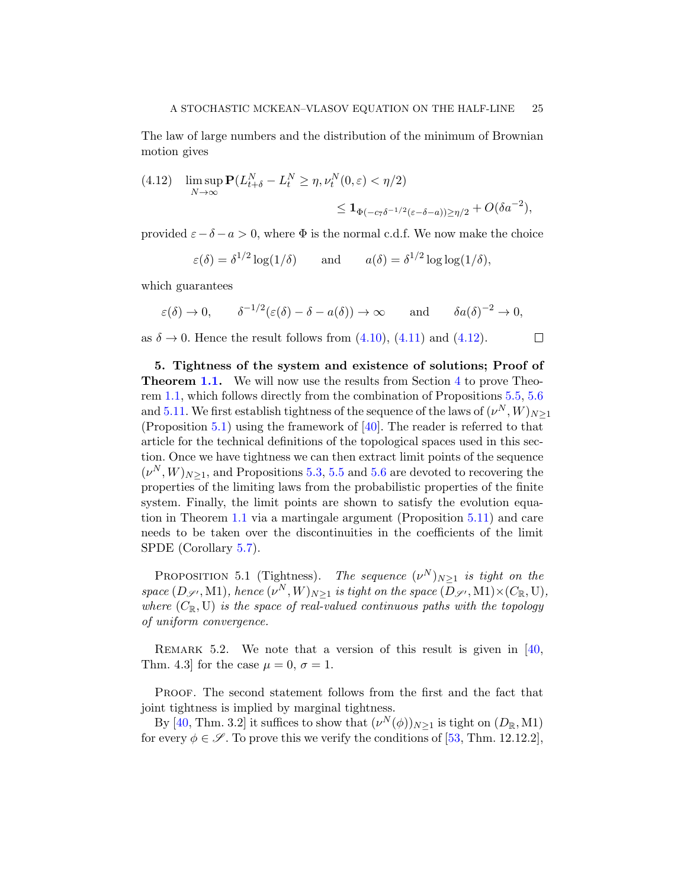The law of large numbers and the distribution of the minimum of Brownian motion gives

<span id="page-24-2"></span>(4.12) 
$$
\limsup_{N \to \infty} \mathbf{P}(L_{t+\delta}^N - L_t^N \ge \eta, \nu_t^N(0, \varepsilon) < \eta/2)
$$
  

$$
\le \mathbf{1}_{\Phi(-c_7\delta^{-1/2}(\varepsilon - \delta - a)) \ge \eta/2} + O(\delta a^{-2}),
$$

provided  $\varepsilon - \delta - a > 0$ , where  $\Phi$  is the normal c.d.f. We now make the choice

$$
\varepsilon(\delta) = \delta^{1/2} \log(1/\delta)
$$
 and  $a(\delta) = \delta^{1/2} \log \log(1/\delta)$ ,

which guarantees

$$
\varepsilon(\delta) \to 0
$$
,  $\delta^{-1/2}(\varepsilon(\delta) - \delta - a(\delta)) \to \infty$  and  $\delta a(\delta)^{-2} \to 0$ ,

as  $\delta \rightarrow 0$ . Hence the result follows from [\(4.10\)](#page-22-2), [\(4.11\)](#page-22-1) and [\(4.12\)](#page-24-2).  $\Box$ 

<span id="page-24-0"></span>5. Tightness of the system and existence of solutions; Proof of **Theorem [1.1.](#page-5-0)** We will now use the results from Section [4](#page-15-0) to prove Theorem [1.1,](#page-5-0) which follows directly from the combination of Propositions [5.5,](#page-27-0) [5.6](#page-28-0) and [5.11.](#page-32-0) We first establish tightness of the sequence of the laws of  $(\nu^N,W)_{N\geq 1}$ (Proposition [5.1\)](#page-24-1) using the framework of [\[40\]](#page-58-15). The reader is referred to that article for the technical definitions of the topological spaces used in this section. Once we have tightness we can then extract limit points of the sequence  $(\nu^N, W)_{N \geq 1}$ , and Propositions [5.3,](#page-26-0) [5.5](#page-27-0) and [5.6](#page-28-0) are devoted to recovering the properties of the limiting laws from the probabilistic properties of the finite system. Finally, the limit points are shown to satisfy the evolution equation in Theorem [1.1](#page-5-0) via a martingale argument (Proposition [5.11\)](#page-32-0) and care needs to be taken over the discontinuities in the coefficients of the limit SPDE (Corollary [5.7\)](#page-30-0).

<span id="page-24-1"></span>PROPOSITION 5.1 (Tightness). The sequence  $(\nu^N)_{N\geq 1}$  is tight on the space  $(D_{\mathscr{S}'}, M1)$ , hence  $(\nu^N, W)_{N \geq 1}$  is tight on the space  $(D_{\mathscr{S}'}, M1) \times (C_{\mathbb{R}}, U)$ , where  $(C_{\mathbb{R}}, U)$  is the space of real-valued continuous paths with the topology of uniform convergence.

REMARK 5.2. We note that a version of this result is given in  $[40,$ Thm. 4.3] for the case  $\mu = 0, \sigma = 1$ .

Proof. The second statement follows from the first and the fact that joint tightness is implied by marginal tightness.

By [\[40,](#page-58-15) Thm. 3.2] it suffices to show that  $(\nu^N(\phi))_{N\geq 1}$  is tight on  $(D_{\mathbb{R}}, M1)$ for every  $\phi \in \mathscr{S}$ . To prove this we verify the conditions of [\[53,](#page-59-5) Thm. 12.12.2],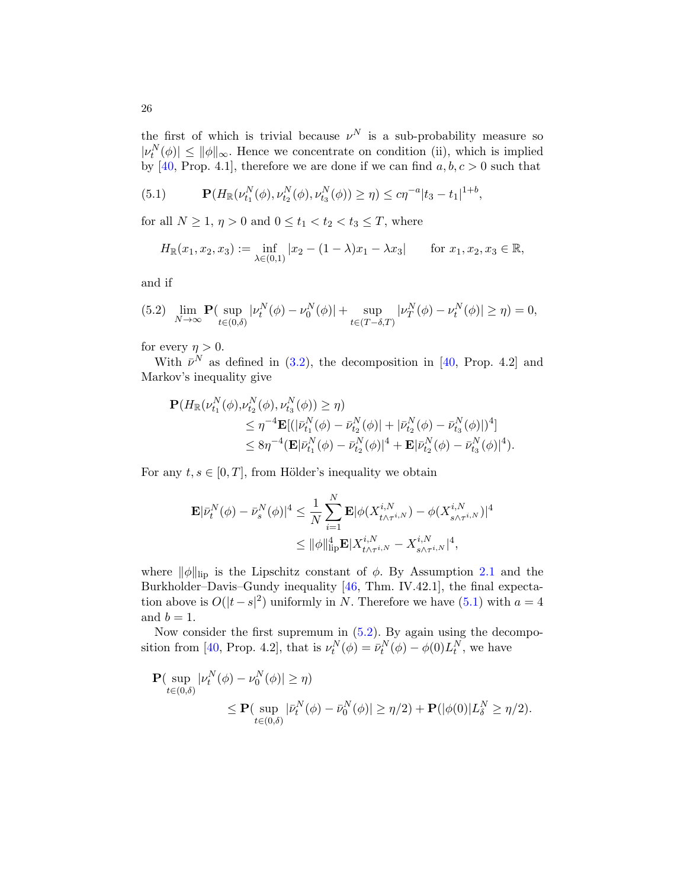the first of which is trivial because  $\nu^N$  is a sub-probability measure so  $|\nu_t^N(\phi)| \leq ||\phi||_{\infty}$ . Hence we concentrate on condition (ii), which is implied by [\[40,](#page-58-15) Prop. 4.1], therefore we are done if we can find  $a, b, c > 0$  such that

<span id="page-25-0"></span>(5.1) 
$$
\mathbf{P}(H_{\mathbb{R}}(\nu_{t_1}^N(\phi), \nu_{t_2}^N(\phi), \nu_{t_3}^N(\phi)) \geq \eta) \leq c\eta^{-a}|t_3-t_1|^{1+b},
$$

for all  $N \geq 1$ ,  $\eta > 0$  and  $0 \leq t_1 < t_2 < t_3 \leq T$ , where

$$
H_{\mathbb{R}}(x_1, x_2, x_3) := \inf_{\lambda \in (0,1)} |x_2 - (1 - \lambda)x_1 - \lambda x_3| \quad \text{for } x_1, x_2, x_3 \in \mathbb{R},
$$

and if

<span id="page-25-1"></span>
$$
(5.2) \quad \lim_{N \to \infty} \mathbf{P}(\sup_{t \in (0,\delta)} |\nu_t^N(\phi) - \nu_0^N(\phi)| + \sup_{t \in (T-\delta,T)} |\nu_T^N(\phi) - \nu_t^N(\phi)| \ge \eta) = 0,
$$

for every  $\eta > 0$ .

With  $\bar{\nu}^N$  as defined in [\(3.2\)](#page-14-0), the decomposition in [\[40,](#page-58-15) Prop. 4.2] and Markov's inequality give

$$
\mathbf{P}(H_{\mathbb{R}}(\nu_{t_1}^N(\phi), \nu_{t_2}^N(\phi), \nu_{t_3}^N(\phi)) \ge \eta) \n\le \eta^{-4}\mathbf{E}[(|\bar{\nu}_{t_1}^N(\phi) - \bar{\nu}_{t_2}^N(\phi)| + |\bar{\nu}_{t_2}^N(\phi) - \bar{\nu}_{t_3}^N(\phi)|)^4] \n\le 8\eta^{-4}(\mathbf{E}|\bar{\nu}_{t_1}^N(\phi) - \bar{\nu}_{t_2}^N(\phi)|^4 + \mathbf{E}|\bar{\nu}_{t_2}^N(\phi) - \bar{\nu}_{t_3}^N(\phi)|^4).
$$

For any  $t, s \in [0, T]$ , from Hölder's inequality we obtain

$$
\mathbf{E}|\bar{\nu}_{t}^{N}(\phi) - \bar{\nu}_{s}^{N}(\phi)|^{4} \leq \frac{1}{N} \sum_{i=1}^{N} \mathbf{E}|\phi(X_{t \wedge \tau^{i,N}}^{i,N}) - \phi(X_{s \wedge \tau^{i,N}}^{i,N})|^{4}
$$
  

$$
\leq ||\phi||_{\text{lip}}^{4} \mathbf{E}|X_{t \wedge \tau^{i,N}}^{i,N} - X_{s \wedge \tau^{i,N}}^{i,N}|^{4},
$$

where  $\|\phi\|_{\text{lip}}$  is the Lipschitz constant of  $\phi$ . By Assumption [2.1](#page-10-0) and the Burkholder–Davis–Gundy inequality [\[46,](#page-58-20) Thm. IV.42.1], the final expectation above is  $O(|t-s|^2)$  uniformly in N. Therefore we have [\(5.1\)](#page-25-0) with  $a = 4$ and  $b = 1$ .

Now consider the first supremum in [\(5.2\)](#page-25-1). By again using the decompo-sition from [\[40,](#page-58-15) Prop. 4.2], that is  $\nu_t^N(\phi) = \bar{\nu}_t^N(\phi) - \phi(0)L_t^N$ , we have

$$
\begin{split} \mathbf{P}(\sup_{t \in (0,\delta)} |\nu_t^N(\phi) - \nu_0^N(\phi)| \ge \eta) \\ &\le \mathbf{P}(\sup_{t \in (0,\delta)} |\bar{\nu}_t^N(\phi) - \bar{\nu}_0^N(\phi)| \ge \eta/2) + \mathbf{P}(|\phi(0)|L_{\delta}^N \ge \eta/2). \end{split}
$$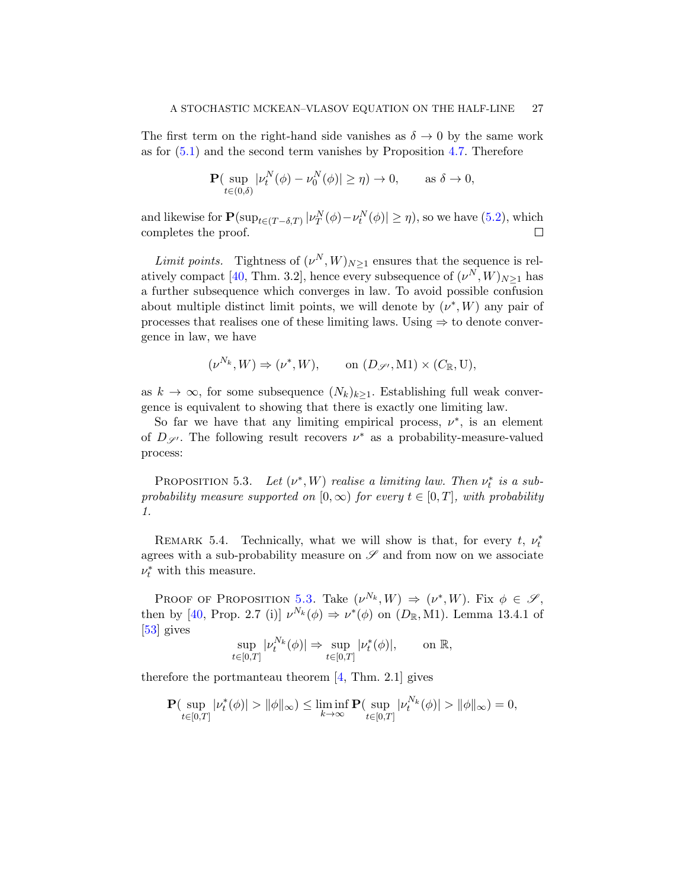The first term on the right-hand side vanishes as  $\delta \to 0$  by the same work as for  $(5.1)$  and the second term vanishes by Proposition [4.7.](#page-22-0) Therefore

$$
\mathbf{P}(\sup_{t\in(0,\delta)}|\nu_t^N(\phi)-\nu_0^N(\phi)|\geq\eta)\to 0,\qquad\text{as }\delta\to 0,
$$

and likewise for  $\mathbf{P}(\sup_{t \in (T-\delta,T)} |\nu_T^N(\phi) - \nu_t^N(\phi)| \ge \eta)$ , so we have  $(5.2)$ , which completes the proof.  $\Box$ 

Limit points. Tightness of  $(\nu^N, W)_{N \geq 1}$  ensures that the sequence is rel-atively compact [\[40,](#page-58-15) Thm. 3.2], hence every subsequence of  $(\nu^N, W)_{N \geq 1}$  has a further subsequence which converges in law. To avoid possible confusion about multiple distinct limit points, we will denote by  $(\nu^*, W)$  any pair of processes that realises one of these limiting laws. Using  $\Rightarrow$  to denote convergence in law, we have

$$
(\nu^{N_k}, W) \Rightarrow (\nu^*, W), \qquad \text{on } (D_{\mathscr{S}'}, M1) \times (C_{\mathbb{R}}, U),
$$

as  $k \to \infty$ , for some subsequence  $(N_k)_{k>1}$ . Establishing full weak convergence is equivalent to showing that there is exactly one limiting law.

So far we have that any limiting empirical process,  $\nu^*$ , is an element of  $D_{\mathscr{S}}$ . The following result recovers  $\nu^*$  as a probability-measure-valued process:

<span id="page-26-0"></span>PROPOSITION 5.3. Let  $(\nu^*, W)$  realise a limiting law. Then  $\nu_t^*$  is a subprobability measure supported on  $[0, \infty)$  for every  $t \in [0, T]$ , with probability 1.

REMARK 5.4. Technically, what we will show is that, for every  $t, v_t^*$ agrees with a sub-probability measure on  $\mathscr S$  and from now on we associate  $\nu_t^*$  with this measure.

PROOF OF PROPOSITION [5.3.](#page-26-0) Take  $(\nu^{N_k}, W) \Rightarrow (\nu^*, W)$ . Fix  $\phi \in \mathscr{S}$ , then by [\[40,](#page-58-15) Prop. 2.7 (i)]  $\nu^{N_k}(\phi) \Rightarrow \nu^*(\phi)$  on  $(D_{\mathbb{R}}, M_1)$ . Lemma 13.4.1 of [\[53\]](#page-59-5) gives

$$
\sup_{t\in[0,T]}|\nu^{N_k}_t(\phi)|\Rightarrow \sup_{t\in[0,T]}|\nu^{*}_t(\phi)|,\qquad\text{on }\mathbb{R},
$$

therefore the portmanteau theorem [\[4,](#page-57-20) Thm. 2.1] gives

$$
\mathbf{P}(\sup_{t\in[0,T]}|\nu_t^*(\phi)| > \|\phi\|_{\infty}) \le \liminf_{k\to\infty} \mathbf{P}(\sup_{t\in[0,T]}|\nu_t^{N_k}(\phi)| > \|\phi\|_{\infty}) = 0,
$$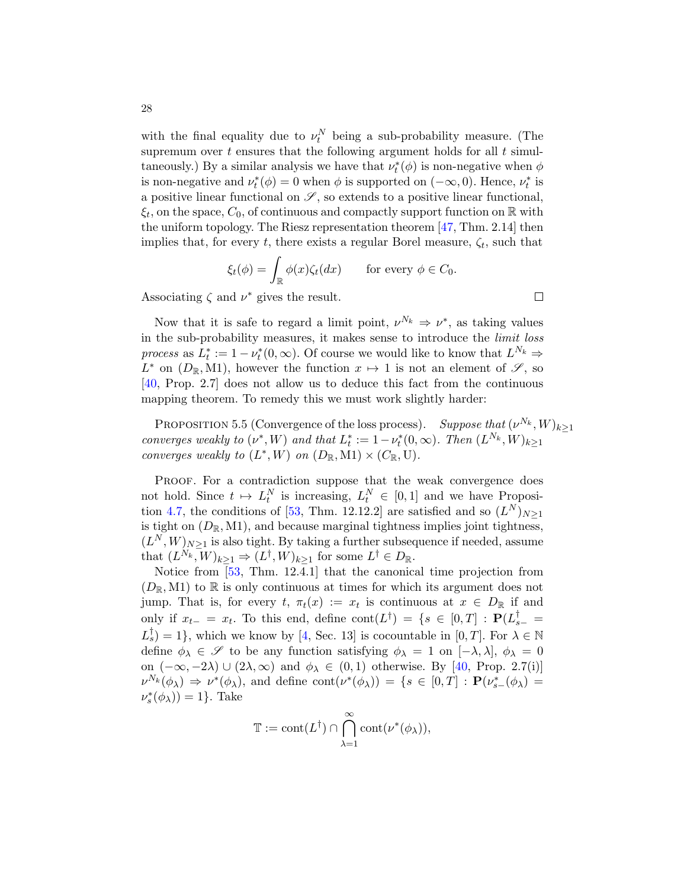with the final equality due to  $\nu_t^N$  being a sub-probability measure. (The supremum over t ensures that the following argument holds for all  $t$  simultaneously.) By a similar analysis we have that  $\nu_t^*(\phi)$  is non-negative when  $\phi$ is non-negative and  $\nu_t^*(\phi) = 0$  when  $\phi$  is supported on  $(-\infty, 0)$ . Hence,  $\nu_t^*$  is a positive linear functional on  $\mathscr{S}$ , so extends to a positive linear functional,  $\xi_t$ , on the space,  $C_0$ , of continuous and compactly support function on  $\mathbb R$  with the uniform topology. The Riesz representation theorem [\[47,](#page-58-21) Thm. 2.14] then implies that, for every t, there exists a regular Borel measure,  $\zeta_t$ , such that

$$
\xi_t(\phi) = \int_{\mathbb{R}} \phi(x)\zeta_t(dx) \quad \text{for every } \phi \in C_0.
$$

Associating  $\zeta$  and  $\nu^*$  gives the result.

Now that it is safe to regard a limit point,  $\nu^{N_k} \Rightarrow \nu^*$ , as taking values in the sub-probability measures, it makes sense to introduce the limit loss process as  $L_t^* := 1 - \nu_t^*(0, \infty)$ . Of course we would like to know that  $L^{N_k} \Rightarrow$  $L^*$  on  $(D_{\mathbb{R}}, M_1)$ , however the function  $x \mapsto 1$  is not an element of  $\mathscr{S}$ , so [\[40,](#page-58-15) Prop. 2.7] does not allow us to deduce this fact from the continuous mapping theorem. To remedy this we must work slightly harder:

<span id="page-27-0"></span>PROPOSITION 5.5 (Convergence of the loss process). Suppose that  $(\nu^{N_k}, W)_{k \geq 1}$ converges weakly to  $(\nu^*, W)$  and that  $L_t^* := 1 - \nu_t^*(0, \infty)$ . Then  $(L^{N_k}, W)_{k \geq 1}$ converges weakly to  $(L^*, W)$  on  $(D_{\mathbb{R}}, M1) \times (C_{\mathbb{R}}, U)$ .

PROOF. For a contradiction suppose that the weak convergence does not hold. Since  $t \mapsto L_t^N$  is increasing,  $L_t^N \in [0, 1]$  and we have Proposi-tion [4.7,](#page-22-0) the conditions of [\[53,](#page-59-5) Thm. 12.12.2] are satisfied and so  $(L^N)_{N\geq 1}$ is tight on  $(D_{\mathbb{R}}, M1)$ , and because marginal tightness implies joint tightness,  $(L^N, W)_{N \geq 1}$  is also tight. By taking a further subsequence if needed, assume that  $(L^{N_k}, W)_{k\geq 1} \Rightarrow (L^{\dagger}, W)_{k\geq 1}$  for some  $L^{\dagger} \in D_{\mathbb{R}}$ .

Notice from [\[53,](#page-59-5) Thm. 12.4.1] that the canonical time projection from  $(D_{\mathbb{R}}, M1)$  to  $\mathbb R$  is only continuous at times for which its argument does not jump. That is, for every  $t, \pi_t(x) := x_t$  is continuous at  $x \in D_{\mathbb{R}}$  if and only if  $x_{t-} = x_t$ . To this end, define  $\text{cont}(L^{\dagger}) = \{s \in [0,T] : \mathbf{P}(L_{s-}^{\dagger} =$  $L_{s}^{\dagger}$  = 1}, which we know by [\[4,](#page-57-20) Sec. 13] is cocountable in [0, T]. For  $\lambda \in \mathbb{N}$ define  $\phi_{\lambda} \in \mathscr{S}$  to be any function satisfying  $\phi_{\lambda} = 1$  on  $[-\lambda, \lambda], \phi_{\lambda} = 0$ on  $(-\infty, -2\lambda) \cup (2\lambda, \infty)$  and  $\phi_{\lambda} \in (0, 1)$  otherwise. By [\[40,](#page-58-15) Prop. 2.7(i)]  $\nu^{N_k}(\phi_\lambda) \Rightarrow \nu^*(\phi_\lambda)$ , and define  $\text{cont}(\nu^*(\phi_\lambda)) = \{s \in [0,T] : \mathbf{P}(\nu^*_{s-}(\phi_\lambda)) =$  $\nu_s^*(\phi_\lambda)) = 1$ . Take

$$
\mathbb{T} := \mathrm{cont}(L^{\dagger}) \cap \bigcap_{\lambda=1}^{\infty} \mathrm{cont}(\nu^*(\phi_{\lambda})),
$$

$$
\Box
$$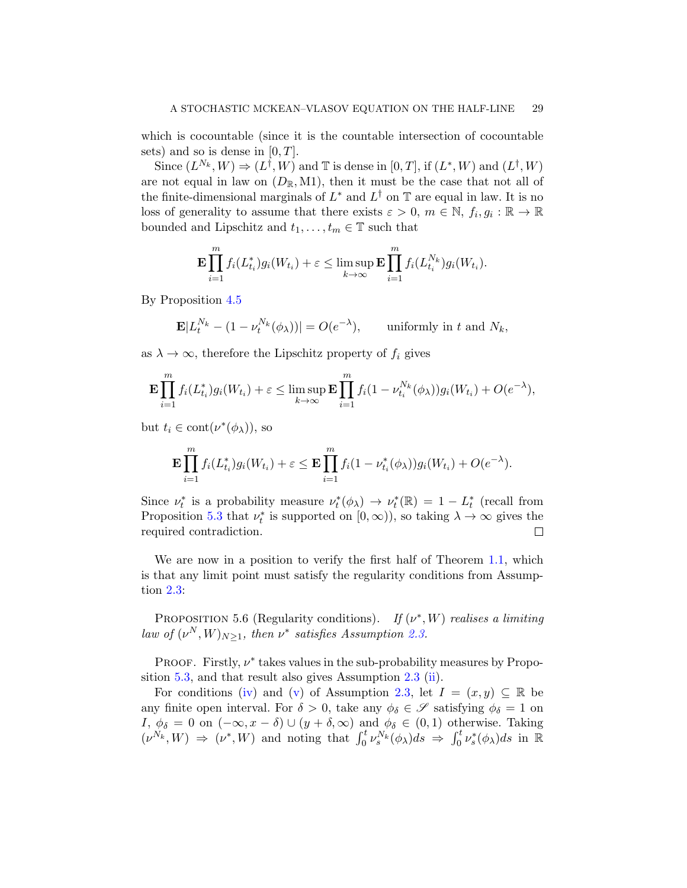which is cocountable (since it is the countable intersection of cocountable sets) and so is dense in  $[0, T]$ .

Since  $(L^{N_k}, W) \Rightarrow (L^{\dagger}, W)$  and  $\mathbb T$  is dense in  $[0, T]$ , if  $(L^*, W)$  and  $(L^{\dagger}, W)$ are not equal in law on  $(D_{\mathbb{R}}, M1)$ , then it must be the case that not all of the finite-dimensional marginals of  $L^*$  and  $L^{\dagger}$  on  $\mathbb T$  are equal in law. It is no loss of generality to assume that there exists  $\varepsilon > 0$ ,  $m \in \mathbb{N}$ ,  $f_i, g_i : \mathbb{R} \to \mathbb{R}$ bounded and Lipschitz and  $t_1, \ldots, t_m \in \mathbb{T}$  such that

$$
\mathbf{E} \prod_{i=1}^m f_i(L_{t_i}^*) g_i(W_{t_i}) + \varepsilon \leq \limsup_{k \to \infty} \mathbf{E} \prod_{i=1}^m f_i(L_{t_i}^{N_k}) g_i(W_{t_i}).
$$

By Proposition [4.5](#page-18-0)

$$
\mathbf{E}|L_t^{N_k} - (1 - \nu_t^{N_k}(\phi_\lambda))| = O(e^{-\lambda}), \quad \text{uniformly in } t \text{ and } N_k,
$$

as  $\lambda \to \infty$ , therefore the Lipschitz property of  $f_i$  gives

$$
\mathbf{E} \prod_{i=1}^m f_i(L_{t_i}^*) g_i(W_{t_i}) + \varepsilon \leq \limsup_{k \to \infty} \mathbf{E} \prod_{i=1}^m f_i(1 - \nu_{t_i}^{N_k}(\phi_\lambda)) g_i(W_{t_i}) + O(e^{-\lambda}),
$$

but  $t_i \in \text{cont}(\nu^*(\phi_\lambda))$ , so

$$
\mathbf{E} \prod_{i=1}^{m} f_i(L_{t_i}^*) g_i(W_{t_i}) + \varepsilon \leq \mathbf{E} \prod_{i=1}^{m} f_i(1 - \nu_{t_i}^*(\phi_\lambda)) g_i(W_{t_i}) + O(e^{-\lambda}).
$$

Since  $\nu_t^*$  is a probability measure  $\nu_t^*(\phi_\lambda) \to \nu_t^*(\mathbb{R}) = 1 - L_t^*$  (recall from Proposition [5.3](#page-26-0) that  $\nu_t^*$  is supported on  $[0, \infty)$ ), so taking  $\lambda \to \infty$  gives the required contradiction.  $\Box$ 

We are now in a position to verify the first half of Theorem [1.1,](#page-5-0) which is that any limit point must satisfy the regularity conditions from Assumption [2.3:](#page-11-0)

<span id="page-28-0"></span>PROPOSITION 5.6 (Regularity conditions). If  $(\nu^*, W)$  realises a limiting law of  $(\nu^N, W)_{N \geq 1}$ , then  $\nu^*$  satisfies Assumption [2.3.](#page-11-0)

PROOF. Firstly,  $\nu^*$  takes values in the sub-probability measures by Proposition [5.3,](#page-26-0) and that result also gives Assumption [2.3](#page-11-0) [\(ii\)](#page-12-2).

For conditions [\(iv\)](#page-12-4) and [\(v\)](#page-12-5) of Assumption [2.3,](#page-11-0) let  $I = (x, y) \subseteq \mathbb{R}$  be any finite open interval. For  $\delta > 0$ , take any  $\phi_{\delta} \in \mathscr{S}$  satisfying  $\phi_{\delta} = 1$  on I,  $\phi_{\delta} = 0$  on  $(-\infty, x - \delta) \cup (y + \delta, \infty)$  and  $\phi_{\delta} \in (0, 1)$  otherwise. Taking  $(\nu^{N_k}, W) \Rightarrow (\nu^*, W)$  and noting that  $\int_0^t \nu_s^{N_k}(\phi_\lambda) ds \Rightarrow \int_0^t \nu_s^*(\phi_\lambda) ds$  in  $\mathbb{R}$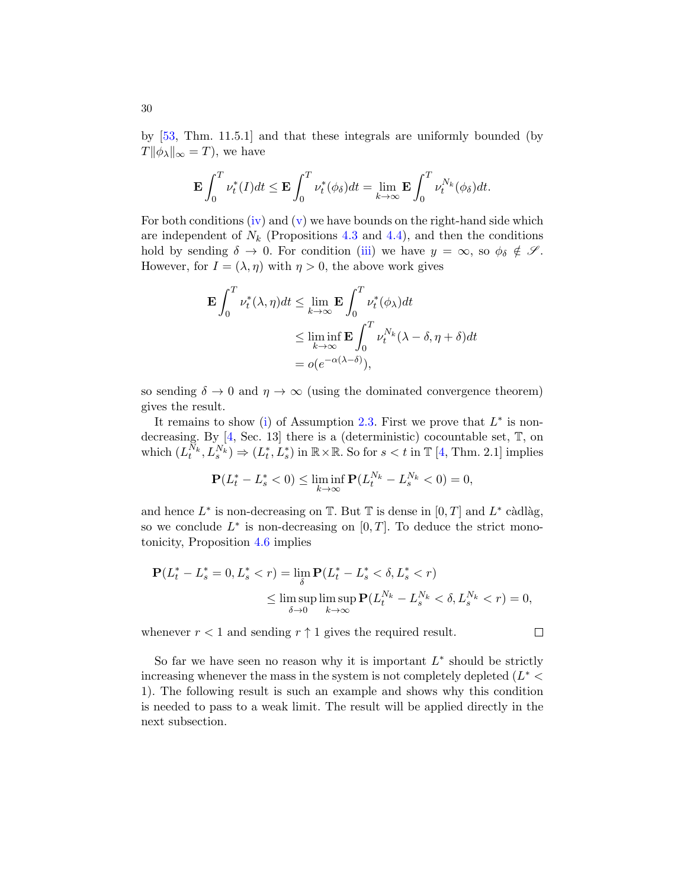by [\[53,](#page-59-5) Thm. 11.5.1] and that these integrals are uniformly bounded (by  $T\|\phi_{\lambda}\|_{\infty} = T$ , we have

$$
\mathbf{E} \int_0^T \nu_t^*(I) dt \le \mathbf{E} \int_0^T \nu_t^*(\phi_\delta) dt = \lim_{k \to \infty} \mathbf{E} \int_0^T \nu_t^{N_k}(\phi_\delta) dt.
$$

For both conditions [\(iv\)](#page-12-4) and [\(v\)](#page-12-5) we have bounds on the right-hand side which are independent of  $N_k$  (Propositions [4.3](#page-16-1) and [4.4\)](#page-17-0), and then the conditions hold by sending  $\delta \to 0$ . For condition [\(iii\)](#page-12-3) we have  $y = \infty$ , so  $\phi_{\delta} \notin \mathscr{S}$ . However, for  $I = (\lambda, \eta)$  with  $\eta > 0$ , the above work gives

$$
\mathbf{E} \int_0^T \nu_t^*(\lambda, \eta) dt \le \lim_{k \to \infty} \mathbf{E} \int_0^T \nu_t^*(\phi_\lambda) dt
$$
  

$$
\le \liminf_{k \to \infty} \mathbf{E} \int_0^T \nu_t^{N_k} (\lambda - \delta, \eta + \delta) dt
$$
  

$$
= o(e^{-\alpha(\lambda - \delta)}),
$$

so sending  $\delta \to 0$  and  $\eta \to \infty$  (using the dominated convergence theorem) gives the result.

It remains to show [\(i\)](#page-12-1) of Assumption [2.3.](#page-11-0) First we prove that  $L^*$  is nondecreasing. By [\[4,](#page-57-20) Sec. 13] there is a (deterministic) cocountable set, T, on which  $(L_t^{\tilde{N}_k}, L_s^{\tilde{N}_k}) \Rightarrow (L_t^*, L_s^*)$  in  $\mathbb{R} \times \mathbb{R}$ . So for  $s < t$  in  $\mathbb{T}$  [\[4,](#page-57-20) Thm. 2.1] implies

$$
\mathbf{P}(L_t^* - L_s^* < 0) \le \liminf_{k \to \infty} \mathbf{P}(L_t^{N_k} - L_s^{N_k} < 0) = 0,
$$

and hence  $L^*$  is non-decreasing on  $\mathbb{T}$ . But  $\mathbb{T}$  is dense in  $[0, T]$  and  $L^*$  càdlàg, so we conclude  $L^*$  is non-decreasing on  $[0, T]$ . To deduce the strict monotonicity, Proposition [4.6](#page-19-0) implies

$$
\mathbf{P}(L_t^* - L_s^* = 0, L_s^* < r) = \lim_{\delta} \mathbf{P}(L_t^* - L_s^* < \delta, L_s^* < r) \\
\leq \limsup_{\delta \to 0} \limsup_{k \to \infty} \mathbf{P}(L_t^{N_k} - L_s^{N_k} < \delta, L_s^{N_k} < r) = 0,
$$

 $\Box$ 

whenever  $r < 1$  and sending  $r \uparrow 1$  gives the required result.

So far we have seen no reason why it is important  $L^*$  should be strictly increasing whenever the mass in the system is not completely depleted  $(L^*$ 1). The following result is such an example and shows why this condition is needed to pass to a weak limit. The result will be applied directly in the next subsection.

30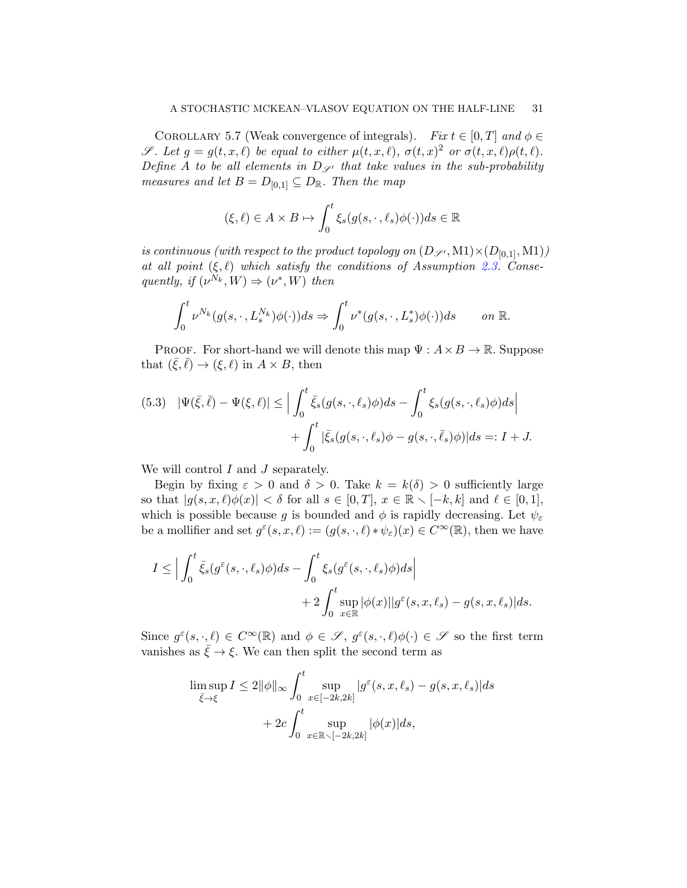<span id="page-30-0"></span>COROLLARY 5.7 (Weak convergence of integrals). Fix  $t \in [0, T]$  and  $\phi \in$  $\mathscr{S}.$  Let  $g = g(t, x, \ell)$  be equal to either  $\mu(t, x, \ell), \sigma(t, x)^2$  or  $\sigma(t, x, \ell) \rho(t, \ell)$ . Define A to be all elements in  $D_{\mathscr{S}}$  that take values in the sub-probability measures and let  $B = D_{[0,1]} \subseteq D_{\mathbb{R}}$ . Then the map

$$
(\xi,\ell) \in A \times B \mapsto \int_0^t \xi_s(g(s,\cdot,\ell_s)\phi(\cdot))ds \in \mathbb{R}
$$

is continuous (with respect to the product topology on  $(D_{\mathscr{S}'}, M1) \times (D_{[0,1]}, M1)$ ) at all point  $(\xi, \ell)$  which satisfy the conditions of Assumption [2.3.](#page-11-0) Consequently, if  $(\nu^{N_k}, W) \Rightarrow (\nu^*, W)$  then

$$
\int_0^t \nu^{N_k}(g(s,\cdot,L_s^{N_k})\phi(\cdot))ds \Rightarrow \int_0^t \nu^*(g(s,\cdot,L_s^*)\phi(\cdot))ds \qquad on \mathbb{R}.
$$

PROOF. For short-hand we will denote this map  $\Psi: A \times B \to \mathbb{R}$ . Suppose that  $(\bar{\xi}, \bar{\ell}) \rightarrow (\xi, \ell)$  in  $A \times B$ , then

<span id="page-30-1"></span>(5.3) 
$$
|\Psi(\bar{\xi}, \bar{\ell}) - \Psi(\xi, \ell)| \leq \Big| \int_0^t \bar{\xi}_s(g(s, \cdot, \ell_s)\phi) ds - \int_0^t \xi_s(g(s, \cdot, \ell_s)\phi) ds \Big| + \int_0^t |\bar{\xi}_s(g(s, \cdot, \ell_s)\phi - g(s, \cdot, \bar{\ell}_s)\phi)| ds =: I + J.
$$

We will control  $I$  and  $J$  separately.

Begin by fixing  $\varepsilon > 0$  and  $\delta > 0$ . Take  $k = k(\delta) > 0$  sufficiently large so that  $|g(s, x, \ell)\phi(x)| < \delta$  for all  $s \in [0, T], x \in \mathbb{R} \setminus [-k, k]$  and  $\ell \in [0, 1],$ which is possible because g is bounded and  $\phi$  is rapidly decreasing. Let  $\psi_{\varepsilon}$ be a mollifier and set  $g^{\varepsilon}(s, x, \ell) := (g(s, \cdot, \ell) * \psi_{\varepsilon})(x) \in C^{\infty}(\mathbb{R})$ , then we have

$$
I \leq \Big| \int_0^t \bar{\xi}_s(g^{\varepsilon}(s,\cdot,\ell_s)\phi)ds - \int_0^t \xi_s(g^{\varepsilon}(s,\cdot,\ell_s)\phi)ds \Big|
$$
  
+ 
$$
+ 2 \int_0^t \sup_{x \in \mathbb{R}} |\phi(x)| |g^{\varepsilon}(s,x,\ell_s) - g(s,x,\ell_s)| ds.
$$

Since  $g^{\varepsilon}(s, \cdot, \ell) \in C^{\infty}(\mathbb{R})$  and  $\phi \in \mathscr{S}$ ,  $g^{\varepsilon}(s, \cdot, \ell)\phi(\cdot) \in \mathscr{S}$  so the first term vanishes as  $\xi \to \xi$ . We can then split the second term as

$$
\limsup_{\bar{\xi}\to\xi} I \le 2\|\phi\|_{\infty} \int_0^t \sup_{x\in[-2k,2k]} |g^{\varepsilon}(s,x,\ell_s) - g(s,x,\ell_s)|ds
$$
  
+ 
$$
2c \int_0^t \sup_{x\in\mathbb{R}\setminus[-2k,2k]} |\phi(x)|ds,
$$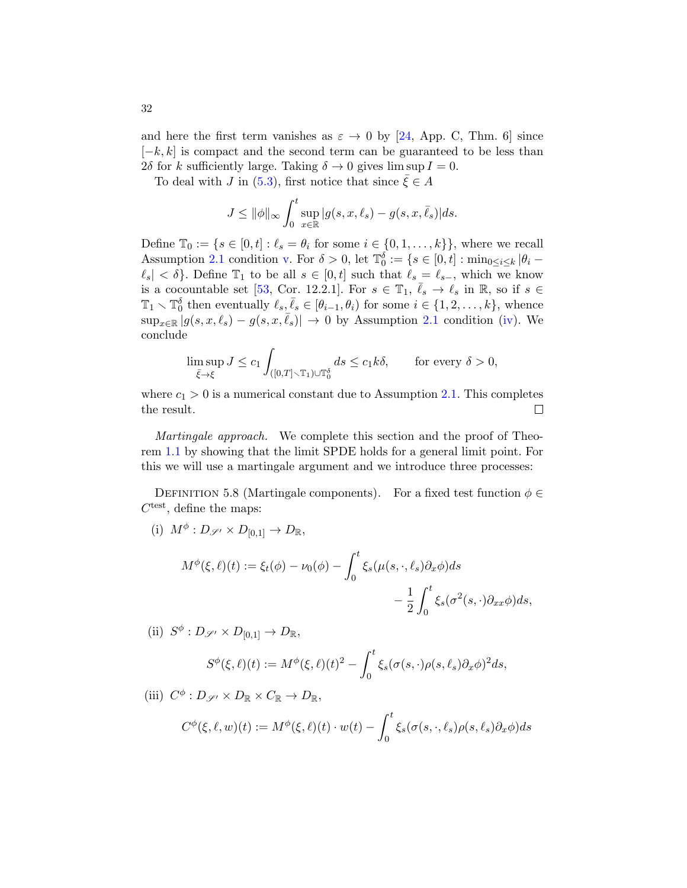and here the first term vanishes as  $\varepsilon \to 0$  by [\[24,](#page-57-21) App. C, Thm. 6] since  $[-k, k]$  is compact and the second term can be guaranteed to be less than 2δ for k sufficiently large. Taking  $\delta \to 0$  gives lim sup  $I = 0$ .

To deal with J in [\(5.3\)](#page-30-1), first notice that since  $\xi \in A$ 

$$
J \le \|\phi\|_{\infty} \int_0^t \sup_{x \in \mathbb{R}} |g(s, x, \ell_s) - g(s, x, \overline{\ell}_s)| ds.
$$

Define  $\mathbb{T}_0 := \{ s \in [0, t] : \ell_s = \theta_i \text{ for some } i \in \{0, 1, \ldots, k\} \},\$  where we recall Assumption [2.1](#page-10-0) condition [v.](#page-10-6) For  $\delta > 0$ , let  $\mathbb{T}_0^{\delta} := \{ s \in [0, t] : \min_{0 \leq i \leq k} |\theta_i - \theta_i| \leq \delta \}$  $\ell_s$  <  $\delta$ . Define  $\mathbb{T}_1$  to be all  $s \in [0, t]$  such that  $\ell_s = \ell_{s-}$ , which we know is a cocountable set [\[53,](#page-59-5) Cor. 12.2.1]. For  $s \in \mathbb{T}_1$ ,  $\bar{\ell}_s \to \ell_s$  in R, so if  $s \in$  $\mathbb{T}_1 \setminus \mathbb{T}_0^{\delta}$  then eventually  $\ell_s, \bar{\ell}_s \in [\theta_{i-1}, \theta_i)$  for some  $i \in \{1, 2, \ldots, k\}$ , whence  $\sup_{x \in \mathbb{R}} |g(s, x, \ell_s) - g(s, x, \overline{\ell_s})| \to 0$  by Assumption [2.1](#page-10-0) condition [\(iv\)](#page-10-5). We conclude

$$
\limsup_{\bar{\xi}\to\xi} J \le c_1 \int_{([0,T]\setminus\mathbb{T}_1)\cup\mathbb{T}_0^\delta} ds \le c_1 k\delta, \quad \text{for every } \delta > 0,
$$

where  $c_1 > 0$  is a numerical constant due to Assumption [2.1.](#page-10-0) This completes the result.  $\Box$ 

Martingale approach. We complete this section and the proof of Theorem [1.1](#page-5-0) by showing that the limit SPDE holds for a general limit point. For this we will use a martingale argument and we introduce three processes:

<span id="page-31-0"></span>DEFINITION 5.8 (Martingale components). For a fixed test function  $\phi \in$  $C<sup>test</sup>$ , define the maps:

(i)  $M^{\phi}: D_{\mathscr{S}'} \times D_{[0,1]} \to D_{\mathbb{R}},$ 

$$
M^{\phi}(\xi,\ell)(t) := \xi_t(\phi) - \nu_0(\phi) - \int_0^t \xi_s(\mu(s,\cdot,\ell_s)\partial_x\phi)ds - \frac{1}{2} \int_0^t \xi_s(\sigma^2(s,\cdot)\partial_{xx}\phi)ds,
$$

(ii) 
$$
S^{\phi}: D_{\mathscr{S}'} \times D_{[0,1]} \to D_{\mathbb{R}},
$$

$$
S^{\phi}(\xi,\ell)(t) := M^{\phi}(\xi,\ell)(t)^2 - \int_0^t \xi_s(\sigma(s,\cdot)\rho(s,\ell_s)\partial_x\phi)^2 ds,
$$

(iii)  $C^{\phi}: D_{\mathscr{S}'} \times D_{\mathbb{R}} \times C_{\mathbb{R}} \to D_{\mathbb{R}},$ 

$$
C^{\phi}(\xi,\ell,w)(t) := M^{\phi}(\xi,\ell)(t) \cdot w(t) - \int_0^t \xi_s(\sigma(s,\cdot,\ell_s)\rho(s,\ell_s)\partial_x\phi)ds
$$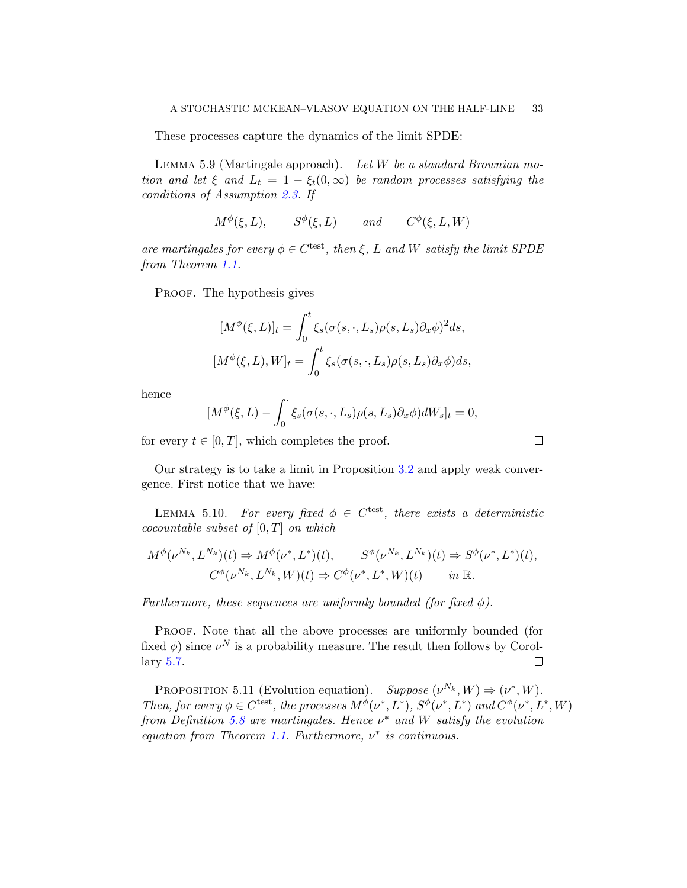These processes capture the dynamics of the limit SPDE:

<span id="page-32-2"></span>LEMMA 5.9 (Martingale approach). Let  $W$  be a standard Brownian motion and let  $\xi$  and  $L_t = 1 - \xi_t(0, \infty)$  be random processes satisfying the conditions of Assumption [2.3.](#page-11-0) If

$$
M^{\phi}(\xi, L), \qquad S^{\phi}(\xi, L) \qquad and \qquad C^{\phi}(\xi, L, W)
$$

are martingales for every  $\phi \in C^{\text{test}}$ , then  $\xi$ , L and W satisfy the limit SPDE from Theorem [1.1.](#page-5-0)

PROOF. The hypothesis gives

$$
[M^{\phi}(\xi, L)]_t = \int_0^t \xi_s(\sigma(s, \cdot, L_s)\rho(s, L_s)\partial_x \phi)^2 ds,
$$
  

$$
[M^{\phi}(\xi, L), W]_t = \int_0^t \xi_s(\sigma(s, \cdot, L_s)\rho(s, L_s)\partial_x \phi) ds,
$$

hence

$$
[M^{\phi}(\xi, L) - \int_0^{\cdot} \xi_s(\sigma(s,\cdot, L_s)\rho(s, L_s)\partial_x \phi)dW_s]_t = 0,
$$

 $\Box$ 

for every  $t \in [0, T]$ , which completes the proof.

Our strategy is to take a limit in Proposition [3.2](#page-13-1) and apply weak convergence. First notice that we have:

<span id="page-32-1"></span>LEMMA 5.10. For every fixed  $\phi \in C^{\text{test}}$ , there exists a deterministic cocountable subset of  $[0, T]$  on which

$$
M^{\phi}(\nu^{N_k}, L^{N_k})(t) \Rightarrow M^{\phi}(\nu^*, L^*)(t), \qquad S^{\phi}(\nu^{N_k}, L^{N_k})(t) \Rightarrow S^{\phi}(\nu^*, L^*)(t),
$$
  

$$
C^{\phi}(\nu^{N_k}, L^{N_k}, W)(t) \Rightarrow C^{\phi}(\nu^*, L^*, W)(t) \qquad in \ \mathbb{R}.
$$

Furthermore, these sequences are uniformly bounded (for fixed  $\phi$ ).

PROOF. Note that all the above processes are uniformly bounded (for fixed  $\phi$ ) since  $\nu^N$  is a probability measure. The result then follows by Corollary [5.7.](#page-30-0)  $\Box$ 

<span id="page-32-0"></span>PROPOSITION 5.11 (Evolution equation). Suppose  $(\nu^{N_k}, W) \Rightarrow (\nu^*, W)$ . Then, for every  $\phi \in C^{\text{test}}$ , the processes  $M^{\phi}(\nu^*, L^*)$ ,  $S^{\phi}(\nu^*, L^*)$  and  $C^{\phi}(\nu^*, L^*, W)$ from Definition [5.8](#page-31-0) are martingales. Hence  $\nu^*$  and W satisfy the evolution equation from Theorem [1.1.](#page-5-0) Furthermore,  $\nu^*$  is continuous.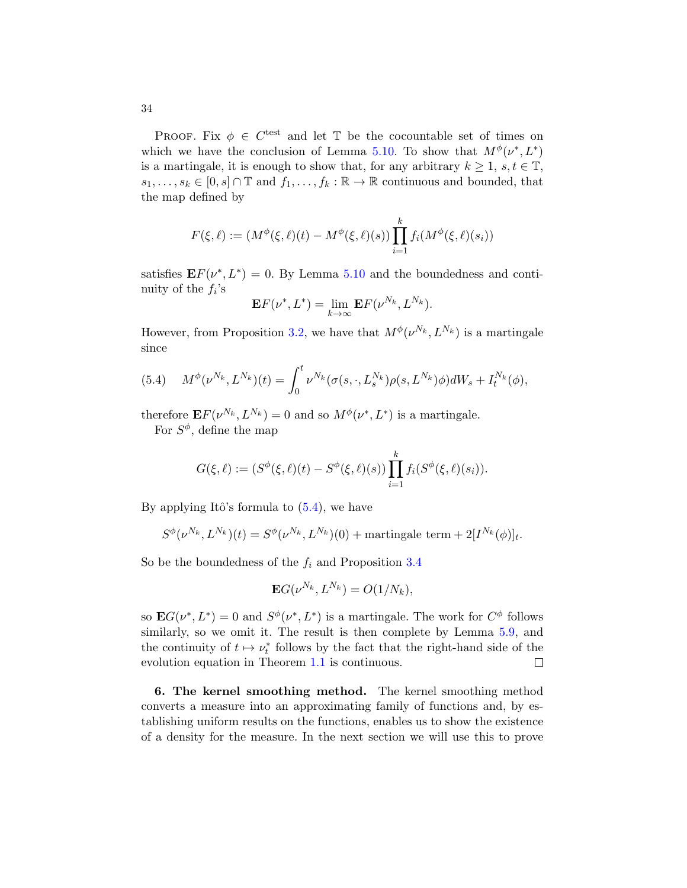PROOF. Fix  $\phi \in C^{\text{test}}$  and let T be the cocountable set of times on which we have the conclusion of Lemma [5.10.](#page-32-1) To show that  $M^{\phi}(\nu^*, L^*)$ is a martingale, it is enough to show that, for any arbitrary  $k \geq 1$ ,  $s, t \in \mathbb{T}$ ,  $s_1, \ldots, s_k \in [0, s] \cap \mathbb{T}$  and  $f_1, \ldots, f_k : \mathbb{R} \to \mathbb{R}$  continuous and bounded, that the map defined by

$$
F(\xi, \ell) := (M^{\phi}(\xi, \ell)(t) - M^{\phi}(\xi, \ell)(s)) \prod_{i=1}^{k} f_i(M^{\phi}(\xi, \ell)(s_i))
$$

satisfies  $\mathbf{E} F(\nu^*, L^*) = 0$ . By Lemma [5.10](#page-32-1) and the boundedness and continuity of the  $f_i$ 's

$$
\mathbf{E}F(\nu^*,L^*) = \lim_{k \to \infty} \mathbf{E}F(\nu^{N_k},L^{N_k}).
$$

However, from Proposition [3.2,](#page-13-1) we have that  $M^\phi(\nu^{N_k}, L^{N_k})$  is a martingale since

<span id="page-33-1"></span>(5.4) 
$$
M^{\phi}(\nu^{N_k}, L^{N_k})(t) = \int_0^t \nu^{N_k}(\sigma(s, \cdot, L_s^{N_k})\rho(s, L^{N_k})\phi)dW_s + I_t^{N_k}(\phi),
$$

therefore  $\mathbf{E} F(\nu^{N_k}, L^{N_k}) = 0$  and so  $M^\phi(\nu^*, L^*)$  is a martingale.

For  $S^{\phi}$ , define the map

$$
G(\xi, \ell) := (S^{\phi}(\xi, \ell)(t) - S^{\phi}(\xi, \ell)(s)) \prod_{i=1}^{k} f_i(S^{\phi}(\xi, \ell)(s_i)).
$$

By applying Itô's formula to  $(5.4)$ , we have

$$
S^{\phi}(\nu^{N_k}, L^{N_k})(t) = S^{\phi}(\nu^{N_k}, L^{N_k})(0) + \text{martingale term} + 2[I^{N_k}(\phi)]_t.
$$

So be the boundedness of the  $f_i$  and Proposition [3.4](#page-14-1)

$$
\mathbf{E}G(\nu^{N_k}, L^{N_k}) = O(1/N_k),
$$

so  $\mathbf{E}G(\nu^*,L^*)=0$  and  $S^{\phi}(\nu^*,L^*)$  is a martingale. The work for  $C^{\phi}$  follows similarly, so we omit it. The result is then complete by Lemma  $5.9$ , and the continuity of  $t \mapsto \nu_t^*$  follows by the fact that the right-hand side of the evolution equation in Theorem [1.1](#page-5-0) is continuous.  $\Box$ 

<span id="page-33-0"></span>6. The kernel smoothing method. The kernel smoothing method converts a measure into an approximating family of functions and, by establishing uniform results on the functions, enables us to show the existence of a density for the measure. In the next section we will use this to prove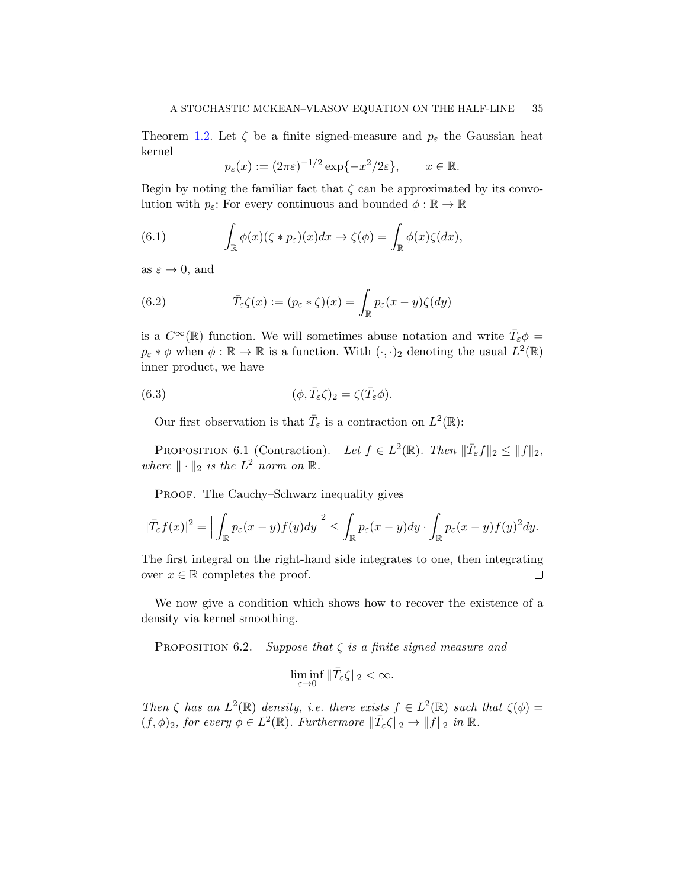Theorem [1.2.](#page-7-0) Let  $\zeta$  be a finite signed-measure and  $p_{\varepsilon}$  the Gaussian heat kernel

<span id="page-34-0"></span>
$$
p_{\varepsilon}(x) := (2\pi\varepsilon)^{-1/2} \exp\{-x^2/2\varepsilon\}, \qquad x \in \mathbb{R}.
$$

Begin by noting the familiar fact that  $\zeta$  can be approximated by its convolution with  $p_{\varepsilon}$ : For every continuous and bounded  $\phi : \mathbb{R} \to \mathbb{R}$ 

(6.1) 
$$
\int_{\mathbb{R}} \phi(x)(\zeta * p_{\varepsilon})(x) dx \to \zeta(\phi) = \int_{\mathbb{R}} \phi(x)\zeta(dx),
$$

as  $\varepsilon \to 0$ , and

<span id="page-34-2"></span>(6.2) 
$$
\bar{T}_{\varepsilon}\zeta(x) := (p_{\varepsilon} * \zeta)(x) = \int_{\mathbb{R}} p_{\varepsilon}(x - y)\zeta(dy)
$$

is a  $C^{\infty}(\mathbb{R})$  function. We will sometimes abuse notation and write  $\bar{T}_{\varepsilon}\phi =$  $p_{\varepsilon} * \phi$  when  $\phi : \mathbb{R} \to \mathbb{R}$  is a function. With  $(\cdot, \cdot)_2$  denoting the usual  $L^2(\mathbb{R})$ inner product, we have

(6.3) 
$$
(\phi, \bar{T}_{\varepsilon} \zeta)_{2} = \zeta(\bar{T}_{\varepsilon} \phi).
$$

<span id="page-34-3"></span>Our first observation is that  $\overline{T}_{\varepsilon}$  is a contraction on  $L^2(\mathbb{R})$ :

<span id="page-34-1"></span>PROPOSITION 6.1 (Contraction). Let  $f \in L^2(\mathbb{R})$ . Then  $\|\overline{T}_{\varepsilon}f\|_2 \leq \|f\|_2$ , where  $\|\cdot\|_2$  is the  $L^2$  norm on  $\mathbb{R}$ .

PROOF. The Cauchy–Schwarz inequality gives

$$
|\bar{T}_{\varepsilon}f(x)|^2 = \Big|\int_{\mathbb{R}} p_{\varepsilon}(x-y)f(y)dy\Big|^2 \leq \int_{\mathbb{R}} p_{\varepsilon}(x-y)dy \cdot \int_{\mathbb{R}} p_{\varepsilon}(x-y)f(y)^2dy.
$$

The first integral on the right-hand side integrates to one, then integrating over  $x \in \mathbb{R}$  completes the proof.  $\Box$ 

We now give a condition which shows how to recover the existence of a density via kernel smoothing.

<span id="page-34-4"></span>PROPOSITION 6.2. Suppose that  $\zeta$  is a finite signed measure and

$$
\liminf_{\varepsilon\to 0}\|\bar T_\varepsilon\zeta\|_2<\infty.
$$

Then  $\zeta$  has an  $L^2(\mathbb{R})$  density, i.e. there exists  $f \in L^2(\mathbb{R})$  such that  $\zeta(\phi) =$  $(f, \phi)_2$ , for every  $\phi \in L^2(\mathbb{R})$ . Furthermore  $\|\bar{T}_{\varepsilon} \zeta\|_2 \to \|f\|_2$  in  $\mathbb{R}$ .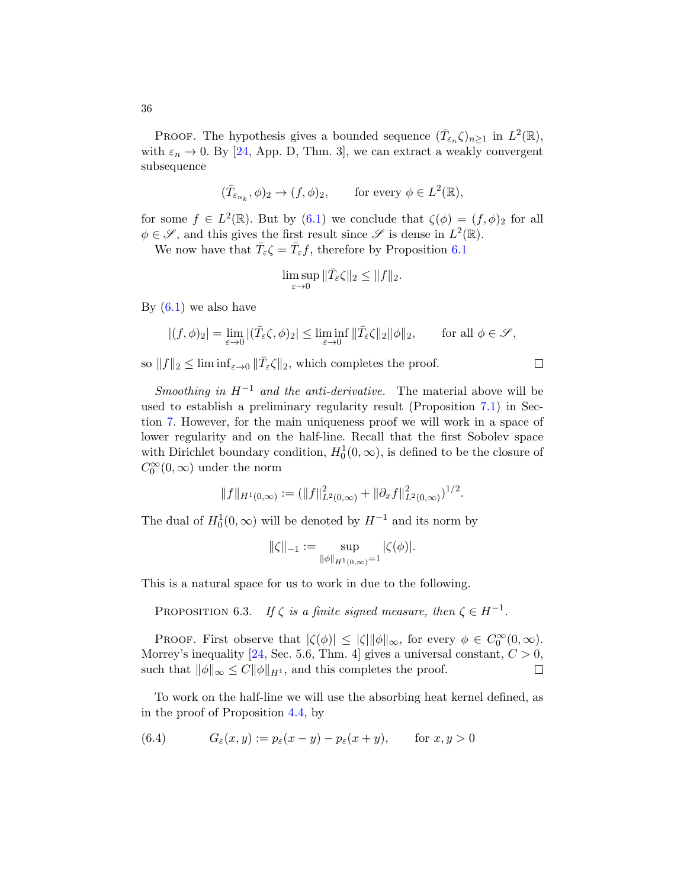PROOF. The hypothesis gives a bounded sequence  $(\bar{T}_{\varepsilon_n}\zeta)_{n\geq 1}$  in  $L^2(\mathbb{R})$ , with  $\varepsilon_n \to 0$ . By [\[24,](#page-57-21) App. D, Thm. 3], we can extract a weakly convergent subsequence

$$
(\bar{T}_{\varepsilon_{n_k}}, \phi)_2 \to (f, \phi)_2,
$$
 for every  $\phi \in L^2(\mathbb{R}),$ 

for some  $f \in L^2(\mathbb{R})$ . But by  $(6.1)$  we conclude that  $\zeta(\phi) = (f, \phi)_2$  for all  $\phi \in \mathscr{S}$ , and this gives the first result since  $\mathscr{S}$  is dense in  $L^2(\mathbb{R})$ .

We now have that  $\bar{T}_{\varepsilon} \zeta = \bar{T}_{\varepsilon} f$ , therefore by Proposition [6.1](#page-34-1)

$$
\limsup_{\varepsilon \to 0} \|\bar{T}_{\varepsilon} \zeta\|_2 \le \|f\|_2.
$$

By  $(6.1)$  we also have

$$
|(f,\phi)_2| = \lim_{\varepsilon \to 0} |(\bar{T}_{\varepsilon} \zeta, \phi)_2| \le \liminf_{\varepsilon \to 0} \|\bar{T}_{\varepsilon} \zeta\|_2 \|\phi\|_2, \qquad \text{for all } \phi \in \mathscr{S},
$$

 $\Box$ 

so  $||f||_2 \leq \liminf_{\varepsilon \to 0} ||\overline{T}_{\varepsilon} \zeta||_2$ , which completes the proof.

Smoothing in  $H^{-1}$  and the anti-derivative. The material above will be used to establish a preliminary regularity result (Proposition [7.1\)](#page-37-1) in Section [7.](#page-37-0) However, for the main uniqueness proof we will work in a space of lower regularity and on the half-line. Recall that the first Sobolev space with Dirichlet boundary condition,  $H_0^1(0, \infty)$ , is defined to be the closure of  $C_0^\infty(0,\infty)$  under the norm

$$
||f||_{H^1(0,\infty)} := (||f||^2_{L^2(0,\infty)} + ||\partial_x f||^2_{L^2(0,\infty)})^{1/2}.
$$

The dual of  $H_0^1(0, \infty)$  will be denoted by  $H^{-1}$  and its norm by

$$
\|\zeta\|_{-1} := \sup_{\|\phi\|_{H^1(0,\infty)}=1} |\zeta(\phi)|.
$$

This is a natural space for us to work in due to the following.

<span id="page-35-1"></span>PROPOSITION 6.3. If  $\zeta$  is a finite signed measure, then  $\zeta \in H^{-1}$ .

PROOF. First observe that  $|\zeta(\phi)| \leq |\zeta| ||\phi||_{\infty}$ , for every  $\phi \in C_0^{\infty}(0, \infty)$ . Morrey's inequality [\[24,](#page-57-21) Sec. 5.6, Thm. 4] gives a universal constant,  $C > 0$ , such that  $\|\phi\|_{\infty} \leq C\|\phi\|_{H^1}$ , and this completes the proof.  $\Box$ 

To work on the half-line we will use the absorbing heat kernel defined, as in the proof of Proposition [4.4,](#page-17-0) by

<span id="page-35-0"></span>(6.4) 
$$
G_{\varepsilon}(x,y) := p_{\varepsilon}(x-y) - p_{\varepsilon}(x+y), \quad \text{for } x, y > 0
$$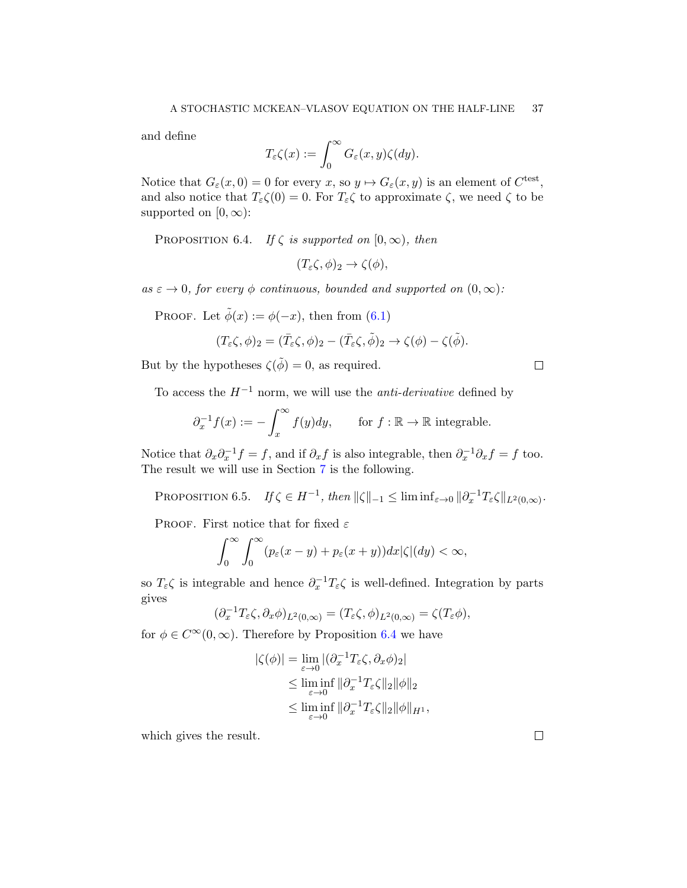and define

$$
T_{\varepsilon} \zeta(x) := \int_0^{\infty} G_{\varepsilon}(x, y) \zeta(dy).
$$

Notice that  $G_{\varepsilon}(x,0) = 0$  for every  $x$ , so  $y \mapsto G_{\varepsilon}(x, y)$  is an element of  $C^{\text{test}}$ , and also notice that  $T_{\varepsilon} \zeta(0) = 0$ . For  $T_{\varepsilon} \zeta$  to approximate  $\zeta$ , we need  $\zeta$  to be supported on  $[0, \infty)$ :

<span id="page-36-0"></span>PROPOSITION 6.4. If  $\zeta$  is supported on  $[0, \infty)$ , then

 $(T_{\varepsilon} \zeta, \phi)_2 \to \zeta(\phi),$ 

as  $\varepsilon \to 0$ , for every  $\phi$  continuous, bounded and supported on  $(0, \infty)$ :

PROOF. Let  $\tilde{\phi}(x) := \phi(-x)$ , then from [\(6.1\)](#page-34-0)

$$
(T_{\varepsilon} \zeta, \phi)_2 = (\bar{T}_{\varepsilon} \zeta, \phi)_2 - (\bar{T}_{\varepsilon} \zeta, \tilde{\phi})_2 \to \zeta(\phi) - \zeta(\tilde{\phi}).
$$

But by the hypotheses  $\zeta(\tilde{\phi}) = 0$ , as required.

To access the  $H^{-1}$  norm, we will use the *anti-derivative* defined by

$$
\partial_x^{-1} f(x) := -\int_x^{\infty} f(y) dy, \quad \text{for } f: \mathbb{R} \to \mathbb{R} \text{ integrable.}
$$

Notice that  $\partial_x \partial_x^{-1} f = f$ , and if  $\partial_x f$  is also integrable, then  $\partial_x^{-1} \partial_x f = f$  too. The result we will use in Section [7](#page-37-0) is the following.

<span id="page-36-1"></span>PROPOSITION 6.5. If  $\zeta \in H^{-1}$ , then  $\|\zeta\|_{-1} \le \liminf_{\varepsilon \to 0} \|\partial_x^{-1} T_{\varepsilon} \zeta\|_{L^2(0,\infty)}$ .

PROOF. First notice that for fixed  $\varepsilon$ 

$$
\int_0^\infty \int_0^\infty (p_\varepsilon(x-y) + p_\varepsilon(x+y)) dx |\zeta| (dy) < \infty,
$$

so  $T_{\varepsilon} \zeta$  is integrable and hence  $\partial_x^{-1} T_{\varepsilon} \zeta$  is well-defined. Integration by parts gives

$$
(\partial_x^{-1}T_{\varepsilon}\zeta,\partial_x\phi)_{L^2(0,\infty)}=(T_{\varepsilon}\zeta,\phi)_{L^2(0,\infty)}=\zeta(T_{\varepsilon}\phi),
$$

for  $\phi \in C^{\infty}(0,\infty)$ . Therefore by Proposition [6.4](#page-36-0) we have

$$
|\zeta(\phi)| = \lim_{\varepsilon \to 0} |(\partial_x^{-1} T_{\varepsilon} \zeta, \partial_x \phi)_2|
$$
  
\n
$$
\leq \liminf_{\varepsilon \to 0} ||\partial_x^{-1} T_{\varepsilon} \zeta||_2 ||\phi||_2
$$
  
\n
$$
\leq \liminf_{\varepsilon \to 0} ||\partial_x^{-1} T_{\varepsilon} \zeta||_2 ||\phi||_{H^1},
$$

which gives the result.

 $\Box$ 

 $\Box$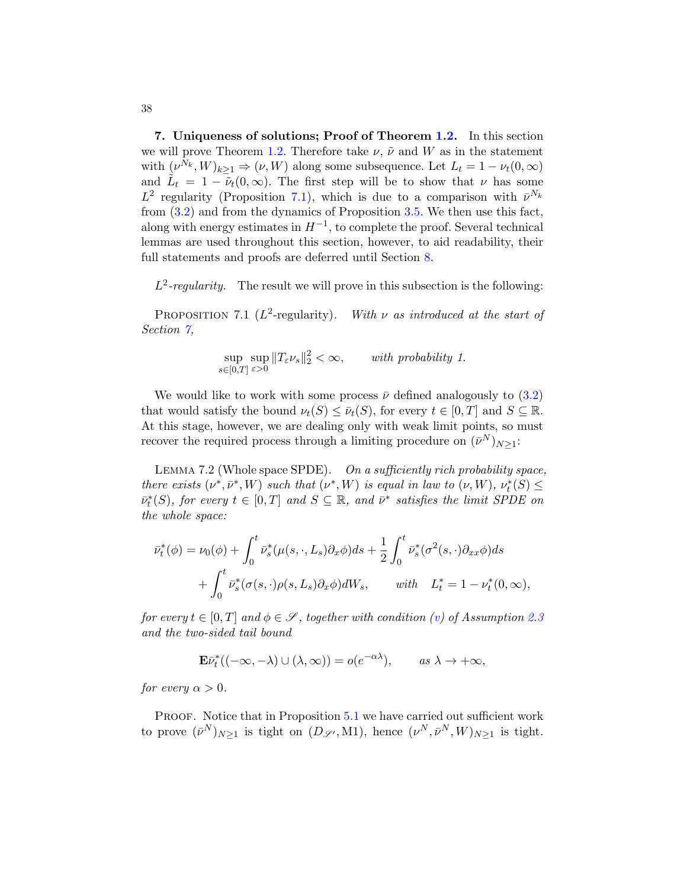<span id="page-37-0"></span>7. Uniqueness of solutions; Proof of Theorem [1.2.](#page-7-0) In this section we will prove Theorem [1.2.](#page-7-0) Therefore take  $\nu$ ,  $\tilde{\nu}$  and W as in the statement with  $(\nu^{N_k}, W)_{k \geq 1} \Rightarrow (\nu, W)$  along some subsequence. Let  $L_t = 1 - \nu_t(0, \infty)$ and  $\tilde{L}_t = 1 - \tilde{\nu}_t(0, \infty)$ . The first step will be to show that  $\nu$  has some  $L^2$  regularity (Proposition [7.1\)](#page-37-1), which is due to a comparison with  $\bar{\nu}^{N_k}$ from [\(3.2\)](#page-14-0) and from the dynamics of Proposition [3.5.](#page-14-2) We then use this fact, along with energy estimates in  $H^{-1}$ , to complete the proof. Several technical lemmas are used throughout this section, however, to aid readability, their full statements and proofs are deferred until Section [8.](#page-47-0)

 $L^2$ -regularity. The result we will prove in this subsection is the following:

<span id="page-37-1"></span>PROPOSITION 7.1 ( $L^2$ -regularity). With  $\nu$  as introduced at the start of Section  $\gamma$ ,

$$
\sup_{s\in[0,T]}\sup_{\varepsilon>0}||T_{\varepsilon}\nu_s||_2^2<\infty, \qquad with \ probability \ 1.
$$

We would like to work with some process  $\bar{\nu}$  defined analogously to [\(3.2\)](#page-14-0) that would satisfy the bound  $\nu_t(S) \leq \bar{\nu}_t(S)$ , for every  $t \in [0, T]$  and  $S \subseteq \mathbb{R}$ . At this stage, however, we are dealing only with weak limit points, so must recover the required process through a limiting procedure on  $(\bar{\nu}^N)_{N\geq 1}$ :

<span id="page-37-2"></span>LEMMA 7.2 (Whole space SPDE). On a sufficiently rich probability space, there exists  $(\nu^*, \bar{\nu}^*, W)$  such that  $(\nu^*, W)$  is equal in law to  $(\nu, W)$ ,  $\nu_t^*(S) \leq$  $\bar{\nu}_t^*(S)$ , for every  $t \in [0,T]$  and  $S \subseteq \mathbb{R}$ , and  $\bar{\nu}^*$  satisfies the limit SPDE on the whole space:

$$
\bar{\nu}_t^*(\phi) = \nu_0(\phi) + \int_0^t \bar{\nu}_s^*(\mu(s,\cdot,L_s)\partial_x\phi)ds + \frac{1}{2}\int_0^t \bar{\nu}_s^*(\sigma^2(s,\cdot)\partial_{xx}\phi)ds \n+ \int_0^t \bar{\nu}_s^*(\sigma(s,\cdot)\rho(s,L_s)\partial_x\phi)dW_s, \quad \text{with} \quad L_t^* = 1 - \nu_t^*(0,\infty),
$$

for every  $t \in [0, T]$  and  $\phi \in \mathscr{S}$ , together with condition [\(v\)](#page-12-5) of Assumption [2.3](#page-11-0) and the two-sided tail bound

$$
\mathbf{E}\bar{\nu}_t^*((-\infty,-\lambda) \cup (\lambda,\infty)) = o(e^{-\alpha\lambda}), \quad \text{as } \lambda \to +\infty,
$$

for every  $\alpha > 0$ .

PROOF. Notice that in Proposition [5.1](#page-24-1) we have carried out sufficient work to prove  $(\bar{\nu}^N)_{N\geq 1}$  is tight on  $(D_{\mathscr{S}'}, M1)$ , hence  $(\nu^N, \bar{\nu}^N, W)_{N\geq 1}$  is tight.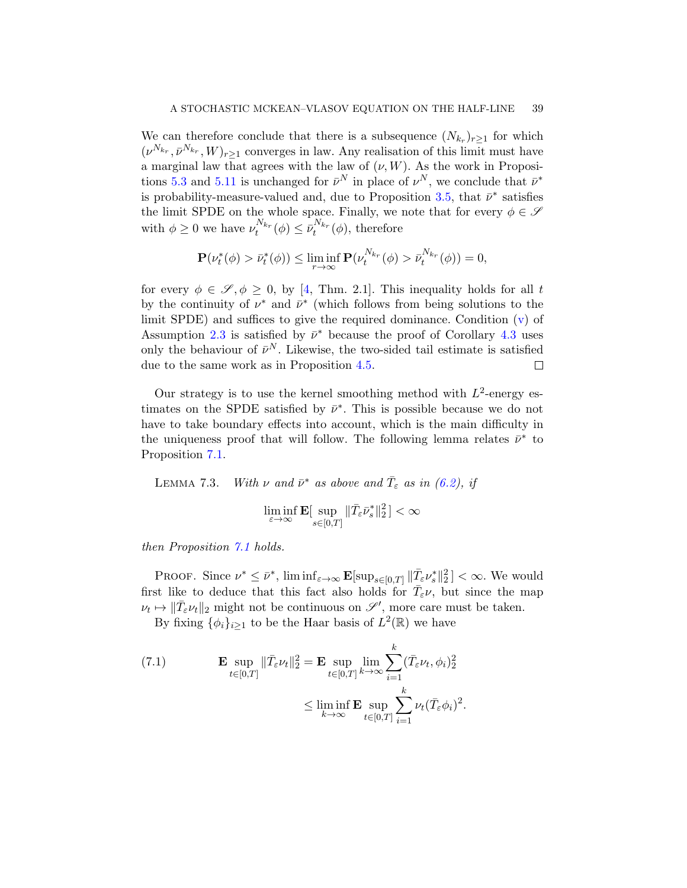We can therefore conclude that there is a subsequence  $(N_{k_r})_{r\geq 1}$  for which  $(\nu^{N_{k_r}}, \bar{\nu}^{N_{k_r}}, W)_{r \geq 1}$  converges in law. Any realisation of this limit must have a marginal law that agrees with the law of  $(\nu, W)$ . As the work in Proposi-tions [5.3](#page-26-0) and [5.11](#page-32-0) is unchanged for  $\bar{\nu}^N$  in place of  $\nu^N$ , we conclude that  $\bar{\nu}^*$ is probability-measure-valued and, due to Proposition [3.5,](#page-14-2) that  $\bar{\nu}^*$  satisfies the limit SPDE on the whole space. Finally, we note that for every  $\phi \in \mathcal{S}$ with  $\phi \geq 0$  we have  $\nu_t^{N_{k_r}}(\phi) \leq \bar{\nu}_t^{N_{k_r}}(\phi)$ , therefore

$$
\mathbf{P}(\nu_t^*(\phi) > \bar{\nu}_t^*(\phi)) \le \liminf_{r \to \infty} \mathbf{P}(\nu_t^{N_{kr}}(\phi) > \bar{\nu}_t^{N_{kr}}(\phi)) = 0,
$$

for every  $\phi \in \mathscr{S}, \phi \geq 0$ , by [\[4,](#page-57-20) Thm. 2.1]. This inequality holds for all t by the continuity of  $\nu^*$  and  $\bar{\nu}^*$  (which follows from being solutions to the limit SPDE) and suffices to give the required dominance. Condition  $(v)$  of Assumption [2.3](#page-11-0) is satisfied by  $\bar{\nu}^*$  because the proof of Corollary [4.3](#page-16-1) uses only the behaviour of  $\bar{\nu}^N$ . Likewise, the two-sided tail estimate is satisfied due to the same work as in Proposition [4.5.](#page-18-0)  $\Box$ 

Our strategy is to use the kernel smoothing method with  $L^2$ -energy estimates on the SPDE satisfied by  $\bar{\nu}^*$ . This is possible because we do not have to take boundary effects into account, which is the main difficulty in the uniqueness proof that will follow. The following lemma relates  $\bar{\nu}^*$  to Proposition [7.1.](#page-37-1)

LEMMA 7.3. With  $\nu$  and  $\bar{\nu}^*$  as above and  $\bar{T}_{\varepsilon}$  as in [\(6.2\)](#page-34-2), if

$$
\liminf_{\varepsilon\to\infty}\mathbf{E}[\sup_{s\in[0,T]}\|\bar T_\varepsilon\bar\nu_s^*\|_2^2]<\infty
$$

then Proposition [7.1](#page-37-1) holds.

PROOF. Since  $\nu^* \leq \bar{\nu}^*$ ,  $\liminf_{\varepsilon \to \infty} \mathbf{E}[\sup_{s \in [0,T]} \|\bar{T}_{\varepsilon} \nu_s^*\|_2^2] < \infty$ . We would first like to deduce that this fact also holds for  $\bar{T}_{\varepsilon} \nu$ , but since the map  $\nu_t \mapsto \|\bar{T}_{\varepsilon}\nu_t\|_2$  might not be continuous on  $\mathscr{S}',$  more care must be taken.

By fixing  $\{\phi_i\}_{i\geq 1}$  to be the Haar basis of  $L^2(\mathbb{R})$  we have

<span id="page-38-0"></span>(7.1) 
$$
\mathbf{E} \sup_{t \in [0,T]} \|\bar{T}_{\varepsilon} \nu_t\|_2^2 = \mathbf{E} \sup_{t \in [0,T]} \lim_{k \to \infty} \sum_{i=1}^k (\bar{T}_{\varepsilon} \nu_t, \phi_i)_2^2
$$

$$
\leq \liminf_{k \to \infty} \mathbf{E} \sup_{t \in [0,T]} \sum_{i=1}^k \nu_t (\bar{T}_{\varepsilon} \phi_i)^2.
$$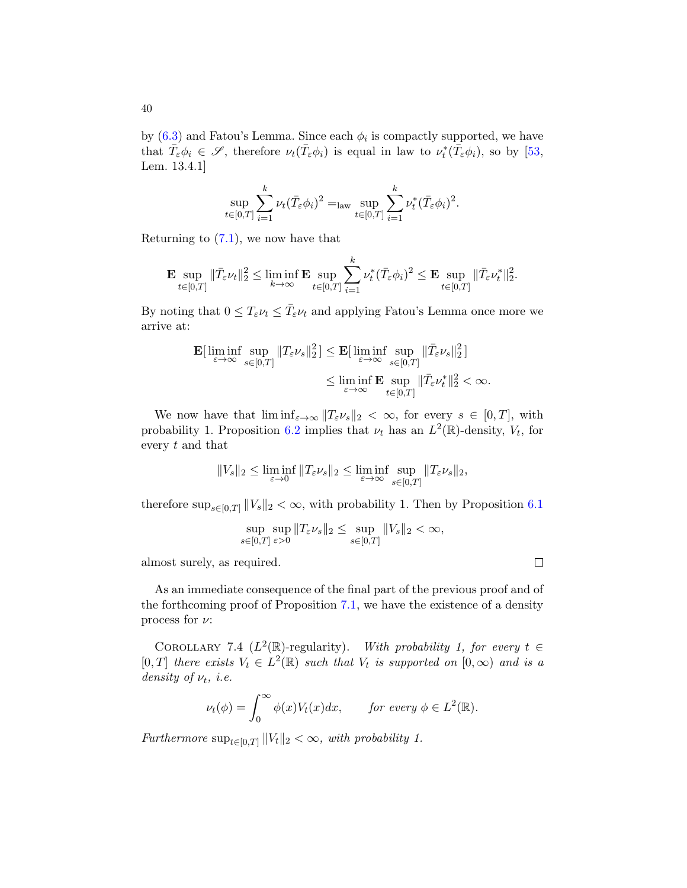by  $(6.3)$  and Fatou's Lemma. Since each  $\phi_i$  is compactly supported, we have that  $\overline{T}_{\varepsilon} \phi_i \in \mathscr{S}$ , therefore  $\nu_t(\overline{T}_{\varepsilon} \phi_i)$  is equal in law to  $\nu_t^*(\overline{T}_{\varepsilon} \phi_i)$ , so by [\[53,](#page-59-5) Lem. 13.4.1]

$$
\sup_{t\in[0,T]}\sum_{i=1}^k\nu_t(\bar{T}_{\varepsilon}\phi_i)^2 = \lim_{t\in[0,T]}\sup_{i=1}^k\nu_t^*(\bar{T}_{\varepsilon}\phi_i)^2.
$$

Returning to  $(7.1)$ , we now have that

$$
\mathbf{E} \sup_{t\in[0,T]} \|\bar{T}_{\varepsilon}\nu_t\|_2^2 \leq \liminf_{k\to\infty} \mathbf{E} \sup_{t\in[0,T]} \sum_{i=1}^k \nu_t^*(\bar{T}_{\varepsilon}\phi_i)^2 \leq \mathbf{E} \sup_{t\in[0,T]} \|\bar{T}_{\varepsilon}\nu_t^*\|_2^2.
$$

By noting that  $0 \leq T_{\varepsilon} \nu_t \leq \bar{T}_{\varepsilon} \nu_t$  and applying Fatou's Lemma once more we arrive at:

$$
\mathbf{E}[\n\liminf_{\varepsilon \to \infty} \sup_{s \in [0,T]} \|T_{\varepsilon} \nu_s\|_2^2] \leq \mathbf{E}[\n\liminf_{\varepsilon \to \infty} \sup_{s \in [0,T]} \|\bar{T}_{\varepsilon} \nu_s\|_2^2]\n\\ \leq \liminf_{\varepsilon \to \infty} \mathbf{E} \sup_{t \in [0,T]} \|\bar{T}_{\varepsilon} \nu_t^*\|_2^2 < \infty.
$$

We now have that  $\liminf_{\varepsilon\to\infty}||T_{\varepsilon}\nu_s||_2 < \infty$ , for every  $s \in [0,T]$ , with probability 1. Proposition [6.2](#page-34-4) implies that  $\nu_t$  has an  $L^2(\mathbb{R})$ -density,  $V_t$ , for every t and that

$$
||V_s||_2 \le \liminf_{\varepsilon \to 0} ||T_{\varepsilon} \nu_s||_2 \le \liminf_{\varepsilon \to \infty} \sup_{s \in [0,T]} ||T_{\varepsilon} \nu_s||_2,
$$

therefore  $\sup_{s\in[0,T]}$   $||V_s||_2 < \infty$ , with probability 1. Then by Proposition [6.1](#page-34-1)

$$
\sup_{s \in [0,T]} \sup_{\varepsilon > 0} \|T_{\varepsilon} \nu_s\|_2 \le \sup_{s \in [0,T]} \|V_s\|_2 < \infty,
$$

almost surely, as required.

As an immediate consequence of the final part of the previous proof and of the forthcoming proof of Proposition [7.1,](#page-37-1) we have the existence of a density process for  $\nu$ :

<span id="page-39-0"></span>COROLLARY 7.4 ( $L^2(\mathbb{R})$ -regularity). With probability 1, for every  $t \in$ [0, T] there exists  $V_t \in L^2(\mathbb{R})$  such that  $V_t$  is supported on  $[0,\infty)$  and is a density of  $\nu_t$ , *i.e.* 

$$
\nu_t(\phi) = \int_0^\infty \phi(x) V_t(x) dx, \quad \text{for every } \phi \in L^2(\mathbb{R}).
$$

Furthermore  $\sup_{t\in[0,T]}\|V_t\|_2 < \infty$ , with probability 1.

40

 $\Box$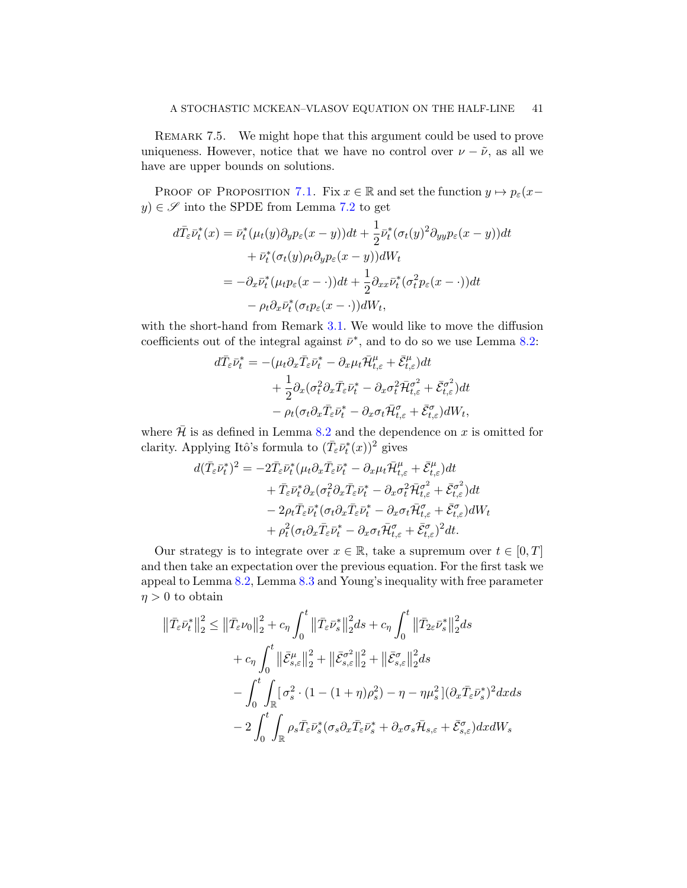<span id="page-40-0"></span>REMARK 7.5. We might hope that this argument could be used to prove uniqueness. However, notice that we have no control over  $\nu - \tilde{\nu}$ , as all we have are upper bounds on solutions.

PROOF OF PROPOSITION [7.1.](#page-37-1) Fix  $x \in \mathbb{R}$  and set the function  $y \mapsto p_{\varepsilon}(x-\varepsilon)$  $y)\in \mathscr{S}$  into the SPDE from Lemma [7.2](#page-37-2) to get

$$
d\bar{T}_{\varepsilon}\bar{\nu}_{t}^{*}(x) = \bar{\nu}_{t}^{*}(\mu_{t}(y)\partial_{y}p_{\varepsilon}(x-y))dt + \frac{1}{2}\bar{\nu}_{t}^{*}(\sigma_{t}(y)^{2}\partial_{y y}p_{\varepsilon}(x-y))dt
$$

$$
+ \bar{\nu}_{t}^{*}(\sigma_{t}(y)\rho_{t}\partial_{y}p_{\varepsilon}(x-y))dW_{t}
$$

$$
= -\partial_{x}\bar{\nu}_{t}^{*}(\mu_{t}p_{\varepsilon}(x-\cdot))dt + \frac{1}{2}\partial_{xx}\bar{\nu}_{t}^{*}(\sigma_{t}^{2}p_{\varepsilon}(x-\cdot))dt
$$

$$
- \rho_{t}\partial_{x}\bar{\nu}_{t}^{*}(\sigma_{t}p_{\varepsilon}(x-\cdot))dW_{t},
$$

with the short-hand from Remark [3.1.](#page-13-2) We would like to move the diffusion coefficients out of the integral against  $\bar{\nu}^*$ , and to do so we use Lemma [8.2:](#page-48-0)

$$
d\bar{T}_{\varepsilon}\bar{\nu}_{t}^{*} = -(\mu_{t}\partial_{x}\bar{T}_{\varepsilon}\bar{\nu}_{t}^{*} - \partial_{x}\mu_{t}\bar{\mathcal{H}}_{t,\varepsilon}^{\mu} + \bar{\mathcal{E}}_{t,\varepsilon}^{\mu})dt + \frac{1}{2}\partial_{x}(\sigma_{t}^{2}\partial_{x}\bar{T}_{\varepsilon}\bar{\nu}_{t}^{*} - \partial_{x}\sigma_{t}^{2}\bar{\mathcal{H}}_{t,\varepsilon}^{\sigma^{2}} + \bar{\mathcal{E}}_{t,\varepsilon}^{\sigma^{2}})dt - \rho_{t}(\sigma_{t}\partial_{x}\bar{T}_{\varepsilon}\bar{\nu}_{t}^{*} - \partial_{x}\sigma_{t}\bar{\mathcal{H}}_{t,\varepsilon}^{\sigma} + \bar{\mathcal{E}}_{t,\varepsilon}^{\sigma})dW_{t},
$$

where  $\bar{\mathcal{H}}$  is as defined in Lemma [8.2](#page-48-0) and the dependence on x is omitted for clarity. Applying Itô's formula to  $(\bar{T}_{\varepsilon} \bar{\nu}_t^*(x))^2$  gives

$$
d(\bar{T}_{\varepsilon}\bar{\nu}_t^*)^2 = -2\bar{T}_{\varepsilon}\bar{\nu}_t^*(\mu_t \partial_x \bar{T}_{\varepsilon}\bar{\nu}_t^* - \partial_x \mu_t \bar{\mathcal{H}}_{t,\varepsilon}^{\mu} + \bar{\mathcal{E}}_{t,\varepsilon}^{\mu})dt + \bar{T}_{\varepsilon}\bar{\nu}_t^* \partial_x (\sigma_t^2 \partial_x \bar{T}_{\varepsilon}\bar{\nu}_t^* - \partial_x \sigma_t^2 \bar{\mathcal{H}}_{t,\varepsilon}^{\sigma^2} + \bar{\mathcal{E}}_{t,\varepsilon}^{\sigma^2})dt - 2\rho_t \bar{T}_{\varepsilon}\bar{\nu}_t^*(\sigma_t \partial_x \bar{T}_{\varepsilon}\bar{\nu}_t^* - \partial_x \sigma_t \bar{\mathcal{H}}_{t,\varepsilon}^{\sigma} + \bar{\mathcal{E}}_{t,\varepsilon}^{\sigma})dW_t + \rho_t^2 (\sigma_t \partial_x \bar{T}_{\varepsilon}\bar{\nu}_t^* - \partial_x \sigma_t \bar{\mathcal{H}}_{t,\varepsilon}^{\sigma} + \bar{\mathcal{E}}_{t,\varepsilon}^{\sigma})^2 dt.
$$

Our strategy is to integrate over  $x \in \mathbb{R}$ , take a supremum over  $t \in [0, T]$ and then take an expectation over the previous equation. For the first task we appeal to Lemma [8.2,](#page-48-0) Lemma [8.3](#page-49-0) and Young's inequality with free parameter  $\eta > 0$  to obtain

$$
\begin{split} \left\| \bar{T}_{\varepsilon} \bar{\nu}_t^* \right\|_2^2 &\leq \left\| \bar{T}_{\varepsilon} \nu_0 \right\|_2^2 + c_{\eta} \int_0^t \left\| \bar{T}_{\varepsilon} \bar{\nu}_s^* \right\|_2^2 ds + c_{\eta} \int_0^t \left\| \bar{T}_{2\varepsilon} \bar{\nu}_s^* \right\|_2^2 ds \\ &+ c_{\eta} \int_0^t \left\| \bar{\mathcal{E}}_{s,\varepsilon}^{\mu} \right\|_2^2 + \left\| \bar{\mathcal{E}}_{s,\varepsilon}^{\sigma^2} \right\|_2^2 + \left\| \bar{\mathcal{E}}_{s,\varepsilon}^{\sigma} \right\|_2^2 ds \\ &- \int_0^t \int_{\mathbb{R}} \left[ \sigma_s^2 \cdot (1 - (1 + \eta) \rho_s^2) - \eta - \eta \mu_s^2 \right] (\partial_x \bar{T}_{\varepsilon} \bar{\nu}_s^*)^2 dx ds \\ &- 2 \int_0^t \int_{\mathbb{R}} \rho_s \bar{T}_{\varepsilon} \bar{\nu}_s^* (\sigma_s \partial_x \bar{T}_{\varepsilon} \bar{\nu}_s^* + \partial_x \sigma_s \bar{\mathcal{H}}_{s,\varepsilon} + \bar{\mathcal{E}}_{s,\varepsilon}^{\sigma}) dx dW_s \end{split}
$$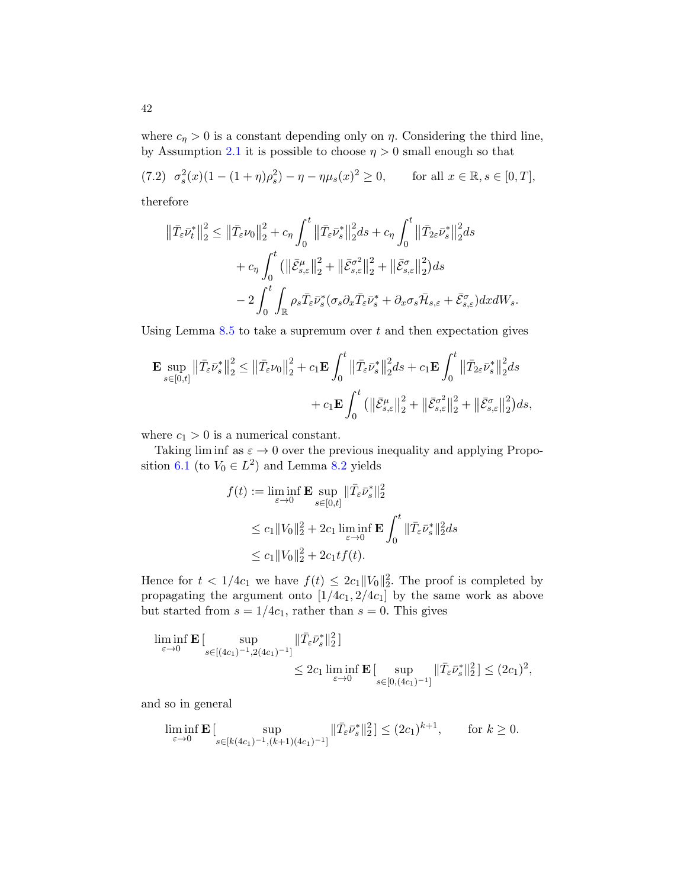where  $c_n > 0$  is a constant depending only on  $\eta$ . Considering the third line, by Assumption [2.1](#page-10-0) it is possible to choose  $\eta > 0$  small enough so that

<span id="page-41-0"></span>
$$
(7.2) \ \sigma_s^2(x)(1 - (1 + \eta)\rho_s^2) - \eta - \eta\mu_s(x)^2 \ge 0, \qquad \text{for all } x \in \mathbb{R}, s \in [0, T],
$$
  
therefore

therefore

$$
\begin{split} \left\| \bar{T}_{\varepsilon} \bar{\nu}_t^* \right\|_2^2 &\leq \left\| \bar{T}_{\varepsilon} \nu_0 \right\|_2^2 + c_{\eta} \int_0^t \left\| \bar{T}_{\varepsilon} \bar{\nu}_s^* \right\|_2^2 ds + c_{\eta} \int_0^t \left\| \bar{T}_{2\varepsilon} \bar{\nu}_s^* \right\|_2^2 ds \\ &+ c_{\eta} \int_0^t \left( \left\| \bar{\mathcal{E}}_{s,\varepsilon}^{\mu} \right\|_2^2 + \left\| \bar{\mathcal{E}}_{s,\varepsilon}^{\sigma^2} \right\|_2^2 + \left\| \bar{\mathcal{E}}_{s,\varepsilon}^{\sigma} \right\|_2^2 \right) ds \\ &- 2 \int_0^t \int_{\mathbb{R}} \rho_s \bar{T}_{\varepsilon} \bar{\nu}_s^* (\sigma_s \partial_x \bar{T}_{\varepsilon} \bar{\nu}_s^* + \partial_x \sigma_s \bar{\mathcal{H}}_{s,\varepsilon} + \bar{\mathcal{E}}_{s,\varepsilon}^{\sigma}) dx dW_s. \end{split}
$$

Using Lemma  $8.5$  to take a supremum over t and then expectation gives

$$
\mathbf{E} \sup_{s \in [0,t]} \left\| \bar{T}_{\varepsilon} \bar{\nu}_s^* \right\|_2^2 \le \left\| \bar{T}_{\varepsilon} \nu_0 \right\|_2^2 + c_1 \mathbf{E} \int_0^t \left\| \bar{T}_{\varepsilon} \bar{\nu}_s^* \right\|_2^2 ds + c_1 \mathbf{E} \int_0^t \left\| \bar{T}_{2\varepsilon} \bar{\nu}_s^* \right\|_2^2 ds + c_1 \mathbf{E} \int_0^t \left( \left\| \bar{\mathcal{E}}_{s,\varepsilon}^{\mu} \right\|_2^2 + \left\| \bar{\mathcal{E}}_{s,\varepsilon}^{\sigma^2} \right\|_2^2 + \left\| \bar{\mathcal{E}}_{s,\varepsilon}^{\sigma} \right\|_2^2 \right) ds,
$$

where  $c_1 > 0$  is a numerical constant.

Taking lim inf as  $\varepsilon \to 0$  over the previous inequality and applying Propo-sition [6.1](#page-34-1) (to  $V_0 \in L^2$ ) and Lemma [8.2](#page-48-0) yields

$$
f(t) := \liminf_{\varepsilon \to 0} \mathbf{E} \sup_{s \in [0,t]} \|\bar{T}_{\varepsilon} \bar{\nu}_s^*\|_2^2
$$
  

$$
\leq c_1 \|V_0\|_2^2 + 2c_1 \liminf_{\varepsilon \to 0} \mathbf{E} \int_0^t \|\bar{T}_{\varepsilon} \bar{\nu}_s^*\|_2^2 ds
$$
  

$$
\leq c_1 \|V_0\|_2^2 + 2c_1 t f(t).
$$

Hence for  $t < 1/4c_1$  we have  $f(t) \leq 2c_1 ||V_0||_2^2$ . The proof is completed by propagating the argument onto  $[1/4c_1, 2/4c_1]$  by the same work as above but started from  $s = 1/4c_1$ , rather than  $s = 0$ . This gives

$$
\liminf_{\varepsilon \to 0} \mathbf{E} \left[ \sup_{s \in [(4c_1)^{-1}, 2(4c_1)^{-1}]} \| \bar{T}_{\varepsilon} \bar{\nu}_s^* \|_2^2 \right]
$$
\n
$$
\leq 2c_1 \liminf_{\varepsilon \to 0} \mathbf{E} \left[ \sup_{s \in [0, (4c_1)^{-1}]} \| \bar{T}_{\varepsilon} \bar{\nu}_s^* \|_2^2 \right] \leq (2c_1)^2,
$$

and so in general

$$
\liminf_{\varepsilon \to 0} \mathbf{E} \left[ \sup_{s \in [k(4c_1)^{-1}, (k+1)(4c_1)^{-1}]} \| \bar{T}_{\varepsilon} \bar{\nu}_s^* \|_2^2 \right] \le (2c_1)^{k+1}, \quad \text{for } k \ge 0.
$$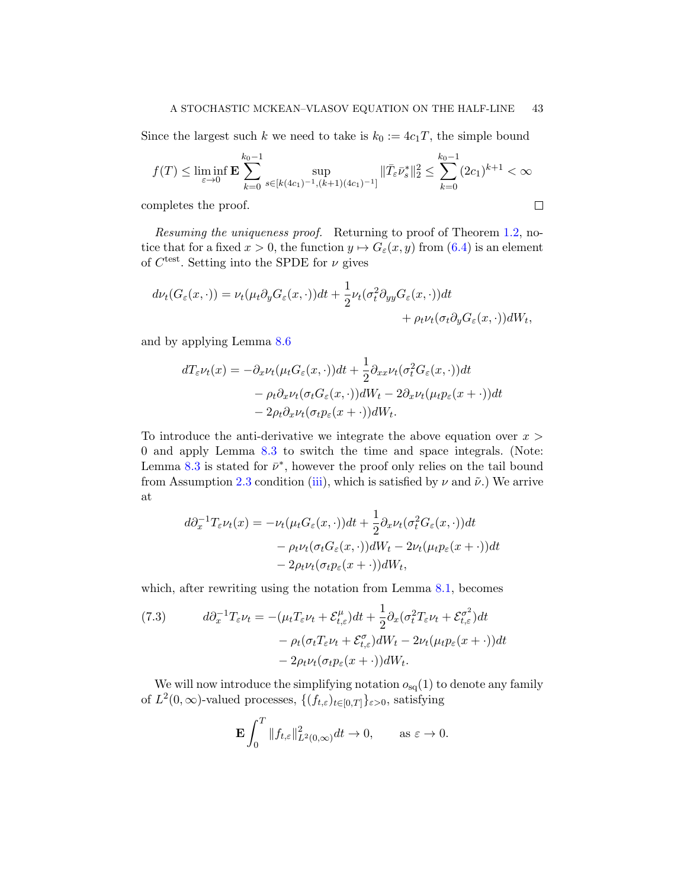Since the largest such k we need to take is  $k_0 := 4c_1T$ , the simple bound

$$
f(T) \le \liminf_{\varepsilon \to 0} \mathbf{E} \sum_{k=0}^{k_0 - 1} \sup_{s \in [k(4c_1)^{-1}, (k+1)(4c_1)^{-1}]} ||\bar{T}_{\varepsilon} \bar{\nu}_s^*||_2^2 \le \sum_{k=0}^{k_0 - 1} (2c_1)^{k+1} < \infty
$$

 $\Box$ 

completes the proof.

Resuming the uniqueness proof. Returning to proof of Theorem [1.2,](#page-7-0) notice that for a fixed  $x > 0$ , the function  $y \mapsto G_{\varepsilon}(x, y)$  from  $(6.4)$  is an element of  $C^{\text{test}}$ . Setting into the SPDE for  $\nu$  gives

$$
d\nu_t(G_{\varepsilon}(x,\cdot)) = \nu_t(\mu_t \partial_y G_{\varepsilon}(x,\cdot))dt + \frac{1}{2}\nu_t(\sigma_t^2 \partial_{yy} G_{\varepsilon}(x,\cdot))dt + \rho_t \nu_t(\sigma_t \partial_y G_{\varepsilon}(x,\cdot))dW_t,
$$

and by applying Lemma [8.6](#page-50-1)

$$
dT_{\varepsilon}\nu_t(x) = -\partial_x\nu_t(\mu_t G_{\varepsilon}(x,\cdot))dt + \frac{1}{2}\partial_{xx}\nu_t(\sigma_t^2 G_{\varepsilon}(x,\cdot))dt
$$
  

$$
-\rho_t\partial_x\nu_t(\sigma_t G_{\varepsilon}(x,\cdot))dW_t - 2\partial_x\nu_t(\mu_t p_{\varepsilon}(x+\cdot))dt
$$
  

$$
-2\rho_t\partial_x\nu_t(\sigma_t p_{\varepsilon}(x+\cdot))dW_t.
$$

To introduce the anti-derivative we integrate the above equation over  $x >$ 0 and apply Lemma [8.3](#page-49-0) to switch the time and space integrals. (Note: Lemma [8.3](#page-49-0) is stated for  $\bar{\nu}^*$ , however the proof only relies on the tail bound from Assumption [2.3](#page-11-0) condition [\(iii\)](#page-12-3), which is satisfied by  $\nu$  and  $\tilde{\nu}$ .) We arrive at

$$
d\partial_x^{-1} T_{\varepsilon} \nu_t(x) = -\nu_t (\mu_t G_{\varepsilon}(x, \cdot)) dt + \frac{1}{2} \partial_x \nu_t (\sigma_t^2 G_{\varepsilon}(x, \cdot)) dt - \rho_t \nu_t (\sigma_t G_{\varepsilon}(x, \cdot)) dW_t - 2\nu_t (\mu_t p_{\varepsilon}(x + \cdot)) dt - 2\rho_t \nu_t (\sigma_t p_{\varepsilon}(x + \cdot)) dW_t,
$$

which, after rewriting using the notation from Lemma [8.1,](#page-47-1) becomes

<span id="page-42-0"></span>(7.3) 
$$
d\partial_x^{-1} T_{\varepsilon} \nu_t = -(\mu_t T_{\varepsilon} \nu_t + \mathcal{E}_{t,\varepsilon}^{\mu}) dt + \frac{1}{2} \partial_x (\sigma_t^2 T_{\varepsilon} \nu_t + \mathcal{E}_{t,\varepsilon}^{\sigma^2}) dt - \rho_t (\sigma_t T_{\varepsilon} \nu_t + \mathcal{E}_{t,\varepsilon}^{\sigma}) dW_t - 2\nu_t (\mu_t p_{\varepsilon}(x + \cdot)) dt - 2\rho_t \nu_t (\sigma_t p_{\varepsilon}(x + \cdot)) dW_t.
$$

We will now introduce the simplifying notation  $o_{sq}(1)$  to denote any family of  $L^2(0,\infty)$ -valued processes,  $\{(f_{t,\varepsilon})_{t\in[0,T]}\}_{\varepsilon>0}$ , satisfying

$$
\mathbf{E} \int_0^T \|f_{t,\varepsilon}\|_{L^2(0,\infty)}^2 dt \to 0, \quad \text{as } \varepsilon \to 0.
$$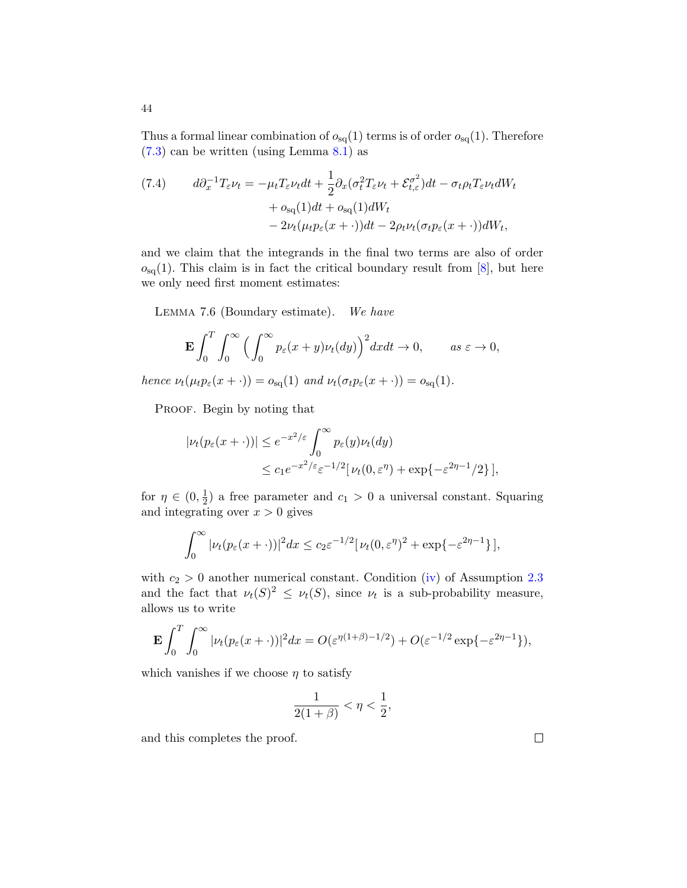Thus a formal linear combination of  $o_{sq}(1)$  terms is of order  $o_{sq}(1)$ . Therefore [\(7.3\)](#page-42-0) can be written (using Lemma [8.1\)](#page-47-1) as

<span id="page-43-1"></span>(7.4) 
$$
d\partial_x^{-1} T_{\varepsilon} \nu_t = -\mu_t T_{\varepsilon} \nu_t dt + \frac{1}{2} \partial_x (\sigma_t^2 T_{\varepsilon} \nu_t + \mathcal{E}_{t,\varepsilon}^{\sigma^2}) dt - \sigma_t \rho_t T_{\varepsilon} \nu_t dW_t + \sigma_{\text{sq}}(1) dt + \sigma_{\text{sq}}(1) dW_t - 2\nu_t (\mu_t p_{\varepsilon}(x + \cdot)) dt - 2\rho_t \nu_t (\sigma_t p_{\varepsilon}(x + \cdot)) dW_t,
$$

and we claim that the integrands in the final two terms are also of order  $o_{sq}(1)$ . This claim is in fact the critical boundary result from [\[8\]](#page-57-0), but here we only need first moment estimates:

<span id="page-43-0"></span>LEMMA 7.6 (Boundary estimate). We have

$$
\mathbf{E} \int_0^T \int_0^\infty \Big( \int_0^\infty p_\varepsilon(x+y) \nu_t(dy) \Big)^2 dx dt \to 0, \qquad as \ \varepsilon \to 0,
$$

hence  $\nu_t(\mu_t p_\varepsilon(x + \cdot)) = o_{\text{sq}}(1)$  and  $\nu_t(\sigma_t p_\varepsilon(x + \cdot)) = o_{\text{sq}}(1)$ .

PROOF. Begin by noting that

$$
|\nu_t(p_{\varepsilon}(x+\cdot))| \le e^{-x^2/\varepsilon} \int_0^{\infty} p_{\varepsilon}(y)\nu_t(dy)
$$
  

$$
\le c_1 e^{-x^2/\varepsilon} \varepsilon^{-1/2} [\nu_t(0,\varepsilon^{\eta}) + \exp\{-\varepsilon^{2\eta-1}/2\}],
$$

for  $\eta \in (0, \frac{1}{2})$  $\frac{1}{2}$ ) a free parameter and  $c_1 > 0$  a universal constant. Squaring and integrating over  $x > 0$  gives

$$
\int_0^\infty |\nu_t(p_\varepsilon(x+\cdot))|^2 dx \le c_2 \varepsilon^{-1/2} [\nu_t(0,\varepsilon^\eta)^2 + \exp\{-\varepsilon^{2\eta-1}\}],
$$

with  $c_2 > 0$  another numerical constant. Condition [\(iv\)](#page-12-4) of Assumption [2.3](#page-11-0) and the fact that  $\nu_t(S)^2 \leq \nu_t(S)$ , since  $\nu_t$  is a sub-probability measure, allows us to write

$$
\mathbf{E} \int_0^T \int_0^\infty |\nu_t(p_\varepsilon(x+\cdot))|^2 dx = O(\varepsilon^{\eta(1+\beta)-1/2}) + O(\varepsilon^{-1/2} \exp\{-\varepsilon^{2\eta-1}\}),
$$

which vanishes if we choose  $\eta$  to satisfy

$$
\frac{1}{2(1+\beta)}<\eta<\frac{1}{2},
$$

and this completes the proof.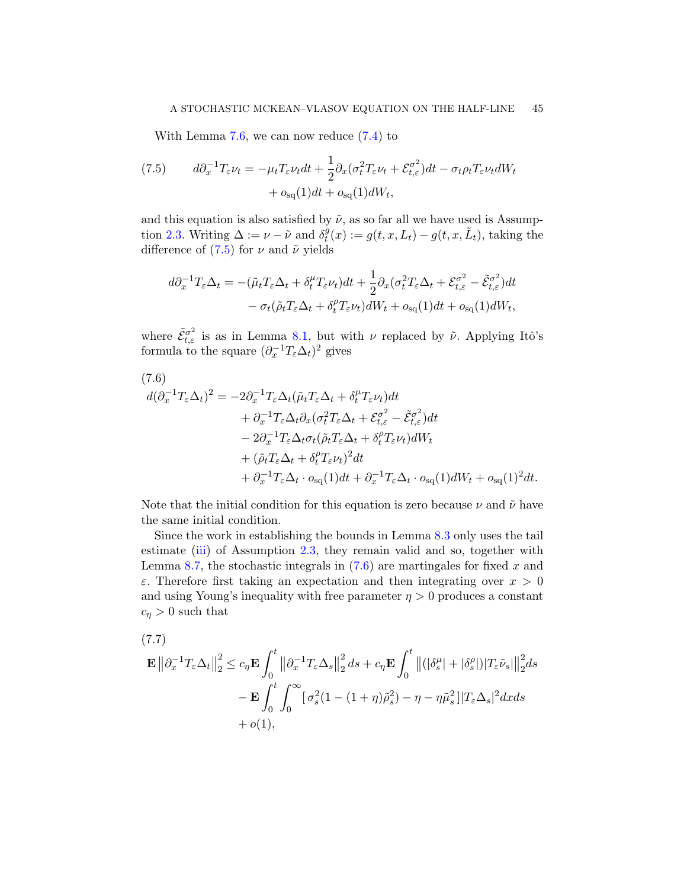With Lemma [7.6,](#page-43-0) we can now reduce [\(7.4\)](#page-43-1) to

<span id="page-44-1"></span>(7.5) 
$$
d\partial_x^{-1} T_{\varepsilon} \nu_t = -\mu_t T_{\varepsilon} \nu_t dt + \frac{1}{2} \partial_x (\sigma_t^2 T_{\varepsilon} \nu_t + \mathcal{E}_{t,\varepsilon}^{\sigma^2}) dt - \sigma_t \rho_t T_{\varepsilon} \nu_t dW_t + o_{\text{sq}}(1) dt + o_{\text{sq}}(1) dW_t,
$$

and this equation is also satisfied by  $\tilde{\nu}$ , as so far all we have used is Assump-tion [2.3.](#page-11-0) Writing  $\Delta := \nu - \tilde{\nu}$  and  $\delta_t^{\tilde{g}}$  $t^g(t; x) := g(t, x, L_t) - g(t, x, \tilde{L}_t)$ , taking the difference of  $(7.5)$  for  $\nu$  and  $\tilde{\nu}$  yields

$$
d\partial_x^{-1} T_{\varepsilon} \Delta_t = -(\tilde{\mu}_t T_{\varepsilon} \Delta_t + \delta_t^{\mu} T_{\varepsilon} \nu_t) dt + \frac{1}{2} \partial_x (\sigma_t^2 T_{\varepsilon} \Delta_t + \mathcal{E}_{t,\varepsilon}^{\sigma^2} - \tilde{\mathcal{E}}_{t,\varepsilon}^{\sigma^2}) dt - \sigma_t (\tilde{\rho}_t T_{\varepsilon} \Delta_t + \delta_t^{\rho} T_{\varepsilon} \nu_t) dW_t + o_{\text{sq}}(1) dt + o_{\text{sq}}(1) dW_t,
$$

where  $\tilde{\mathcal{E}}_{t,\varepsilon}^{\sigma^2}$  is as in Lemma [8.1,](#page-47-1) but with  $\nu$  replaced by  $\tilde{\nu}$ . Applying Itô's formula to the square  $(\partial_x^{-1}T_{\varepsilon}\Delta_t)^2$  gives

<span id="page-44-2"></span>
$$
(7.6)
$$
  
\n
$$
d(\partial_x^{-1}T_{\varepsilon}\Delta_t)^2 = -2\partial_x^{-1}T_{\varepsilon}\Delta_t(\tilde{\mu}_tT_{\varepsilon}\Delta_t + \delta_t^{\mu}T_{\varepsilon}\nu_t)dt
$$
  
\n
$$
+ \partial_x^{-1}T_{\varepsilon}\Delta_t\partial_x(\sigma_t^2T_{\varepsilon}\Delta_t + \mathcal{E}_{t,\varepsilon}^{\sigma^2} - \tilde{\mathcal{E}}_{t,\varepsilon}^{\sigma^2})dt
$$
  
\n
$$
- 2\partial_x^{-1}T_{\varepsilon}\Delta_t\sigma_t(\tilde{\rho}_tT_{\varepsilon}\Delta_t + \delta_t^{\rho}T_{\varepsilon}\nu_t)dW_t
$$
  
\n
$$
+ (\tilde{\rho}_tT_{\varepsilon}\Delta_t + \delta_t^{\rho}T_{\varepsilon}\nu_t)^2dt
$$
  
\n
$$
+ \partial_x^{-1}T_{\varepsilon}\Delta_t \cdot o_{\text{sq}}(1)dt + \partial_x^{-1}T_{\varepsilon}\Delta_t \cdot o_{\text{sq}}(1)dW_t + o_{\text{sq}}(1)^2dt.
$$

Note that the initial condition for this equation is zero because  $\nu$  and  $\tilde{\nu}$  have the same initial condition.

Since the work in establishing the bounds in Lemma [8.3](#page-49-0) only uses the tail estimate [\(iii\)](#page-12-3) of Assumption [2.3,](#page-11-0) they remain valid and so, together with Lemma [8.7,](#page-51-1) the stochastic integrals in  $(7.6)$  are martingales for fixed x and ε. Therefore first taking an expectation and then integrating over  $x > 0$ and using Young's inequality with free parameter  $\eta > 0$  produces a constant  $c_{\eta} > 0$  such that

<span id="page-44-0"></span>(7.7)  
\n
$$
\mathbf{E} \left\| \partial_x^{-1} T_{\varepsilon} \Delta_t \right\|_2^2 \leq c_{\eta} \mathbf{E} \int_0^t \left\| \partial_x^{-1} T_{\varepsilon} \Delta_s \right\|_2^2 ds + c_{\eta} \mathbf{E} \int_0^t \left\| (|\delta_s^{\mu}| + |\delta_s^{\rho}|) |T_{\varepsilon} \tilde{\nu}_s| \right\|_2^2 ds
$$
\n
$$
- \mathbf{E} \int_0^t \int_0^\infty [\sigma_s^2 (1 - (1 + \eta) \tilde{\rho}_s^2) - \eta - \eta \tilde{\mu}_s^2] |T_{\varepsilon} \Delta_s|^2 dx ds
$$
\n
$$
+ o(1),
$$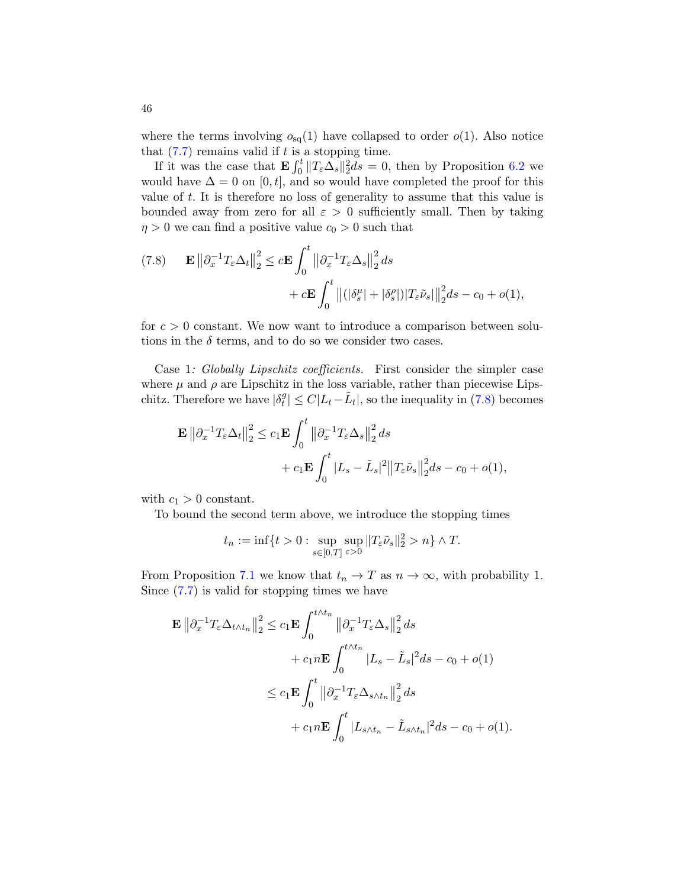where the terms involving  $o_{sq}(1)$  have collapsed to order  $o(1)$ . Also notice that  $(7.7)$  remains valid if t is a stopping time.

If it was the case that  $\mathbf{E} \int_0^t \|T_{\varepsilon} \Delta_s\|_2^2 ds = 0$ , then by Proposition [6.2](#page-34-4) we would have  $\Delta = 0$  on [0, t], and so would have completed the proof for this value of t. It is therefore no loss of generality to assume that this value is bounded away from zero for all  $\varepsilon > 0$  sufficiently small. Then by taking  $\eta > 0$  we can find a positive value  $c_0 > 0$  such that

<span id="page-45-0"></span>(7.8) 
$$
\mathbf{E} \left\| \partial_x^{-1} T_{\varepsilon} \Delta_t \right\|_2^2 \leq c \mathbf{E} \int_0^t \left\| \partial_x^{-1} T_{\varepsilon} \Delta_s \right\|_2^2 ds
$$

$$
+ c \mathbf{E} \int_0^t \left\| (|\delta_s^{\mu}| + |\delta_s^{\rho}|) |T_{\varepsilon} \tilde{\nu}_s| \right\|_2^2 ds - c_0 + o(1),
$$

for  $c > 0$  constant. We now want to introduce a comparison between solutions in the  $\delta$  terms, and to do so we consider two cases.

Case 1: Globally Lipschitz coefficients. First consider the simpler case where  $\mu$  and  $\rho$  are Lipschitz in the loss variable, rather than piecewise Lipschitz. Therefore we have  $|\delta_t^g|$  $t^g_t | \leq C |L_t - \tilde{L}_t|$ , so the inequality in [\(7.8\)](#page-45-0) becomes

$$
\mathbf{E} \left\| \partial_x^{-1} T_{\varepsilon} \Delta_t \right\|_2^2 \le c_1 \mathbf{E} \int_0^t \left\| \partial_x^{-1} T_{\varepsilon} \Delta_s \right\|_2^2 ds
$$
  
+  $c_1 \mathbf{E} \int_0^t |L_s - \tilde{L}_s|^2 \left\| T_{\varepsilon} \tilde{\nu}_s \right\|_2^2 ds - c_0 + o(1),$ 

with  $c_1 > 0$  constant.

To bound the second term above, we introduce the stopping times

$$
t_n := \inf\{t > 0 : \sup_{s \in [0,T]} \sup_{\varepsilon > 0} ||T_{\varepsilon} \tilde{\nu}_s||_2^2 > n\} \wedge T.
$$

From Proposition [7.1](#page-37-1) we know that  $t_n \to T$  as  $n \to \infty$ , with probability 1. Since [\(7.7\)](#page-44-0) is valid for stopping times we have

$$
\mathbf{E} \left\| \partial_x^{-1} T_{\varepsilon} \Delta_{t \wedge t_n} \right\|_2^2 \leq c_1 \mathbf{E} \int_0^{t \wedge t_n} \left\| \partial_x^{-1} T_{\varepsilon} \Delta_s \right\|_2^2 ds
$$
  
+  $c_1 n \mathbf{E} \int_0^{t \wedge t_n} |L_s - \tilde{L}_s|^2 ds - c_0 + o(1)$   

$$
\leq c_1 \mathbf{E} \int_0^t \left\| \partial_x^{-1} T_{\varepsilon} \Delta_{s \wedge t_n} \right\|_2^2 ds
$$
  
+  $c_1 n \mathbf{E} \int_0^t |L_{s \wedge t_n} - \tilde{L}_{s \wedge t_n}|^2 ds - c_0 + o(1).$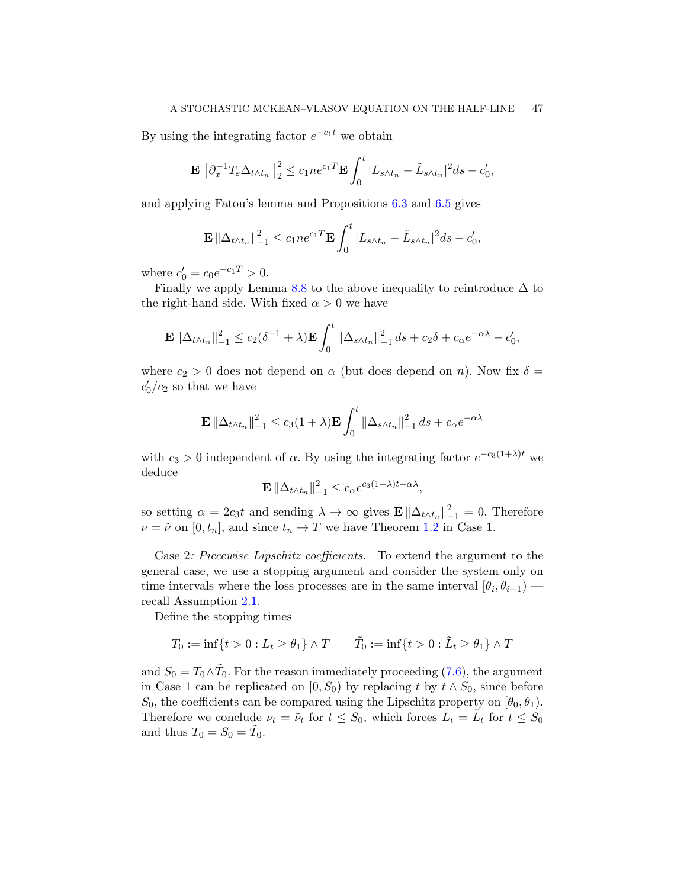By using the integrating factor  $e^{-c_1t}$  we obtain

$$
\mathbf{E} \left\| \partial_x^{-1} T_{\varepsilon} \Delta_{t \wedge t_n} \right\|_2^2 \le c_1 n e^{c_1 T} \mathbf{E} \int_0^t |L_{s \wedge t_n} - \tilde{L}_{s \wedge t_n}|^2 ds - c'_0,
$$

and applying Fatou's lemma and Propositions [6.3](#page-35-1) and [6.5](#page-36-1) gives

$$
\mathbf{E} \left\| \Delta_{t \wedge t_n} \right\|_{-1}^2 \le c_1 n e^{c_1 T} \mathbf{E} \int_0^t |L_{s \wedge t_n} - \tilde{L}_{s \wedge t_n}|^2 ds - c'_0,
$$

where  $c'_0 = c_0 e^{-c_1 T} > 0$ .

Finally we apply Lemma [8.8](#page-51-0) to the above inequality to reintroduce  $\Delta$  to the right-hand side. With fixed  $\alpha > 0$  we have

$$
\mathbf{E} \left\| \Delta_{t \wedge t_n} \right\|_{-1}^2 \le c_2 (\delta^{-1} + \lambda) \mathbf{E} \int_0^t \left\| \Delta_{s \wedge t_n} \right\|_{-1}^2 ds + c_2 \delta + c_\alpha e^{-\alpha \lambda} - c'_0,
$$

where  $c_2 > 0$  does not depend on  $\alpha$  (but does depend on n). Now fix  $\delta =$  $c'_0/c_2$  so that we have

$$
\mathbf{E} \left\| \Delta_{t \wedge t_n} \right\|_{-1}^2 \le c_3 (1 + \lambda) \mathbf{E} \int_0^t \left\| \Delta_{s \wedge t_n} \right\|_{-1}^2 ds + c_{\alpha} e^{-\alpha \lambda}
$$

with  $c_3 > 0$  independent of  $\alpha$ . By using the integrating factor  $e^{-c_3(1+\lambda)t}$  we deduce

$$
\mathbf{E} \left\| \Delta_{t \wedge t_n} \right\|_{-1}^2 \le c_\alpha e^{c_3(1+\lambda)t - \alpha \lambda},
$$

so setting  $\alpha = 2c_3t$  and sending  $\lambda \to \infty$  gives  $\mathbf{E} \|\Delta_{t\wedge t_n}\|_{-1}^2 = 0$ . Therefore  $\nu = \tilde{\nu}$  on  $[0, t_n]$ , and since  $t_n \to T$  we have Theorem [1.2](#page-7-0) in Case 1.

Case 2: Piecewise Lipschitz coefficients. To extend the argument to the general case, we use a stopping argument and consider the system only on time intervals where the loss processes are in the same interval  $[\theta_i, \theta_{i+1})$  recall Assumption [2.1.](#page-10-0)

Define the stopping times

$$
T_0 := \inf\{t > 0 : L_t \ge \theta_1\} \wedge T \qquad \tilde{T}_0 := \inf\{t > 0 : \tilde{L}_t \ge \theta_1\} \wedge T
$$

and  $S_0 = T_0 \wedge \tilde{T}_0$ . For the reason immediately proceeding [\(7.6\)](#page-44-2), the argument in Case 1 can be replicated on [0, S<sub>0</sub>) by replacing t by  $t \wedge S_0$ , since before  $S_0$ , the coefficients can be compared using the Lipschitz property on  $[\theta_0, \theta_1)$ . Therefore we conclude  $\nu_t = \tilde{\nu}_t$  for  $t \leq S_0$ , which forces  $L_t = \tilde{L}_t$  for  $t \leq S_0$ and thus  $T_0 = S_0 = \tilde{T}_0$ .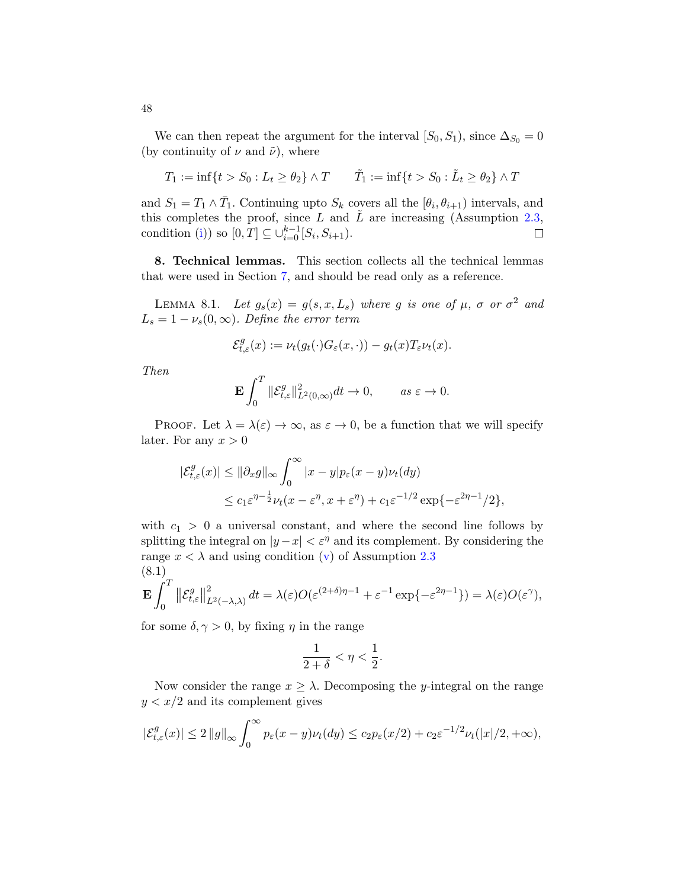We can then repeat the argument for the interval  $[S_0, S_1)$ , since  $\Delta_{S_0} = 0$ (by continuity of  $\nu$  and  $\tilde{\nu}$ ), where

$$
T_1 := \inf\{t > S_0 : L_t \ge \theta_2\} \wedge T \qquad \tilde{T}_1 := \inf\{t > S_0 : \tilde{L}_t \ge \theta_2\} \wedge T
$$

and  $S_1 = T_1 \wedge \overline{T}_1$ . Continuing upto  $S_k$  covers all the  $[\theta_i, \theta_{i+1})$  intervals, and this completes the proof, since L and  $\tilde{L}$  are increasing (Assumption [2.3,](#page-11-0) condition [\(i\)](#page-12-1)) so  $[0, T] \subseteq \bigcup_{i=0}^{k-1} [S_i, S_{i+1}).$  $\Box$ 

<span id="page-47-0"></span>8. Technical lemmas. This section collects all the technical lemmas that were used in Section [7,](#page-37-0) and should be read only as a reference.

<span id="page-47-1"></span>LEMMA 8.1. Let  $g_s(x) = g(s, x, L_s)$  where g is one of  $\mu$ ,  $\sigma$  or  $\sigma^2$  and  $L_s = 1 - \nu_s(0, \infty)$ . Define the error term

$$
\mathcal{E}^g_{t,\varepsilon}(x) := \nu_t(g_t(\cdot)G_{\varepsilon}(x,\cdot)) - g_t(x)T_{\varepsilon}\nu_t(x).
$$

Then

$$
\mathbf{E} \int_0^T \|\mathcal{E}^g_{t,\varepsilon}\|^2_{L^2(0,\infty)} dt \to 0, \qquad as \ \varepsilon \to 0.
$$

PROOF. Let  $\lambda = \lambda(\varepsilon) \to \infty$ , as  $\varepsilon \to 0$ , be a function that we will specify later. For any  $x > 0$ 

$$
\begin{aligned} |\mathcal{E}^g_{t,\varepsilon}(x)| &\leq \|\partial_x g\|_{\infty} \int_0^\infty |x-y| p_\varepsilon(x-y) \nu_t(dy) \\ &\leq c_1 \varepsilon^{\eta-\frac{1}{2}} \nu_t(x-\varepsilon^{\eta}, x+\varepsilon^{\eta}) + c_1 \varepsilon^{-1/2} \exp\{-\varepsilon^{2\eta-1}/2\}, \end{aligned}
$$

with  $c_1 > 0$  a universal constant, and where the second line follows by splitting the integral on  $|y-x| < \varepsilon^{\eta}$  and its complement. By considering the range  $x < \lambda$  and using condition [\(v\)](#page-12-5) of Assumption [2.3](#page-11-0) (8.1)

<span id="page-47-2"></span>
$$
\mathbf{E} \int_0^T \left\| \mathcal{E}^g_{t,\varepsilon} \right\|^2_{L^2(-\lambda,\lambda)} dt = \lambda(\varepsilon) O(\varepsilon^{(2+\delta)\eta-1} + \varepsilon^{-1} \exp\{-\varepsilon^{2\eta-1}\}) = \lambda(\varepsilon) O(\varepsilon^{\gamma}),
$$

for some  $\delta, \gamma > 0$ , by fixing  $\eta$  in the range

$$
\frac{1}{2+\delta} < \eta < \frac{1}{2}.
$$

Now consider the range  $x \geq \lambda$ . Decomposing the *y*-integral on the range  $y < x/2$  and its complement gives

$$
|\mathcal{E}^g_{t,\varepsilon}(x)| \leq 2 \|g\|_{\infty} \int_0^{\infty} p_{\varepsilon}(x-y)\nu_t(dy) \leq c_2 p_{\varepsilon}(x/2) + c_2 \varepsilon^{-1/2} \nu_t(|x|/2, +\infty),
$$

48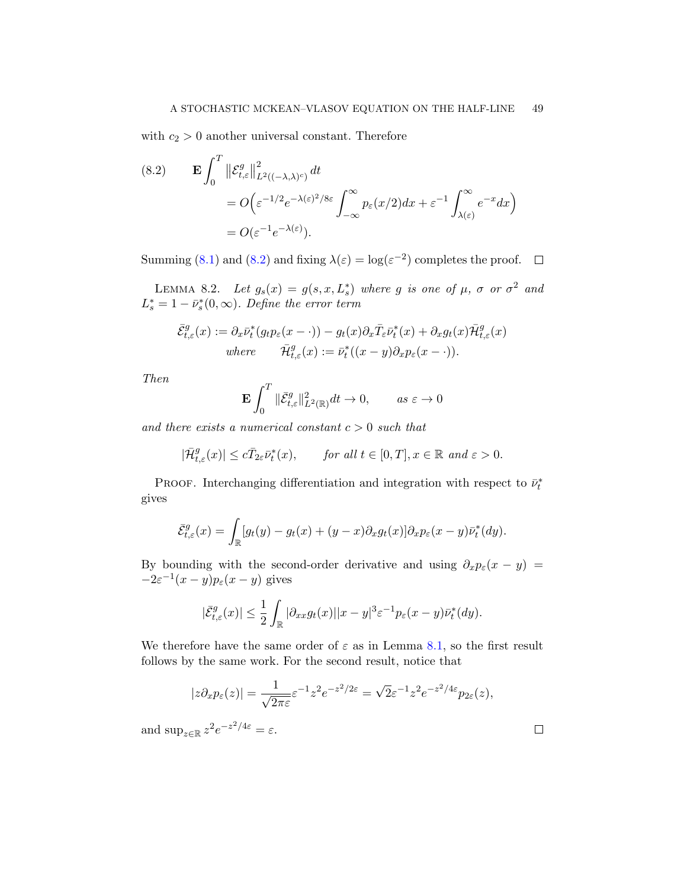with  $c_2 > 0$  another universal constant. Therefore

<span id="page-48-1"></span>(8.2) 
$$
\mathbf{E} \int_0^T \left\| \mathcal{E}_{t,\varepsilon}^g \right\|_{L^2((-\lambda,\lambda)^c)}^2 dt
$$
  
=  $O\left(\varepsilon^{-1/2} e^{-\lambda(\varepsilon)^2/8\varepsilon} \int_{-\infty}^{\infty} p_{\varepsilon}(x/2) dx + \varepsilon^{-1} \int_{\lambda(\varepsilon)}^{\infty} e^{-x} dx\right)$   
=  $O(\varepsilon^{-1} e^{-\lambda(\varepsilon)}).$ 

Summing [\(8.1\)](#page-47-2) and [\(8.2\)](#page-48-1) and fixing  $\lambda(\varepsilon) = \log(\varepsilon^{-2})$  completes the proof.

<span id="page-48-0"></span>LEMMA 8.2. Let  $g_s(x) = g(s, x, L_s^*)$  where g is one of  $\mu$ ,  $\sigma$  or  $\sigma^2$  and  $L_s^* = 1 - \bar{\nu}_s^*(0, \infty)$ . Define the error term

$$
\bar{\mathcal{E}}_{t,\varepsilon}^g(x) := \partial_x \bar{\nu}_t^*(g_t p_\varepsilon(x - \cdot)) - g_t(x) \partial_x \bar{T}_{\varepsilon} \bar{\nu}_t^*(x) + \partial_x g_t(x) \bar{\mathcal{H}}_{t,\varepsilon}^g(x)
$$
  
where 
$$
\bar{\mathcal{H}}_{t,\varepsilon}^g(x) := \bar{\nu}_t^*((x - y) \partial_x p_\varepsilon(x - \cdot)).
$$

Then

$$
\mathbf{E} \int_0^T \|\bar{\mathcal{E}}_{t,\varepsilon}^g\|_{L^2(\mathbb{R})}^2 dt \to 0, \qquad as \ \varepsilon \to 0
$$

and there exists a numerical constant  $c > 0$  such that

$$
|\bar {\mathcal H}^g_{t,\varepsilon}(x)|\leq c \bar T_{2\varepsilon}\bar \nu_t^*(x),\qquad \textit{for all $t\in [0,T]$, $x\in \mathbb R$ and $\varepsilon>0$.}
$$

PROOF. Interchanging differentiation and integration with respect to  $\bar{\nu}_t^*$ gives

$$
\bar{\mathcal{E}}_{t,\varepsilon}^g(x) = \int_{\mathbb{R}} [g_t(y) - g_t(x) + (y-x)\partial_x g_t(x)] \partial_x p_{\varepsilon}(x-y) \bar{\nu}_t^*(dy).
$$

By bounding with the second-order derivative and using  $\partial_x p_\varepsilon(x - y) =$  $-2\varepsilon^{-1}(x-y)p_{\varepsilon}(x-y)$  gives

$$
|\bar{\mathcal{E}}_{t,\varepsilon}^g(x)| \leq \frac{1}{2} \int_{\mathbb{R}} |\partial_{xx} g_t(x)| |x-y|^3 \varepsilon^{-1} p_{\varepsilon}(x-y) \bar{\nu}_t^*(dy).
$$

We therefore have the same order of  $\varepsilon$  as in Lemma [8.1,](#page-47-1) so the first result follows by the same work. For the second result, notice that

$$
|z\partial_x p_{\varepsilon}(z)| = \frac{1}{\sqrt{2\pi\varepsilon}} \varepsilon^{-1} z^2 e^{-z^2/2\varepsilon} = \sqrt{2}\varepsilon^{-1} z^2 e^{-z^2/4\varepsilon} p_{2\varepsilon}(z),
$$

and  $\sup_{z \in \mathbb{R}} z^2 e^{-z^2/4\varepsilon} = \varepsilon$ .

 $\Box$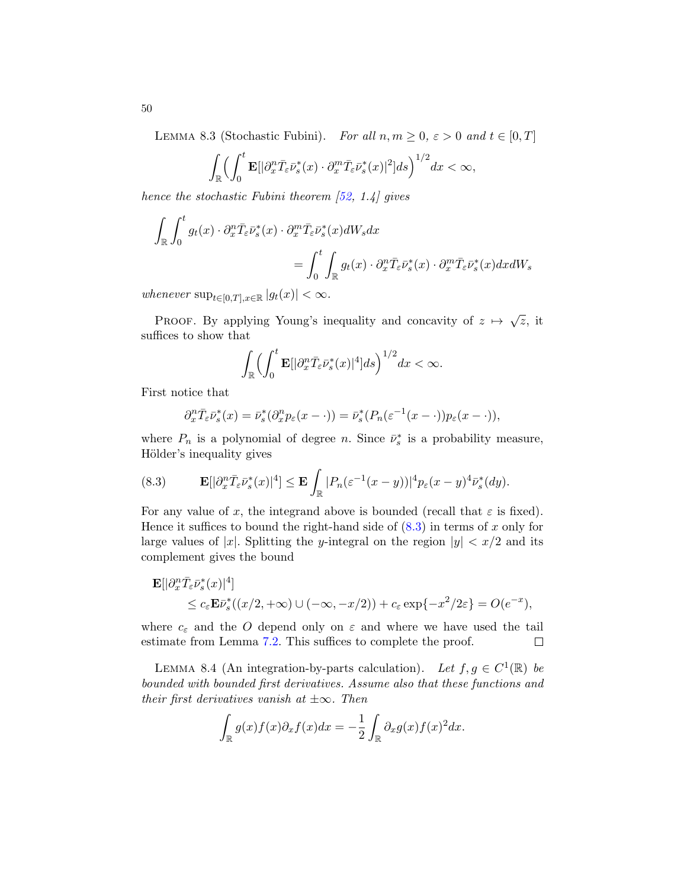<span id="page-49-0"></span>LEMMA 8.3 (Stochastic Fubini). For all  $n, m \geq 0, \varepsilon > 0$  and  $t \in [0, T]$ 

$$
\int_{\mathbb{R}} \Bigl(\int_0^t \mathbf{E}[|\partial_x^n \bar{T}_{\varepsilon} \bar{\nu}_s^*(x) \cdot \partial_x^m \bar{T}_{\varepsilon} \bar{\nu}_s^*(x)|^2] ds\Bigr)^{1/2} dx < \infty,
$$

hence the stochastic Fubini theorem  $[52, 1.4]$  $[52, 1.4]$  gives

$$
\int_{\mathbb{R}} \int_0^t g_t(x) \cdot \partial_x^n \bar{T}_{\varepsilon} \bar{\nu}_s^*(x) \cdot \partial_x^m \bar{T}_{\varepsilon} \bar{\nu}_s^*(x) dW_s dx
$$
  
= 
$$
\int_0^t \int_{\mathbb{R}} g_t(x) \cdot \partial_x^n \bar{T}_{\varepsilon} \bar{\nu}_s^*(x) \cdot \partial_x^m \bar{T}_{\varepsilon} \bar{\nu}_s^*(x) dx dW_s
$$

whenever  $\sup_{t\in[0,T],x\in\mathbb{R}}|g_t(x)|<\infty$ .

PROOF. By applying Young's inequality and concavity of  $z \mapsto \sqrt{z}$ , it suffices to show that

$$
\int_{\mathbb{R}} \Bigl(\int_0^t \mathbf{E}[|\partial_x^n \bar{T}_{\varepsilon} \bar{\nu}_s^*(x)|^4]ds\Bigr)^{1/2} dx < \infty.
$$

First notice that

$$
\partial_x^n \bar{T}_{\varepsilon} \bar{\nu}_s^*(x) = \bar{\nu}_s^*(\partial_x^n p_{\varepsilon}(x - \cdot)) = \bar{\nu}_s^*(P_n(\varepsilon^{-1}(x - \cdot)) p_{\varepsilon}(x - \cdot)),
$$

where  $P_n$  is a polynomial of degree n. Since  $\bar{\nu}_s^*$  is a probability measure, Hölder's inequality gives

<span id="page-49-1"></span>(8.3) 
$$
\mathbf{E}[|\partial_x^n \bar{T}_{\varepsilon} \bar{\nu}_s^*(x)|^4] \leq \mathbf{E} \int_{\mathbb{R}} |P_n(\varepsilon^{-1}(x-y))|^4 p_{\varepsilon}(x-y)^4 \bar{\nu}_s^*(dy).
$$

For any value of x, the integrand above is bounded (recall that  $\varepsilon$  is fixed). Hence it suffices to bound the right-hand side of  $(8.3)$  in terms of x only for large values of |x|. Splitting the y-integral on the region  $|y| < x/2$  and its complement gives the bound

$$
\mathbf{E}[|\partial_x^n \bar{T}_{\varepsilon} \bar{\nu}_s^*(x)|^4] \le c_{\varepsilon} \mathbf{E} \bar{\nu}_s^*((x/2, +\infty) \cup (-\infty, -x/2)) + c_{\varepsilon} \exp\{-x^2/2\varepsilon\} = O(e^{-x}),
$$

where  $c_{\varepsilon}$  and the O depend only on  $\varepsilon$  and where we have used the tail estimate from Lemma [7.2.](#page-37-2) This suffices to complete the proof.  $\Box$ 

<span id="page-49-2"></span>LEMMA 8.4 (An integration-by-parts calculation). Let  $f, g \in C^1(\mathbb{R})$  be bounded with bounded first derivatives. Assume also that these functions and their first derivatives vanish at  $\pm \infty$ . Then

$$
\int_{\mathbb{R}} g(x)f(x)\partial_x f(x)dx = -\frac{1}{2}\int_{\mathbb{R}} \partial_x g(x)f(x)^2 dx.
$$

50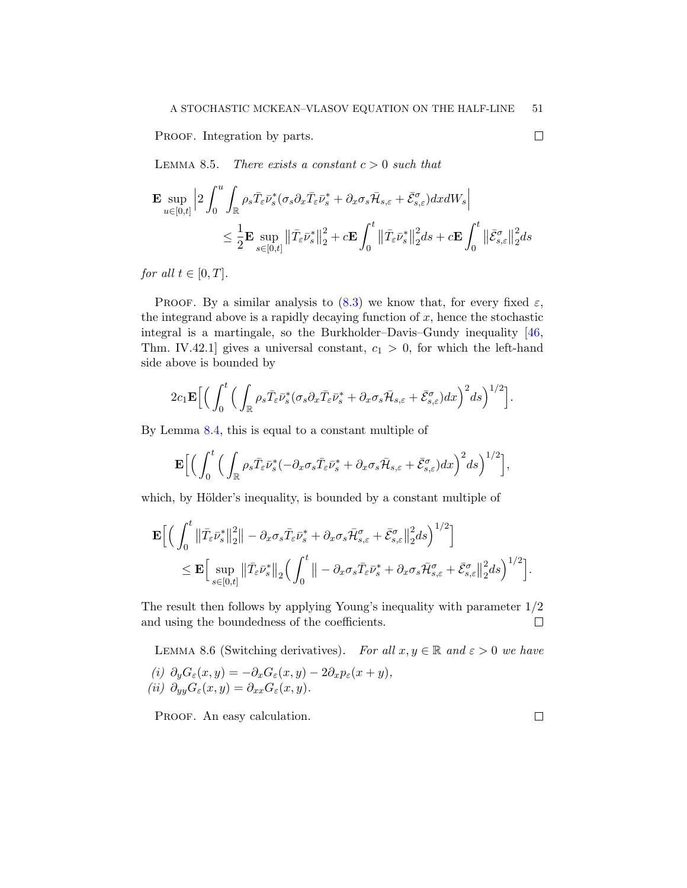PROOF. Integration by parts.

<span id="page-50-0"></span>LEMMA 8.5. There exists a constant  $c > 0$  such that

$$
\begin{aligned} \mathbf{E}\sup_{u\in[0,t]}\Big|2\int_0^u\int_{\mathbb{R}}\rho_s\bar{T}_\varepsilon\bar{\nu}_s^*(\sigma_s\partial_x\bar{T}_\varepsilon\bar{\nu}_s^*+\partial_x\sigma_s\bar{\mathcal{H}}_{s,\varepsilon}+\bar{\mathcal{E}}_{s,\varepsilon}^\sigma)dx dW_s\Big|\\ &\leq \frac{1}{2}\mathbf{E}\sup_{s\in[0,t]}\big\|\bar{T}_\varepsilon\bar{\nu}_s^*\big\|_2^2+c\mathbf{E}\int_0^t\big\|\bar{T}_\varepsilon\bar{\nu}_s^*\big\|_2^2ds+c\mathbf{E}\int_0^t\big\|\bar{\mathcal{E}}_{s,\varepsilon}^\sigma\big\|_2^2ds \end{aligned}
$$

for all  $t \in [0, T]$ .

PROOF. By a similar analysis to  $(8.3)$  we know that, for every fixed  $\varepsilon$ , the integrand above is a rapidly decaying function of  $x$ , hence the stochastic integral is a martingale, so the Burkholder–Davis–Gundy inequality [\[46,](#page-58-20) Thm. IV.42.1] gives a universal constant,  $c_1 > 0$ , for which the left-hand side above is bounded by

$$
2c_1\mathbf{E}\Big[\Big(\int_0^t\Big(\int_{\mathbb{R}}\rho_s\bar{T}_{\varepsilon}\bar{\nu}_s^*(\sigma_s\partial_x\bar{T}_{\varepsilon}\bar{\nu}_s^*+\partial_x\sigma_s\bar{\mathcal{H}}_{s,\varepsilon}+\bar{\mathcal{E}}_{s,\varepsilon}^{\sigma})dx\Big)^2ds\Big)^{1/2}\Big].
$$

By Lemma [8.4,](#page-49-2) this is equal to a constant multiple of

$$
\mathbf{E}\Big[\Big(\int_0^t\Big(\int_{\mathbb{R}}\rho_s\bar{T}_{\varepsilon}\bar{\nu}_s^*(-\partial_x\sigma_s\bar{T}_{\varepsilon}\bar{\nu}_s^*+\partial_x\sigma_s\bar{\mathcal{H}}_{s,\varepsilon}+\bar{\mathcal{E}}_{s,\varepsilon}^{\sigma})dx\Big)^2ds\Big)^{1/2}\Big],
$$

which, by Hölder's inequality, is bounded by a constant multiple of

$$
\mathbf{E}\Big[\Big(\int_0^t \left\|\bar{T}_{\varepsilon}\bar{\nu}_s^*\right\|_2^2 \Big\| - \partial_x \sigma_s \bar{T}_{\varepsilon}\bar{\nu}_s^* + \partial_x \sigma_s \bar{\mathcal{H}}_{s,\varepsilon}^{\sigma} + \bar{\mathcal{E}}_{s,\varepsilon}^{\sigma} \Big\|_2^2 ds\Big)^{1/2}\Big] \leq \mathbf{E}\Big[\sup_{s\in[0,t]} \left\|\bar{T}_{\varepsilon}\bar{\nu}_s^*\right\|_2 \Big(\int_0^t \Big\| - \partial_x \sigma_s \bar{T}_{\varepsilon}\bar{\nu}_s^* + \partial_x \sigma_s \bar{\mathcal{H}}_{s,\varepsilon}^{\sigma} + \bar{\mathcal{E}}_{s,\varepsilon}^{\sigma} \Big\|_2^2 ds\Big)^{1/2}\Big].
$$

The result then follows by applying Young's inequality with parameter 1/2 and using the boundedness of the coefficients.  $\Box$ 

<span id="page-50-1"></span>LEMMA 8.6 (Switching derivatives). For all  $x, y \in \mathbb{R}$  and  $\varepsilon > 0$  we have (i)  $\partial_y G_{\varepsilon}(x, y) = -\partial_x G_{\varepsilon}(x, y) - 2\partial_x p_{\varepsilon}(x + y),$ (ii)  $\partial_{yy}G_{\varepsilon}(x,y) = \partial_{xx}G_{\varepsilon}(x,y).$ 

PROOF. An easy calculation.

 $\Box$ 

 $\Box$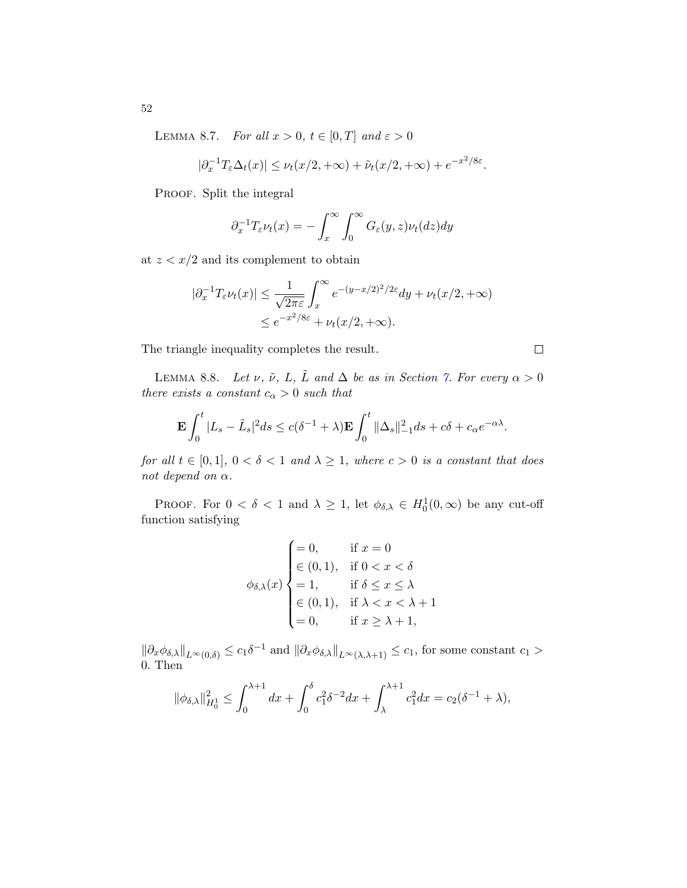<span id="page-51-1"></span>LEMMA 8.7. For all  $x > 0$ ,  $t \in [0, T]$  and  $\varepsilon > 0$ 

$$
|\partial_x^{-1} T_{\varepsilon} \Delta_t(x)| \leq \nu_t(x/2, +\infty) + \tilde{\nu}_t(x/2, +\infty) + e^{-x^2/8\varepsilon}.
$$

PROOF. Split the integral

$$
\partial_x^{-1} T_{\varepsilon} \nu_t(x) = -\int_x^{\infty} \int_0^{\infty} G_{\varepsilon}(y, z) \nu_t(dz) dy
$$

at  $z < x/2$  and its complement to obtain

$$
|\partial_x^{-1} T_{\varepsilon} \nu_t(x)| \le \frac{1}{\sqrt{2\pi\varepsilon}} \int_x^\infty e^{-(y-x/2)^2/2\varepsilon} dy + \nu_t(x/2, +\infty)
$$
  

$$
\le e^{-x^2/8\varepsilon} + \nu_t(x/2, +\infty).
$$

The triangle inequality completes the result.

<span id="page-51-0"></span>LEMMA 8.8. Let  $\nu$ ,  $\tilde{\nu}$ , L,  $\tilde{L}$  and  $\Delta$  be as in Section [7.](#page-37-0) For every  $\alpha > 0$ there exists a constant  $c_{\alpha} > 0$  such that

$$
\mathbf{E}\int_0^t |L_s - \tilde{L}_s|^2 ds \le c(\delta^{-1} + \lambda)\mathbf{E}\int_0^t \|\Delta_s\|_{-1}^2 ds + c\delta + c_\alpha e^{-\alpha\lambda}.
$$

for all  $t \in [0,1], 0 < \delta < 1$  and  $\lambda \geq 1$ , where  $c > 0$  is a constant that does not depend on  $\alpha$ .

PROOF. For  $0 < \delta < 1$  and  $\lambda \geq 1$ , let  $\phi_{\delta,\lambda} \in H_0^1(0,\infty)$  be any cut-off function satisfying

$$
\phi_{\delta,\lambda}(x) \begin{cases}\n= 0, & \text{if } x = 0 \\
\in (0,1), & \text{if } 0 < x < \delta \\
= 1, & \text{if } \delta \le x \le \lambda \\
\in (0,1), & \text{if } \lambda < x < \lambda + 1 \\
= 0, & \text{if } x \ge \lambda + 1,\n\end{cases}
$$

 $\|\partial_x\phi_{\delta,\lambda}\|_{L^{\infty}(0,\delta)} \leq c_1\delta^{-1}$  and  $\|\partial_x\phi_{\delta,\lambda}\|_{L^{\infty}(\lambda,\lambda+1)} \leq c_1$ , for some constant  $c_1 >$ 0. Then

$$
\|\phi_{\delta,\lambda}\|_{H_0^1}^2 \le \int_0^{\lambda+1} dx + \int_0^{\delta} c_1^2 \delta^{-2} dx + \int_{\lambda}^{\lambda+1} c_1^2 dx = c_2(\delta^{-1} + \lambda),
$$

52

 $\Box$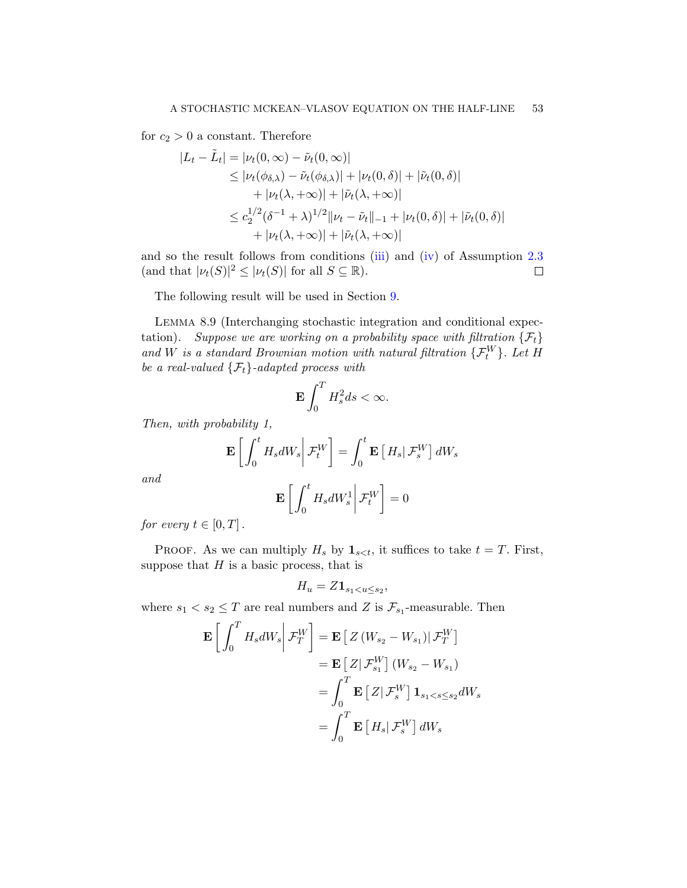for  $c_2 > 0$  a constant. Therefore

$$
|L_t - \tilde{L}_t| = |\nu_t(0, \infty) - \tilde{\nu}_t(0, \infty)|
$$
  
\n
$$
\leq |\nu_t(\phi_{\delta,\lambda}) - \tilde{\nu}_t(\phi_{\delta,\lambda})| + |\nu_t(0, \delta)| + |\tilde{\nu}_t(0, \delta)|
$$
  
\n
$$
+ |\nu_t(\lambda, +\infty)| + |\tilde{\nu}_t(\lambda, +\infty)|
$$
  
\n
$$
\leq c_2^{1/2} (\delta^{-1} + \lambda)^{1/2} ||\nu_t - \tilde{\nu}_t||_{-1} + |\nu_t(0, \delta)| + |\tilde{\nu}_t(0, \delta)|
$$
  
\n
$$
+ |\nu_t(\lambda, +\infty)| + |\tilde{\nu}_t(\lambda, +\infty)|
$$

and so the result follows from conditions [\(iii\)](#page-12-3) and [\(iv\)](#page-12-4) of Assumption [2.3](#page-11-0) (and that  $|\nu_t(S)|^2 \leq |\nu_t(S)|$  for all  $S \subseteq \mathbb{R}$ ).  $\Box$ 

The following result will be used in Section [9.](#page-53-0)

<span id="page-52-0"></span>Lemma 8.9 (Interchanging stochastic integration and conditional expectation). Suppose we are working on a probability space with filtration  $\{\mathcal{F}_t\}$ and W is a standard Brownian motion with natural filtration  $\{\mathcal{F}_t^W\}$ . Let H be a real-valued  $\{\mathcal{F}_t\}$ -adapted process with

$$
\mathbf{E} \int_0^T H_s^2 ds < \infty.
$$

Then, with probability 1,

$$
\mathbf{E}\left[\int_0^t H_s dW_s \middle| \mathcal{F}_t^W\right] = \int_0^t \mathbf{E}\left[H_s \middle| \mathcal{F}_s^W\right] dW_s
$$

and

$$
\mathbf{E}\left[\left.\int_0^t H_s dW_s^1\right|\mathcal{F}_t^W\right] = 0
$$

for every  $t \in [0, T]$ .

PROOF. As we can multiply  $H_s$  by  $\mathbf{1}_{s, it suffices to take  $t = T$ . First,$ suppose that  $H$  is a basic process, that is

 $H_u = Z1_{s_1 < u \leq s_2},$ 

where  $s_1 < s_2 \leq T$  are real numbers and Z is  $\mathcal{F}_{s_1}$ -measurable. Then

$$
\mathbf{E}\left[\int_0^T H_s dW_s \middle| \mathcal{F}_T^W\right] = \mathbf{E}\left[Z\left(W_{s_2} - W_{s_1}\right) | \mathcal{F}_T^W\right]
$$

$$
= \mathbf{E}\left[Z | \mathcal{F}_{s_1}^W\right] \left(W_{s_2} - W_{s_1}\right)
$$

$$
= \int_0^T \mathbf{E}\left[Z | \mathcal{F}_s^W\right] \mathbf{1}_{s_1 < s \le s_2} dW_s
$$

$$
= \int_0^T \mathbf{E}\left[H_s | \mathcal{F}_s^W\right] dW_s
$$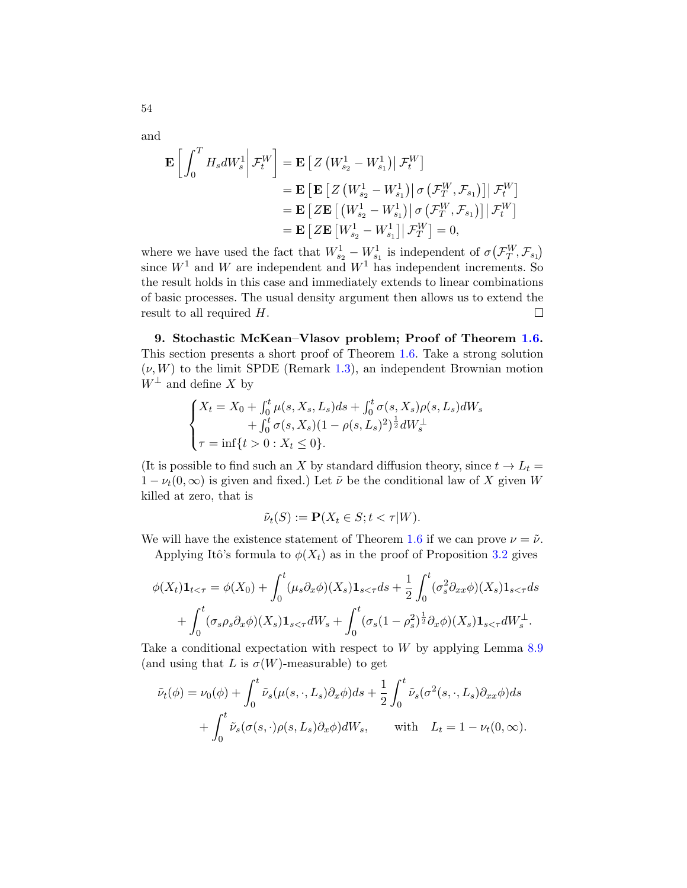$$
\mathbf{E}\left[\int_0^T H_s dW_s^1 \middle| \mathcal{F}_t^W\right] = \mathbf{E}\left[Z\left(W_{s_2}^1 - W_{s_1}^1\right) \middle| \mathcal{F}_t^W\right]
$$
\n
$$
= \mathbf{E}\left[\mathbf{E}\left[Z\left(W_{s_2}^1 - W_{s_1}^1\right) \middle| \sigma\left(\mathcal{F}_T^W, \mathcal{F}_{s_1}\right)\right] \middle| \mathcal{F}_t^W\right]
$$
\n
$$
= \mathbf{E}\left[Z\mathbf{E}\left[\left(W_{s_2}^1 - W_{s_1}^1\right) \middle| \sigma\left(\mathcal{F}_T^W, \mathcal{F}_{s_1}\right)\right] \middle| \mathcal{F}_t^W\right]
$$
\n
$$
= \mathbf{E}\left[Z\mathbf{E}\left[W_{s_2}^1 - W_{s_1}^1\right] \middle| \mathcal{F}_T^W\right] = 0,
$$

where we have used the fact that  $W_{s_2}^1 - W_{s_1}^1$  is independent of  $\sigma(\mathcal{F}_T^W, \mathcal{F}_{s_1})$ since  $W<sup>1</sup>$  and W are independent and  $W<sup>1</sup>$  has independent increments. So the result holds in this case and immediately extends to linear combinations of basic processes. The usual density argument then allows us to extend the result to all required  $H$ .  $\Box$ 

<span id="page-53-0"></span>9. Stochastic McKean–Vlasov problem; Proof of Theorem [1.6.](#page-9-1) This section presents a short proof of Theorem [1.6.](#page-9-1) Take a strong solution  $(\nu, W)$  to the limit SPDE (Remark [1.3\)](#page-7-1), an independent Brownian motion  $W^{\perp}$  and define X by

$$
\begin{cases} X_t = X_0 + \int_0^t \mu(s, X_s, L_s) ds + \int_0^t \sigma(s, X_s) \rho(s, L_s) dW_s \\ \qquad + \int_0^t \sigma(s, X_s) (1 - \rho(s, L_s)^2)^{\frac{1}{2}} dW_s^{\perp} \\ \tau = \inf \{ t > 0 : X_t \le 0 \}. \end{cases}
$$

(It is possible to find such an X by standard diffusion theory, since  $t \to L_t =$  $1 - \nu_t(0, \infty)$  is given and fixed.) Let  $\tilde{\nu}$  be the conditional law of X given W killed at zero, that is

$$
\tilde{\nu}_t(S) := \mathbf{P}(X_t \in S; t < \tau | W).
$$

We will have the existence statement of Theorem [1.6](#page-9-1) if we can prove  $\nu = \tilde{\nu}$ . Applying Itô's formula to  $\phi(X_t)$  as in the proof of Proposition [3.2](#page-13-1) gives

$$
\phi(X_t)\mathbf{1}_{t<\tau} = \phi(X_0) + \int_0^t (\mu_s \partial_x \phi)(X_s)\mathbf{1}_{s<\tau} ds + \frac{1}{2} \int_0^t (\sigma_s^2 \partial_{xx} \phi)(X_s)\mathbf{1}_{s<\tau} ds + \int_0^t (\sigma_s \rho_s \partial_x \phi)(X_s)\mathbf{1}_{s<\tau} dW_s + \int_0^t (\sigma_s (1-\rho_s^2)^{\frac{1}{2}} \partial_x \phi)(X_s)\mathbf{1}_{s<\tau} dW_s^{\perp}.
$$

Take a conditional expectation with respect to  $W$  by applying Lemma [8.9](#page-52-0) (and using that L is  $\sigma(W)$ -measurable) to get

$$
\tilde{\nu}_t(\phi) = \nu_0(\phi) + \int_0^t \tilde{\nu}_s(\mu(s,\cdot,L_s)\partial_x\phi)ds + \frac{1}{2}\int_0^t \tilde{\nu}_s(\sigma^2(s,\cdot,L_s)\partial_{xx}\phi)ds \n+ \int_0^t \tilde{\nu}_s(\sigma(s,\cdot)\rho(s,L_s)\partial_x\phi)dW_s, \quad \text{with} \quad L_t = 1 - \nu_t(0,\infty).
$$

54

and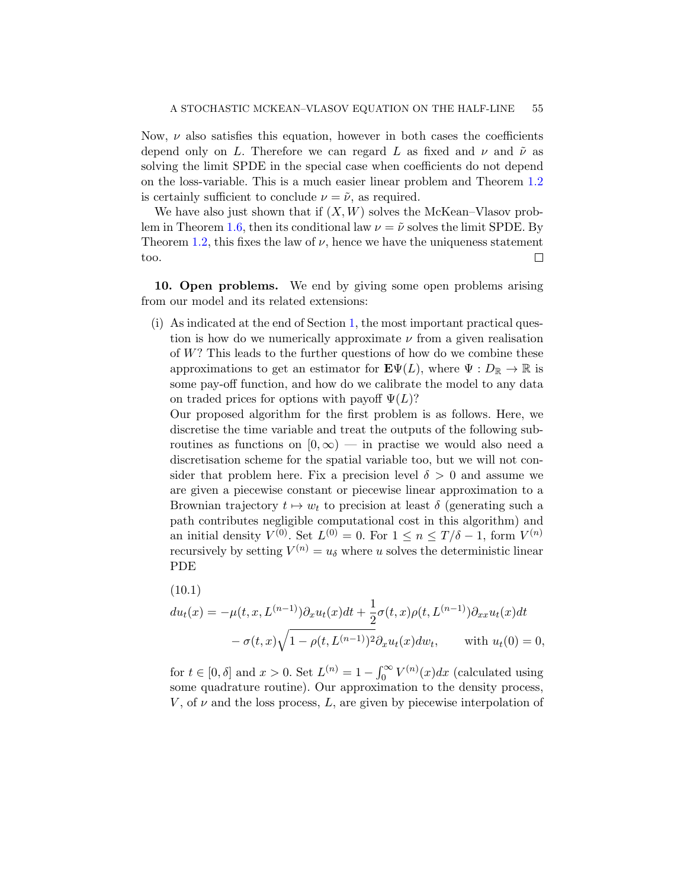Now,  $\nu$  also satisfies this equation, however in both cases the coefficients depend only on L. Therefore we can regard L as fixed and  $\nu$  and  $\tilde{\nu}$  as solving the limit SPDE in the special case when coefficients do not depend on the loss-variable. This is a much easier linear problem and Theorem [1.2](#page-7-0) is certainly sufficient to conclude  $\nu = \tilde{\nu}$ , as required.

We have also just shown that if  $(X, W)$  solves the McKean–Vlasov prob-lem in Theorem [1.6,](#page-9-1) then its conditional law  $\nu = \tilde{\nu}$  solves the limit SPDE. By Theorem [1.2,](#page-7-0) this fixes the law of  $\nu$ , hence we have the uniqueness statement  $\Box$ too.

<span id="page-54-0"></span>10. Open problems. We end by giving some open problems arising from our model and its related extensions:

(i) As indicated at the end of Section [1,](#page-0-4) the most important practical question is how do we numerically approximate  $\nu$  from a given realisation of W? This leads to the further questions of how do we combine these approximations to get an estimator for  $\mathbf{E}\Psi(L)$ , where  $\Psi: D_{\mathbb{R}} \to \mathbb{R}$  is some pay-off function, and how do we calibrate the model to any data on traded prices for options with payoff  $\Psi(L)$ ?

Our proposed algorithm for the first problem is as follows. Here, we discretise the time variable and treat the outputs of the following subroutines as functions on  $[0, \infty)$  — in practise we would also need a discretisation scheme for the spatial variable too, but we will not consider that problem here. Fix a precision level  $\delta > 0$  and assume we are given a piecewise constant or piecewise linear approximation to a Brownian trajectory  $t \mapsto w_t$  to precision at least  $\delta$  (generating such a path contributes negligible computational cost in this algorithm) and an initial density  $V^{(0)}$ . Set  $L^{(0)} = 0$ . For  $1 \leq n \leq T/\delta - 1$ , form  $V^{(n)}$ recursively by setting  $V^{(n)} = u_{\delta}$  where u solves the deterministic linear PDE

<span id="page-54-1"></span>(10.1)  
\n
$$
du_t(x) = -\mu(t, x, L^{(n-1)})\partial_x u_t(x)dt + \frac{1}{2}\sigma(t, x)\rho(t, L^{(n-1)})\partial_{xx}u_t(x)dt - \sigma(t, x)\sqrt{1 - \rho(t, L^{(n-1)})^2}\partial_x u_t(x)dw_t, \quad \text{with } u_t(0) = 0,
$$

for  $t \in [0, \delta]$  and  $x > 0$ . Set  $L^{(n)} = 1 - \int_0^\infty V^{(n)}(x) dx$  (calculated using some quadrature routine). Our approximation to the density process,  $V$ , of  $\nu$  and the loss process,  $L$ , are given by piecewise interpolation of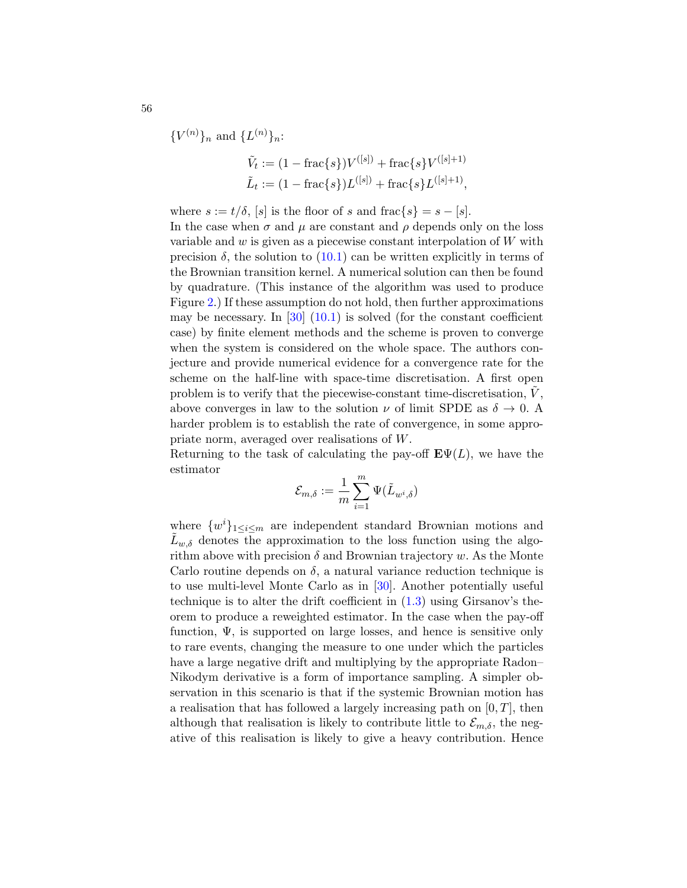$\{V^{(n)}\}_n$  and  $\{L^{(n)}\}_n$ :

$$
\tilde{V}_t := (1 - \text{frac}\{s\})V^{([s])} + \text{frac}\{s\}V^{([s]+1)}
$$
\n
$$
\tilde{L}_t := (1 - \text{frac}\{s\})L^{([s])} + \text{frac}\{s\}L^{([s]+1)},
$$

where  $s := t/\delta$ , [s] is the floor of s and frac{s} =  $s - [s]$ . In the case when  $\sigma$  and  $\mu$  are constant and  $\rho$  depends only on the loss variable and  $w$  is given as a piecewise constant interpolation of  $W$  with precision  $\delta$ , the solution to  $(10.1)$  can be written explicitly in terms of the Brownian transition kernel. A numerical solution can then be found by quadrature. (This instance of the algorithm was used to produce Figure [2.](#page-6-0)) If these assumption do not hold, then further approximations may be necessary. In  $[30]$   $(10.1)$  is solved (for the constant coefficient case) by finite element methods and the scheme is proven to converge when the system is considered on the whole space. The authors conjecture and provide numerical evidence for a convergence rate for the scheme on the half-line with space-time discretisation. A first open problem is to verify that the piecewise-constant time-discretisation,  $V$ , above converges in law to the solution  $\nu$  of limit SPDE as  $\delta \to 0$ . A harder problem is to establish the rate of convergence, in some appropriate norm, averaged over realisations of W.

Returning to the task of calculating the pay-off  $\mathbf{E}\Psi(L)$ , we have the estimator

$$
\mathcal{E}_{m,\delta}:=\frac{1}{m}\sum_{i=1}^m \Psi(\tilde{L}_{w^i,\delta})
$$

where  $\{w^i\}_{1\leq i\leq m}$  are independent standard Brownian motions and  $L_{w,\delta}$  denotes the approximation to the loss function using the algorithm above with precision  $\delta$  and Brownian trajectory w. As the Monte Carlo routine depends on  $\delta$ , a natural variance reduction technique is to use multi-level Monte Carlo as in [\[30\]](#page-58-22). Another potentially useful technique is to alter the drift coefficient in  $(1.3)$  using Girsanov's theorem to produce a reweighted estimator. In the case when the pay-off function,  $\Psi$ , is supported on large losses, and hence is sensitive only to rare events, changing the measure to one under which the particles have a large negative drift and multiplying by the appropriate Radon– Nikodym derivative is a form of importance sampling. A simpler observation in this scenario is that if the systemic Brownian motion has a realisation that has followed a largely increasing path on  $[0, T]$ , then although that realisation is likely to contribute little to  $\mathcal{E}_{m,\delta}$ , the negative of this realisation is likely to give a heavy contribution. Hence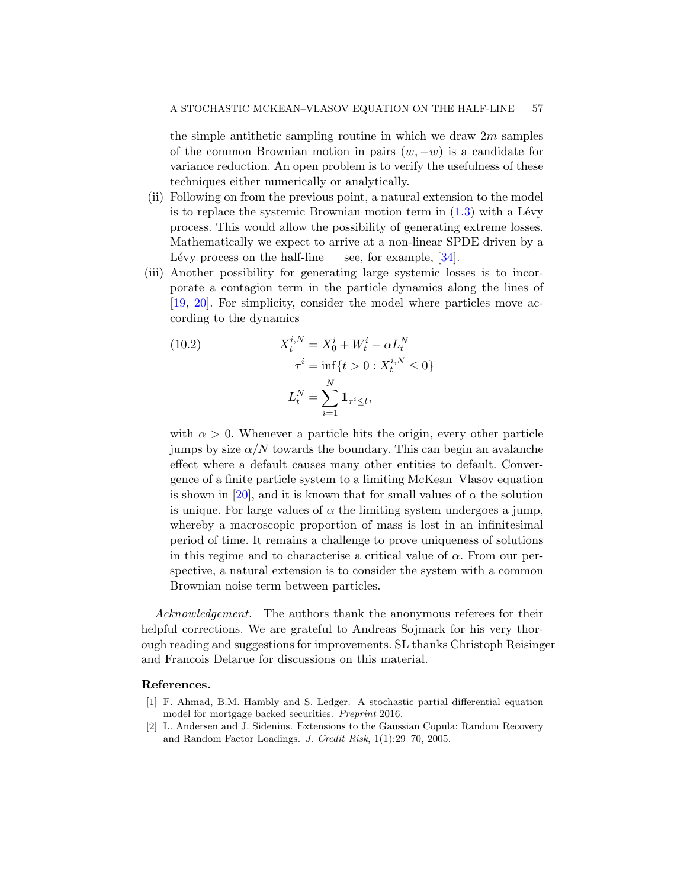the simple antithetic sampling routine in which we draw  $2m$  samples of the common Brownian motion in pairs  $(w, -w)$  is a candidate for variance reduction. An open problem is to verify the usefulness of these techniques either numerically or analytically.

- (ii) Following on from the previous point, a natural extension to the model is to replace the systemic Brownian motion term in  $(1.3)$  with a Lévy process. This would allow the possibility of generating extreme losses. Mathematically we expect to arrive at a non-linear SPDE driven by a Lévy process on the half-line — see, for example,  $[34]$ .
- (iii) Another possibility for generating large systemic losses is to incorporate a contagion term in the particle dynamics along the lines of [\[19,](#page-57-17) [20\]](#page-57-18). For simplicity, consider the model where particles move according to the dynamics

(10.2) 
$$
X_t^{i,N} = X_0^i + W_t^i - \alpha L_t^N
$$

$$
\tau^i = \inf \{ t > 0 : X_t^{i,N} \le 0 \}
$$

$$
L_t^N = \sum_{i=1}^N \mathbf{1}_{\tau^i \le t},
$$

with  $\alpha > 0$ . Whenever a particle hits the origin, every other particle jumps by size  $\alpha/N$  towards the boundary. This can begin an avalanche effect where a default causes many other entities to default. Convergence of a finite particle system to a limiting McKean–Vlasov equation is shown in [\[20\]](#page-57-18), and it is known that for small values of  $\alpha$  the solution is unique. For large values of  $\alpha$  the limiting system undergoes a jump, whereby a macroscopic proportion of mass is lost in an infinitesimal period of time. It remains a challenge to prove uniqueness of solutions in this regime and to characterise a critical value of  $\alpha$ . From our perspective, a natural extension is to consider the system with a common Brownian noise term between particles.

Acknowledgement. The authors thank the anonymous referees for their helpful corrections. We are grateful to Andreas Sojmark for his very thorough reading and suggestions for improvements. SL thanks Christoph Reisinger and Francois Delarue for discussions on this material.

## References.

- <span id="page-56-1"></span>[1] F. Ahmad, B.M. Hambly and S. Ledger. A stochastic partial differential equation model for mortgage backed securities. Preprint 2016.
- <span id="page-56-0"></span>[2] L. Andersen and J. Sidenius. Extensions to the Gaussian Copula: Random Recovery and Random Factor Loadings. J. Credit Risk, 1(1):29–70, 2005.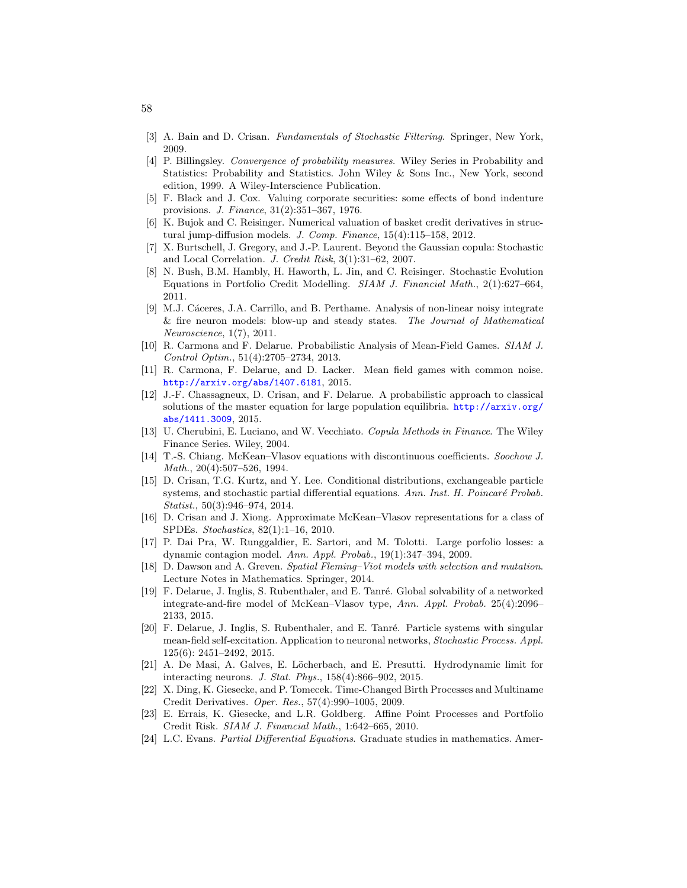- <span id="page-57-11"></span>[3] A. Bain and D. Crisan. Fundamentals of Stochastic Filtering. Springer, New York, 2009.
- <span id="page-57-20"></span>[4] P. Billingsley. Convergence of probability measures. Wiley Series in Probability and Statistics: Probability and Statistics. John Wiley & Sons Inc., New York, second edition, 1999. A Wiley-Interscience Publication.
- <span id="page-57-1"></span>[5] F. Black and J. Cox. Valuing corporate securities: some effects of bond indenture provisions. J. Finance, 31(2):351–367, 1976.
- <span id="page-57-7"></span>[6] K. Bujok and C. Reisinger. Numerical valuation of basket credit derivatives in structural jump-diffusion models. J. Comp. Finance, 15(4):115–158, 2012.
- <span id="page-57-5"></span>[7] X. Burtschell, J. Gregory, and J.-P. Laurent. Beyond the Gaussian copula: Stochastic and Local Correlation. J. Credit Risk, 3(1):31–62, 2007.
- <span id="page-57-0"></span>[8] N. Bush, B.M. Hambly, H. Haworth, L. Jin, and C. Reisinger. Stochastic Evolution Equations in Portfolio Credit Modelling. SIAM J. Financial Math., 2(1):627–664, 2011.
- <span id="page-57-19"></span>[9] M.J. Cáceres, J.A. Carrillo, and B. Perthame. Analysis of non-linear noisy integrate & fire neuron models: blow-up and steady states. The Journal of Mathematical Neuroscience, 1(7), 2011.
- <span id="page-57-9"></span>[10] R. Carmona and F. Delarue. Probabilistic Analysis of Mean-Field Games. SIAM J. Control Optim., 51(4):2705–2734, 2013.
- <span id="page-57-16"></span>[11] R. Carmona, F. Delarue, and D. Lacker. Mean field games with common noise. <http://arxiv.org/abs/1407.6181>, 2015.
- <span id="page-57-10"></span>[12] J.-F. Chassagneux, D. Crisan, and F. Delarue. A probabilistic approach to classical solutions of the master equation for large population equilibria. [http://arxiv.org/](http://arxiv.org/abs/1411.3009) [abs/1411.3009](http://arxiv.org/abs/1411.3009), 2015.
- <span id="page-57-2"></span>[13] U. Cherubini, E. Luciano, and W. Vecchiato. Copula Methods in Finance. The Wiley Finance Series. Wiley, 2004.
- <span id="page-57-15"></span>[14] T.-S. Chiang. McKean–Vlasov equations with discontinuous coefficients. Soochow J. Math., 20(4):507–526, 1994.
- <span id="page-57-14"></span>[15] D. Crisan, T.G. Kurtz, and Y. Lee. Conditional distributions, exchangeable particle systems, and stochastic partial differential equations. Ann. Inst. H. Poincaré Probab. Statist., 50(3):946–974, 2014.
- <span id="page-57-12"></span>[16] D. Crisan and J. Xiong. Approximate McKean–Vlasov representations for a class of SPDEs. Stochastics, 82(1):1–16, 2010.
- <span id="page-57-6"></span>[17] P. Dai Pra, W. Runggaldier, E. Sartori, and M. Tolotti. Large porfolio losses: a dynamic contagion model. Ann. Appl. Probab., 19(1):347–394, 2009.
- <span id="page-57-13"></span>[18] D. Dawson and A. Greven. Spatial Fleming–Viot models with selection and mutation. Lecture Notes in Mathematics. Springer, 2014.
- <span id="page-57-17"></span>[19] F. Delarue, J. Inglis, S. Rubenthaler, and E. Tanré. Global solvability of a networked integrate-and-fire model of McKean–Vlasov type, Ann. Appl. Probab. 25(4):2096– 2133, 2015.
- <span id="page-57-18"></span>[20] F. Delarue, J. Inglis, S. Rubenthaler, and E. Tanré. Particle systems with singular mean-field self-excitation. Application to neuronal networks, Stochastic Process. Appl. 125(6): 2451–2492, 2015.
- <span id="page-57-8"></span>[21] A. De Masi, A. Galves, E. Löcherbach, and E. Presutti. Hydrodynamic limit for interacting neurons. J. Stat. Phys., 158(4):866–902, 2015.
- <span id="page-57-3"></span>[22] X. Ding, K. Giesecke, and P. Tomecek. Time-Changed Birth Processes and Multiname Credit Derivatives. Oper. Res., 57(4):990–1005, 2009.
- <span id="page-57-4"></span>[23] E. Errais, K. Giesecke, and L.R. Goldberg. Affine Point Processes and Portfolio Credit Risk. SIAM J. Financial Math., 1:642–665, 2010.
- <span id="page-57-21"></span>[24] L.C. Evans. Partial Differential Equations. Graduate studies in mathematics. Amer-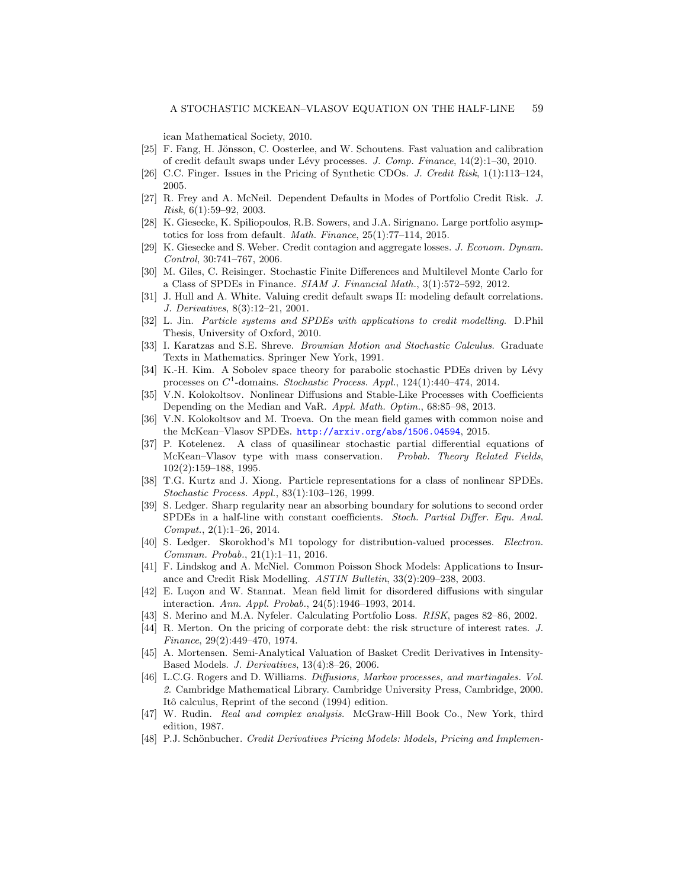ican Mathematical Society, 2010.

- <span id="page-58-7"></span>[25] F. Fang, H. Jönsson, C. Oosterlee, and W. Schoutens. Fast valuation and calibration of credit default swaps under L´evy processes. J. Comp. Finance, 14(2):1–30, 2010.
- <span id="page-58-6"></span>[26] C.C. Finger. Issues in the Pricing of Synthetic CDOs. J. Credit Risk, 1(1):113–124, 2005.
- <span id="page-58-3"></span>[27] R. Frey and A. McNeil. Dependent Defaults in Modes of Portfolio Credit Risk. J. Risk, 6(1):59–92, 2003.
- <span id="page-58-9"></span>[28] K. Giesecke, K. Spiliopoulos, R.B. Sowers, and J.A. Sirignano. Large portfolio asymptotics for loss from default. Math. Finance, 25(1):77–114, 2015.
- <span id="page-58-10"></span>[29] K. Giesecke and S. Weber. Credit contagion and aggregate losses. J. Econom. Dynam. Control, 30:741–767, 2006.
- <span id="page-58-22"></span>[30] M. Giles, C. Reisinger. Stochastic Finite Differences and Multilevel Monte Carlo for a Class of SPDEs in Finance. SIAM J. Financial Math., 3(1):572–592, 2012.
- <span id="page-58-1"></span>[31] J. Hull and A. White. Valuing credit default swaps II: modeling default correlations. J. Derivatives, 8(3):12–21, 2001.
- <span id="page-58-11"></span>[32] L. Jin. Particle systems and SPDEs with applications to credit modelling. D.Phil Thesis, University of Oxford, 2010.
- <span id="page-58-16"></span>[33] I. Karatzas and S.E. Shreve. Brownian Motion and Stochastic Calculus. Graduate Texts in Mathematics. Springer New York, 1991.
- <span id="page-58-23"></span>[34] K.-H. Kim. A Sobolev space theory for parabolic stochastic PDEs driven by Lévy processes on  $C^1$ -domains. Stochastic Process. Appl., 124(1):440–474, 2014.
- <span id="page-58-13"></span>[35] V.N. Kolokoltsov. Nonlinear Diffusions and Stable-Like Processes with Coefficients Depending on the Median and VaR. Appl. Math. Optim., 68:85–98, 2013.
- <span id="page-58-14"></span>[36] V.N. Kolokoltsov and M. Troeva. On the mean field games with common noise and the McKean–Vlasov SPDEs. <http://arxiv.org/abs/1506.04594>, 2015.
- <span id="page-58-17"></span>[37] P. Kotelenez. A class of quasilinear stochastic partial differential equations of McKean–Vlasov type with mass conservation. Probab. Theory Related Fields, 102(2):159–188, 1995.
- <span id="page-58-18"></span>[38] T.G. Kurtz and J. Xiong. Particle representations for a class of nonlinear SPDEs. Stochastic Process. Appl., 83(1):103–126, 1999.
- <span id="page-58-19"></span>[39] S. Ledger. Sharp regularity near an absorbing boundary for solutions to second order SPDEs in a half-line with constant coefficients. Stoch. Partial Differ. Equ. Anal. Comput., 2(1):1–26, 2014.
- <span id="page-58-15"></span>[40] S. Ledger. Skorokhod's M1 topology for distribution-valued processes. Electron. Commun. Probab., 21(1):1–11, 2016.
- <span id="page-58-8"></span>[41] F. Lindskog and A. McNiel. Common Poisson Shock Models: Applications to Insurance and Credit Risk Modelling. ASTIN Bulletin, 33(2):209–238, 2003.
- <span id="page-58-12"></span>[42] E. Luçon and W. Stannat. Mean field limit for disordered diffusions with singular interaction. Ann. Appl. Probab., 24(5):1946–1993, 2014.
- <span id="page-58-4"></span>[43] S. Merino and M.A. Nyfeler. Calculating Portfolio Loss. RISK, pages 82–86, 2002.
- <span id="page-58-2"></span>[44] R. Merton. On the pricing of corporate debt: the risk structure of interest rates. J. Finance, 29(2):449–470, 1974.
- <span id="page-58-5"></span>[45] A. Mortensen. Semi-Analytical Valuation of Basket Credit Derivatives in Intensity-Based Models. J. Derivatives, 13(4):8–26, 2006.
- <span id="page-58-20"></span>[46] L.C.G. Rogers and D. Williams. Diffusions, Markov processes, and martingales. Vol. 2. Cambridge Mathematical Library. Cambridge University Press, Cambridge, 2000. Itô calculus, Reprint of the second (1994) edition.
- <span id="page-58-21"></span>[47] W. Rudin. Real and complex analysis. McGraw-Hill Book Co., New York, third edition, 1987.
- <span id="page-58-0"></span>[48] P.J. Schönbucher. Credit Derivatives Pricing Models: Models, Pricing and Implemen-